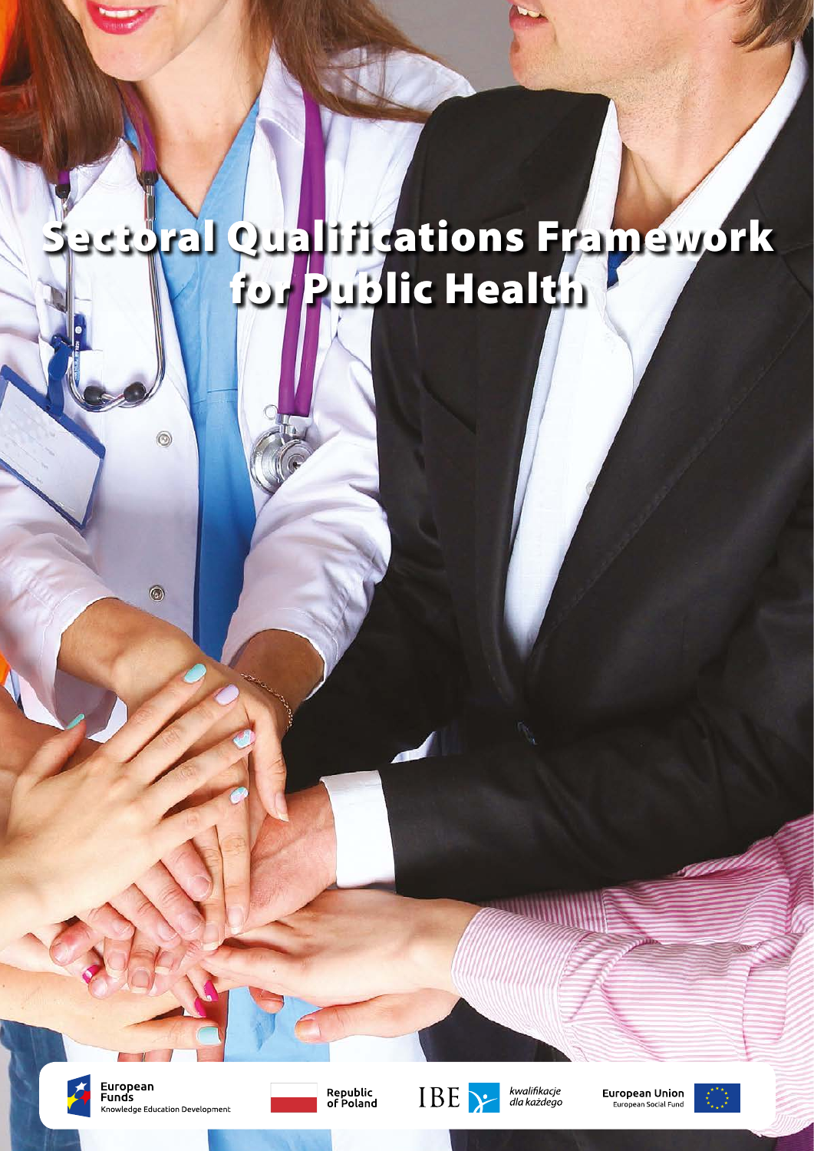# Sectoral Qualifications Framework for Public Health



European **Funds** Knowledge Education Development

 $^{\circledR}$ 

 $\odot$ 





kwalifikacje<br>dla każdego

**European Union** European Social Fund

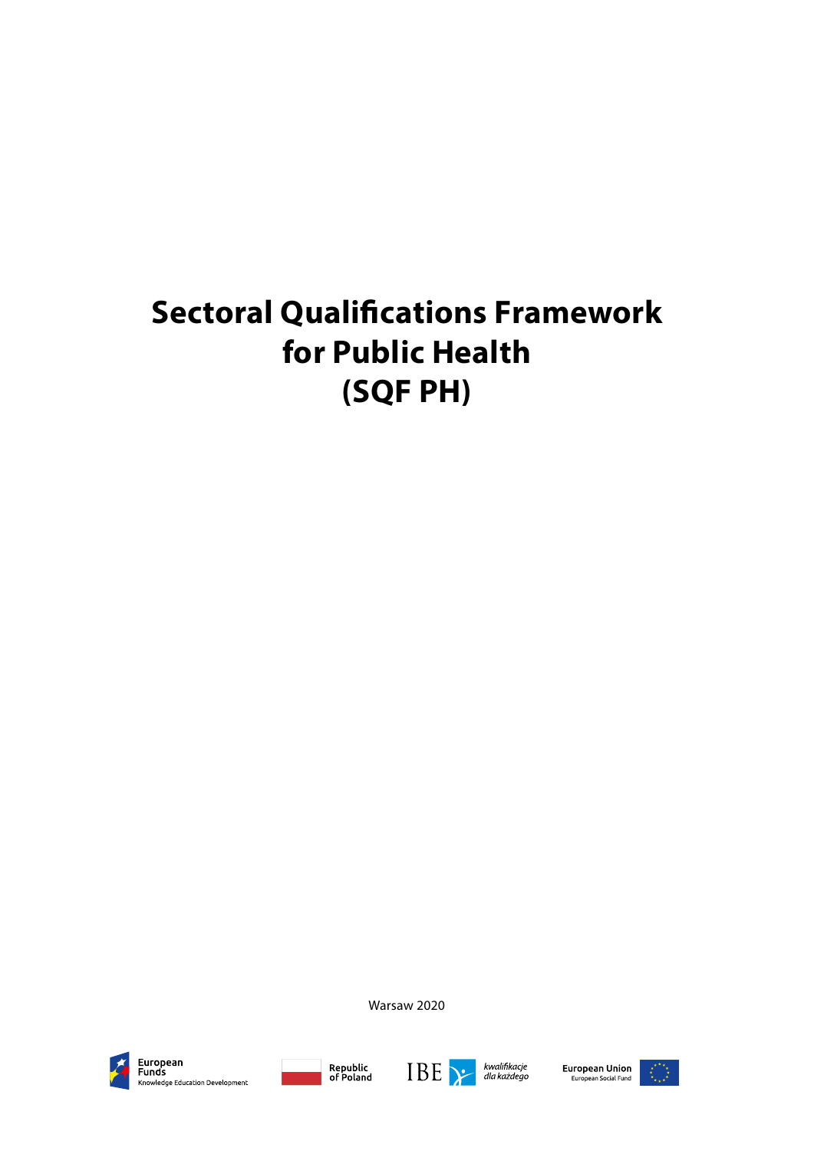# **Sectoral Qualifications Framework for Public Health (SQF PH)**

Warsaw 2020



European<br>Funds Knowledge Education Development





European Union<br>European Social Fund

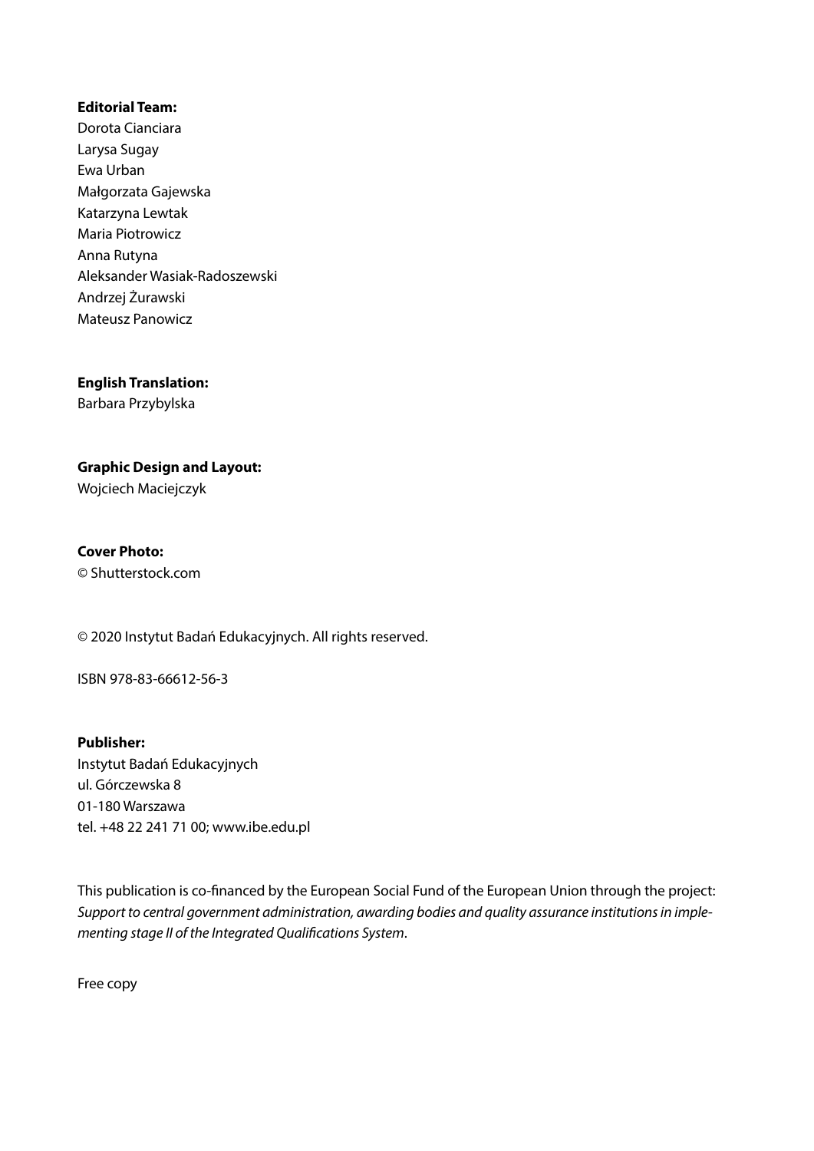#### **Editorial Team:**

Dorota Cianciara Larysa Sugay Ewa Urban Małgorzata Gajewska Katarzyna Lewtak Maria Piotrowicz Anna Rutyna Aleksander Wasiak-Radoszewski Andrzej Żurawski Mateusz Panowicz

**English Translation:** Barbara Przybylska

**Graphic Design and Layout:**  Wojciech Maciejczyk

**Cover Photo:** © Shutterstock.com

© 2020 Instytut Badań Edukacyjnych. All rights reserved.

ISBN 978-83-66612-56-3

**Publisher:** Instytut Badań Edukacyjnych ul. Górczewska 8 01-180 Warszawa tel. +48 22 241 71 00; www.ibe.edu.pl

This publication is co-financed by the European Social Fund of the European Union through the project: *Support to central government administration, awarding bodies and quality assurance institutions in implementing stage II of the Integrated Qualifications System*.

Free copy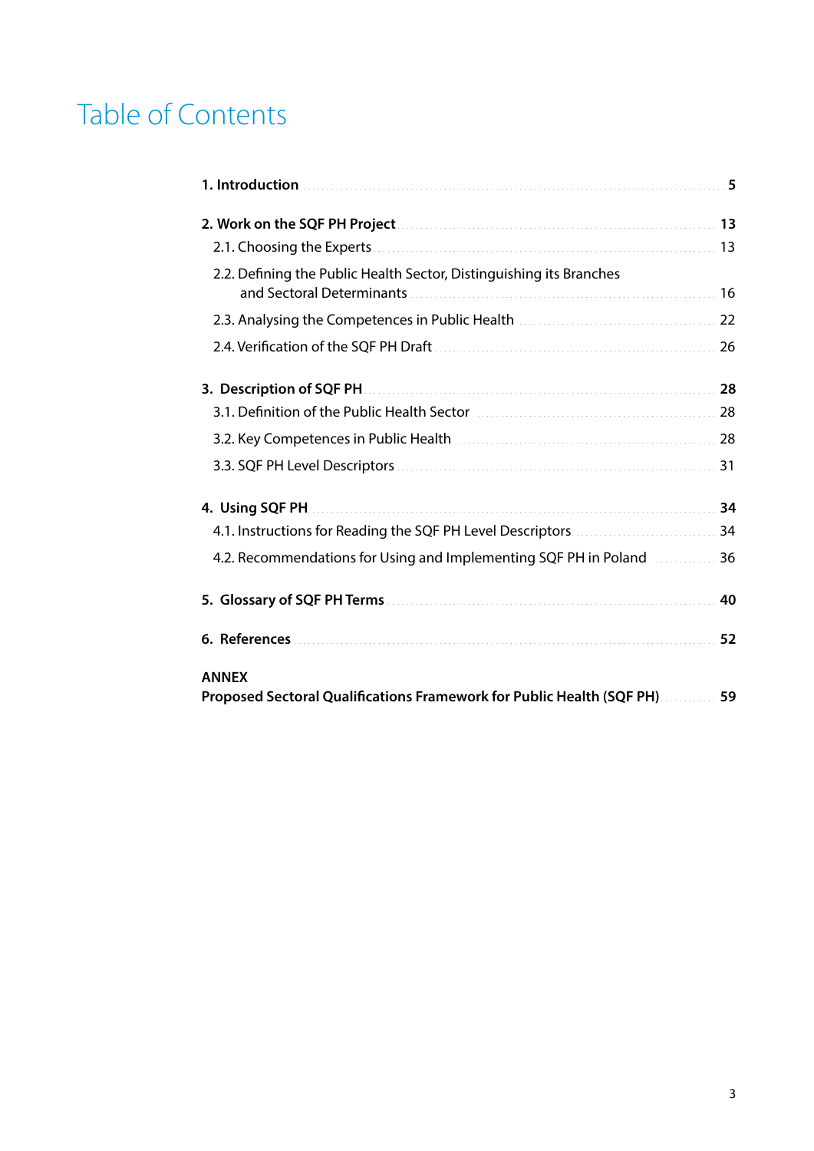# Table of Contents

| 2.2. Defining the Public Health Sector, Distinguishing its Branches                   |    |
|---------------------------------------------------------------------------------------|----|
|                                                                                       |    |
|                                                                                       |    |
|                                                                                       |    |
|                                                                                       |    |
|                                                                                       |    |
|                                                                                       |    |
|                                                                                       |    |
|                                                                                       |    |
| 4.2. Recommendations for Using and Implementing SQF PH in Poland <b>Manual</b> 36     |    |
|                                                                                       | 40 |
|                                                                                       | 52 |
| <b>ANNEX</b><br>Proposed Sectoral Qualifications Framework for Public Health (SQF PH) | 59 |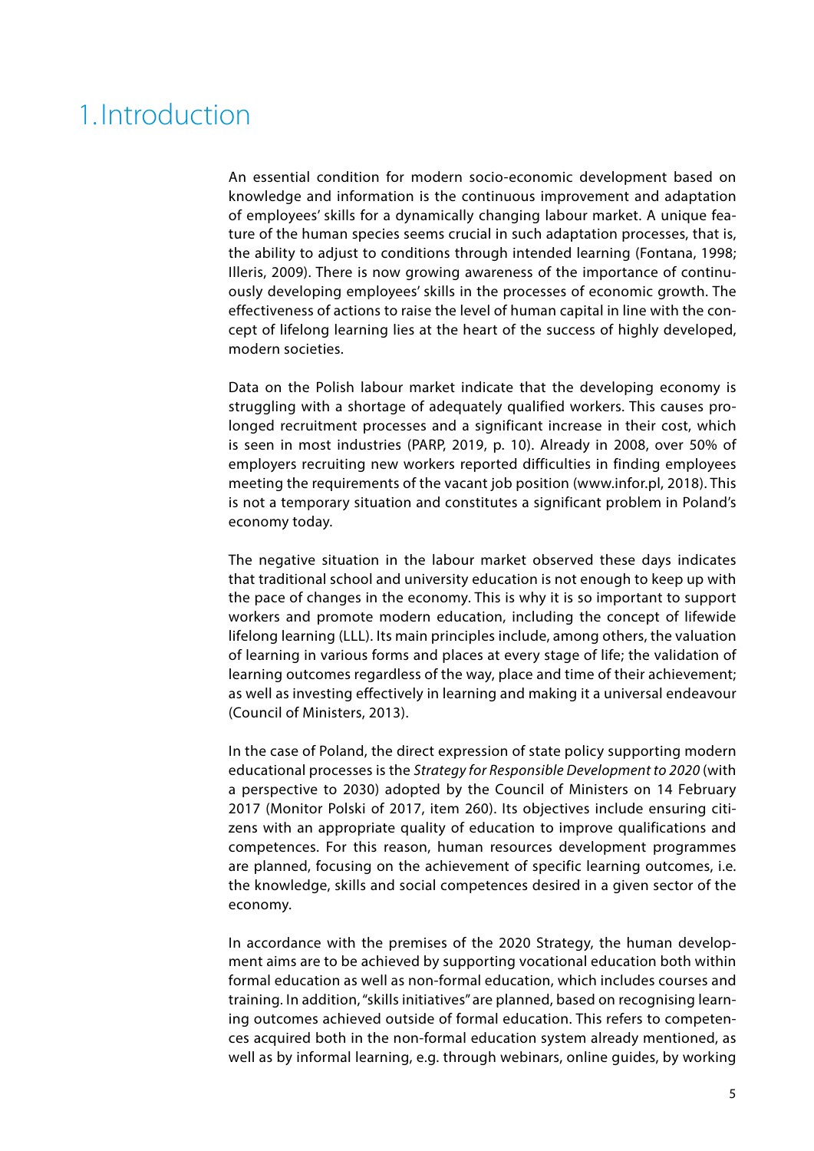# <span id="page-5-0"></span>1. Introduction

An essential condition for modern socio-economic development based on knowledge and information is the continuous improvement and adaptation of employees' skills for a dynamically changing labour market. A unique feature of the human species seems crucial in such adaptation processes, that is, the ability to adjust to conditions through intended learning (Fontana, 1998; Illeris, 2009). There is now growing awareness of the importance of continuously developing employees' skills in the processes of economic growth. The effectiveness of actions to raise the level of human capital in line with the concept of lifelong learning lies at the heart of the success of highly developed, modern societies.

Data on the Polish labour market indicate that the developing economy is struggling with a shortage of adequately qualified workers. This causes prolonged recruitment processes and a significant increase in their cost, which is seen in most industries (PARP, 2019, p. 10). Already in 2008, over 50% of employers recruiting new workers reported difficulties in finding employees meeting the requirements of the vacant job position (www.infor.pl, 2018). This is not a temporary situation and constitutes a significant problem in Poland's economy today.

The negative situation in the labour market observed these days indicates that traditional school and university education is not enough to keep up with the pace of changes in the economy. This is why it is so important to support workers and promote modern education, including the concept of lifewide lifelong learning (LLL). Its main principles include, among others, the valuation of learning in various forms and places at every stage of life; the validation of learning outcomes regardless of the way, place and time of their achievement; as well as investing effectively in learning and making it a universal endeavour (Council of Ministers, 2013).

In the case of Poland, the direct expression of state policy supporting modern educational processes is the *Strategy for Responsible Development to 2020* (with a perspective to 2030) adopted by the Council of Ministers on 14 February 2017 (Monitor Polski of 2017, item 260). Its objectives include ensuring citizens with an appropriate quality of education to improve qualifications and competences. For this reason, human resources development programmes are planned, focusing on the achievement of specific learning outcomes, i.e. the knowledge, skills and social competences desired in a given sector of the economy.

In accordance with the premises of the 2020 Strategy, the human development aims are to be achieved by supporting vocational education both within formal education as well as non-formal education, which includes courses and training. In addition, "skills initiatives" are planned, based on recognising learning outcomes achieved outside of formal education. This refers to competences acquired both in the non-formal education system already mentioned, as well as by informal learning, e.g. through webinars, online guides, by working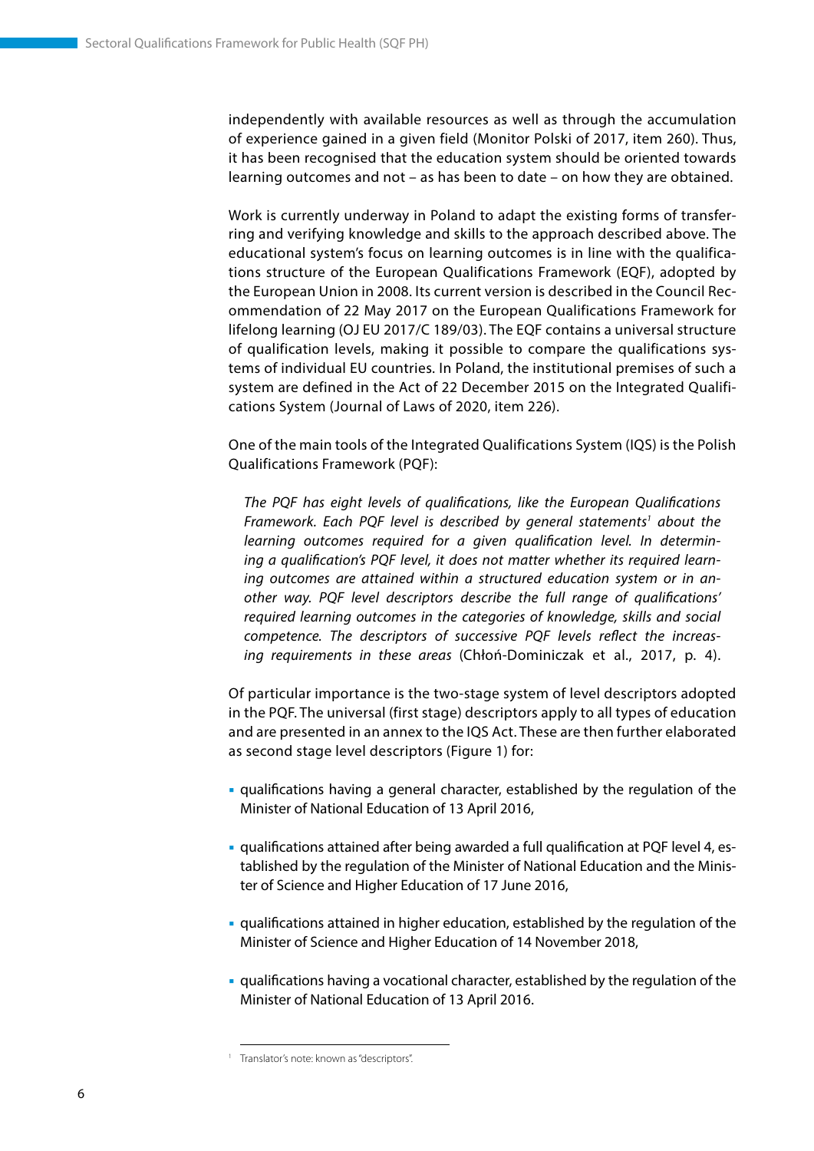independently with available resources as well as through the accumulation of experience gained in a given field (Monitor Polski of 2017, item 260). Thus, it has been recognised that the education system should be oriented towards learning outcomes and not – as has been to date – on how they are obtained.

Work is currently underway in Poland to adapt the existing forms of transferring and verifying knowledge and skills to the approach described above. The educational system's focus on learning outcomes is in line with the qualifications structure of the European Qualifications Framework (EQF), adopted by the European Union in 2008. Its current version is described in the Council Recommendation of 22 May 2017 on the European Qualifications Framework for lifelong learning (OJ EU 2017/C 189/03). The EQF contains a universal structure of qualification levels, making it possible to compare the qualifications systems of individual EU countries. In Poland, the institutional premises of such a system are defined in the Act of 22 December 2015 on the Integrated Qualifications System (Journal of Laws of 2020, item 226).

One of the main tools of the Integrated Qualifications System (IQS) is the Polish Qualifications Framework (PQF):

*The PQF has eight levels of qualifications, like the European Qualifications*  Framework. Each PQF level is described by general statements<sup>1</sup> about the *learning outcomes required for a given qualification level. In determining a qualification's PQF level, it does not matter whether its required learning outcomes are attained within a structured education system or in another way. PQF level descriptors describe the full range of qualifications' required learning outcomes in the categories of knowledge, skills and social competence. The descriptors of successive PQF levels reflect the increasing requirements in these areas* (Chłoń-Dominiczak et al., 2017, p. 4).

Of particular importance is the two-stage system of level descriptors adopted in the PQF. The universal (first stage) descriptors apply to all types of education and are presented in an annex to the IQS Act. These are then further elaborated as second stage level descriptors (Figure 1) for:

- qualifications having a general character, established by the regulation of the Minister of National Education of 13 April 2016,
- qualifications attained after being awarded a full qualification at PQF level 4, established by the regulation of the Minister of National Education and the Minister of Science and Higher Education of 17 June 2016,
- qualifications attained in higher education, established by the regulation of the Minister of Science and Higher Education of 14 November 2018,
- qualifications having a vocational character, established by the regulation of the Minister of National Education of 13 April 2016.

<sup>&</sup>lt;sup>1</sup> Translator's note: known as "descriptors".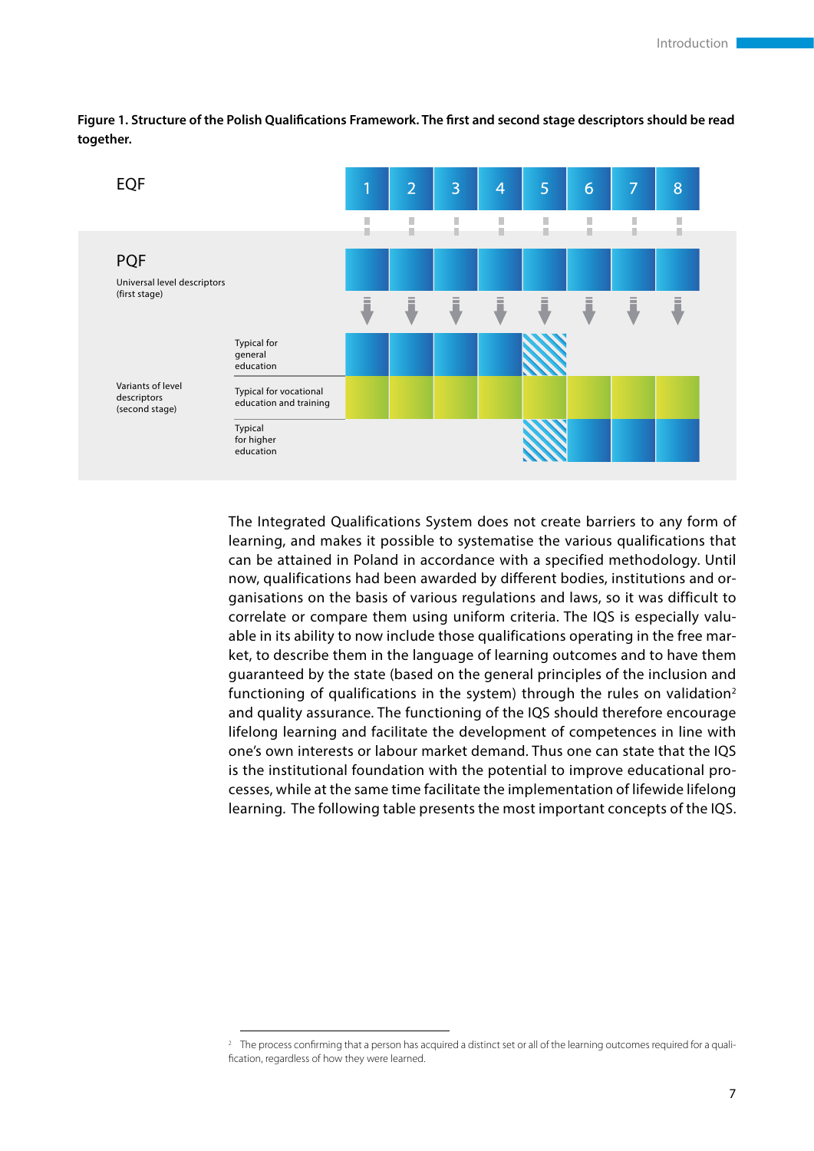EQF  $\overline{2}$  $\overline{3}$  $\overline{4}$ 5 6 7 8 1 I.  $\blacksquare$ Î. n, П D × × ٠ ٠ ٠ ٠ ٠ ۰ ۰ ٠ **POF** Universal level descriptors (first stage) Typical for general education Variants of level Typical for vocational descriptors education and training (second stage) Typical for higher education

**Figure 1. Structure of the Polish Qualifications Framework. The first and second stage descriptors should be read together.**

> The Integrated Qualifications System does not create barriers to any form of learning, and makes it possible to systematise the various qualifications that can be attained in Poland in accordance with a specified methodology. Until now, qualifications had been awarded by different bodies, institutions and organisations on the basis of various regulations and laws, so it was difficult to correlate or compare them using uniform criteria. The IQS is especially valuable in its ability to now include those qualifications operating in the free market, to describe them in the language of learning outcomes and to have them guaranteed by the state (based on the general principles of the inclusion and functioning of qualifications in the system) through the rules on validation<sup>2</sup> and quality assurance. The functioning of the IQS should therefore encourage lifelong learning and facilitate the development of competences in line with one's own interests or labour market demand. Thus one can state that the IQS is the institutional foundation with the potential to improve educational processes, while at the same time facilitate the implementation of lifewide lifelong learning. The following table presents the most important concepts of the IQS.

<sup>&</sup>lt;sup>2</sup> The process confirming that a person has acquired a distinct set or all of the learning outcomes required for a qualification, regardless of how they were learned.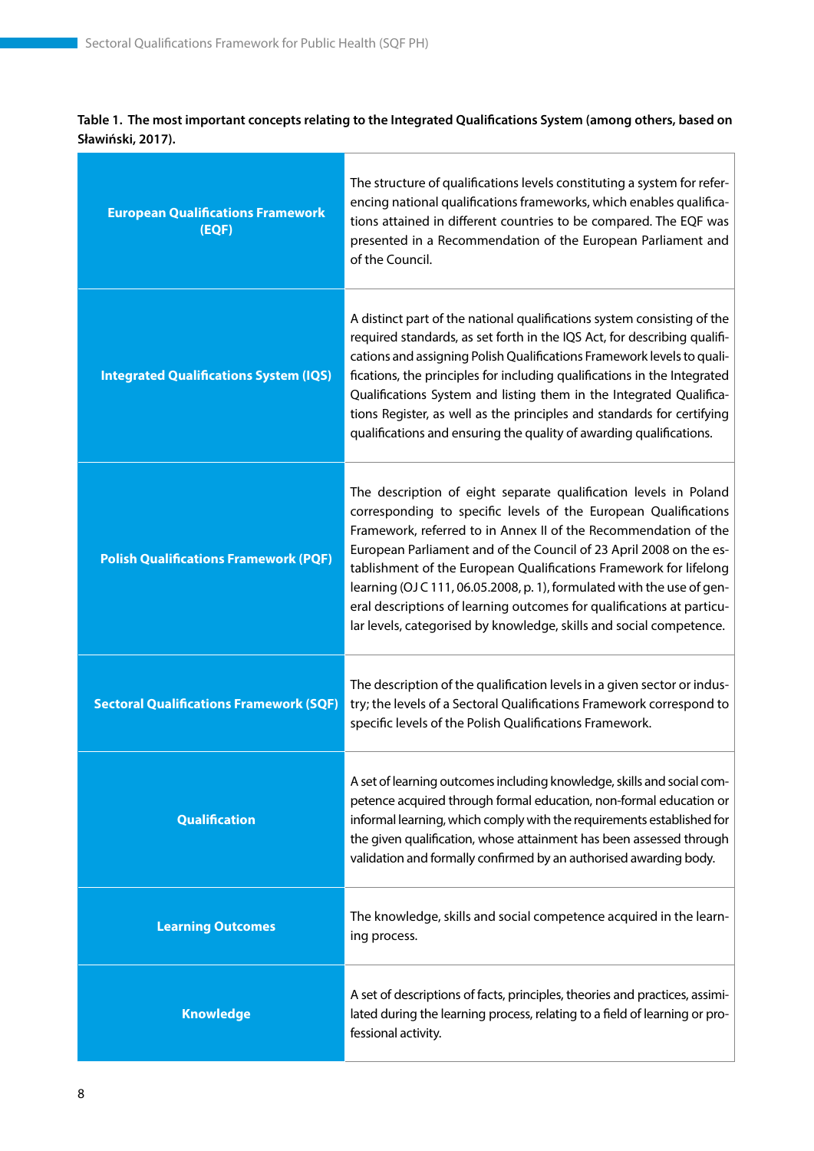### **Table 1. The most important concepts relating to the Integrated Qualifications System (among others, based on Sławiński, 2017).**

| <b>European Qualifications Framework</b><br>(EQF) | The structure of qualifications levels constituting a system for refer-<br>encing national qualifications frameworks, which enables qualifica-<br>tions attained in different countries to be compared. The EQF was<br>presented in a Recommendation of the European Parliament and<br>of the Council.                                                                                                                                                                                                                                                                      |
|---------------------------------------------------|-----------------------------------------------------------------------------------------------------------------------------------------------------------------------------------------------------------------------------------------------------------------------------------------------------------------------------------------------------------------------------------------------------------------------------------------------------------------------------------------------------------------------------------------------------------------------------|
| <b>Integrated Qualifications System (IQS)</b>     | A distinct part of the national qualifications system consisting of the<br>required standards, as set forth in the IQS Act, for describing qualifi-<br>cations and assigning Polish Qualifications Framework levels to quali-<br>fications, the principles for including qualifications in the Integrated<br>Qualifications System and listing them in the Integrated Qualifica-<br>tions Register, as well as the principles and standards for certifying<br>qualifications and ensuring the quality of awarding qualifications.                                           |
| <b>Polish Qualifications Framework (PQF)</b>      | The description of eight separate qualification levels in Poland<br>corresponding to specific levels of the European Qualifications<br>Framework, referred to in Annex II of the Recommendation of the<br>European Parliament and of the Council of 23 April 2008 on the es-<br>tablishment of the European Qualifications Framework for lifelong<br>learning (OJ C 111, 06.05.2008, p. 1), formulated with the use of gen-<br>eral descriptions of learning outcomes for qualifications at particu-<br>lar levels, categorised by knowledge, skills and social competence. |
| <b>Sectoral Qualifications Framework (SQF)</b>    | The description of the qualification levels in a given sector or indus-<br>try; the levels of a Sectoral Qualifications Framework correspond to<br>specific levels of the Polish Qualifications Framework.                                                                                                                                                                                                                                                                                                                                                                  |
| <b>Qualification</b>                              | A set of learning outcomes including knowledge, skills and social com-<br>petence acquired through formal education, non-formal education or<br>informal learning, which comply with the requirements established for<br>the given qualification, whose attainment has been assessed through<br>validation and formally confirmed by an authorised awarding body.                                                                                                                                                                                                           |
| <b>Learning Outcomes</b>                          | The knowledge, skills and social competence acquired in the learn-<br>ing process.                                                                                                                                                                                                                                                                                                                                                                                                                                                                                          |
| <b>Knowledge</b>                                  | A set of descriptions of facts, principles, theories and practices, assimi-<br>lated during the learning process, relating to a field of learning or pro-<br>fessional activity.                                                                                                                                                                                                                                                                                                                                                                                            |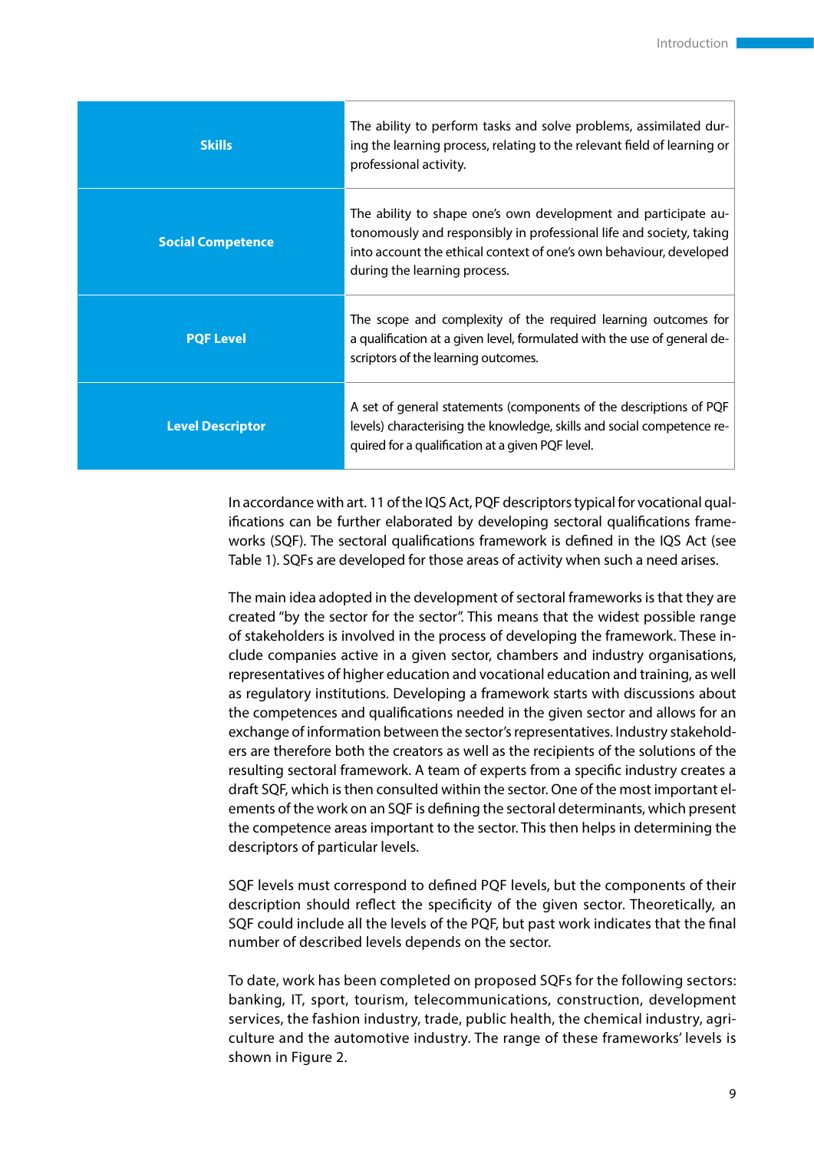| <b>Skills</b>            | The ability to perform tasks and solve problems, assimilated dur-<br>ing the learning process, relating to the relevant field of learning or<br>professional activity.                                                                      |
|--------------------------|---------------------------------------------------------------------------------------------------------------------------------------------------------------------------------------------------------------------------------------------|
| <b>Social Competence</b> | The ability to shape one's own development and participate au-<br>tonomously and responsibly in professional life and society, taking<br>into account the ethical context of one's own behaviour, developed<br>during the learning process. |
| <b>PQF Level</b>         | The scope and complexity of the required learning outcomes for<br>a qualification at a given level, formulated with the use of general de-<br>scriptors of the learning outcomes.                                                           |
| <b>Level Descriptor</b>  | A set of general statements (components of the descriptions of PQF<br>levels) characterising the knowledge, skills and social competence re-<br>quired for a qualification at a given PQF level.                                            |

In accordance with art. 11 of the IQS Act, PQF descriptors typical for vocational qualifications can be further elaborated by developing sectoral qualifications frameworks (SQF). The sectoral qualifications framework is defined in the IQS Act (see Table 1). SQFs are developed for those areas of activity when such a need arises.

The main idea adopted in the development of sectoral frameworks is that they are created ''by the sector for the sector''. This means that the widest possible range of stakeholders is involved in the process of developing the framework. These include companies active in a given sector, chambers and industry organisations, representatives of higher education and vocational education and training, as well as regulatory institutions. Developing a framework starts with discussions about the competences and qualifications needed in the given sector and allows for an exchange of information between the sector's representatives. Industry stakeholders are therefore both the creators as well as the recipients of the solutions of the resulting sectoral framework. A team of experts from a specific industry creates a draft SQF, which is then consulted within the sector. One of the most important elements of the work on an SQF is defining the sectoral determinants, which present the competence areas important to the sector. This then helps in determining the descriptors of particular levels.

SQF levels must correspond to defined PQF levels, but the components of their description should reflect the specificity of the given sector. Theoretically, an SQF could include all the levels of the PQF, but past work indicates that the final number of described levels depends on the sector.

To date, work has been completed on proposed SQFs for the following sectors: banking, IT, sport, tourism, telecommunications, construction, development services, the fashion industry, trade, public health, the chemical industry, agriculture and the automotive industry. The range of these frameworks' levels is shown in Figure 2.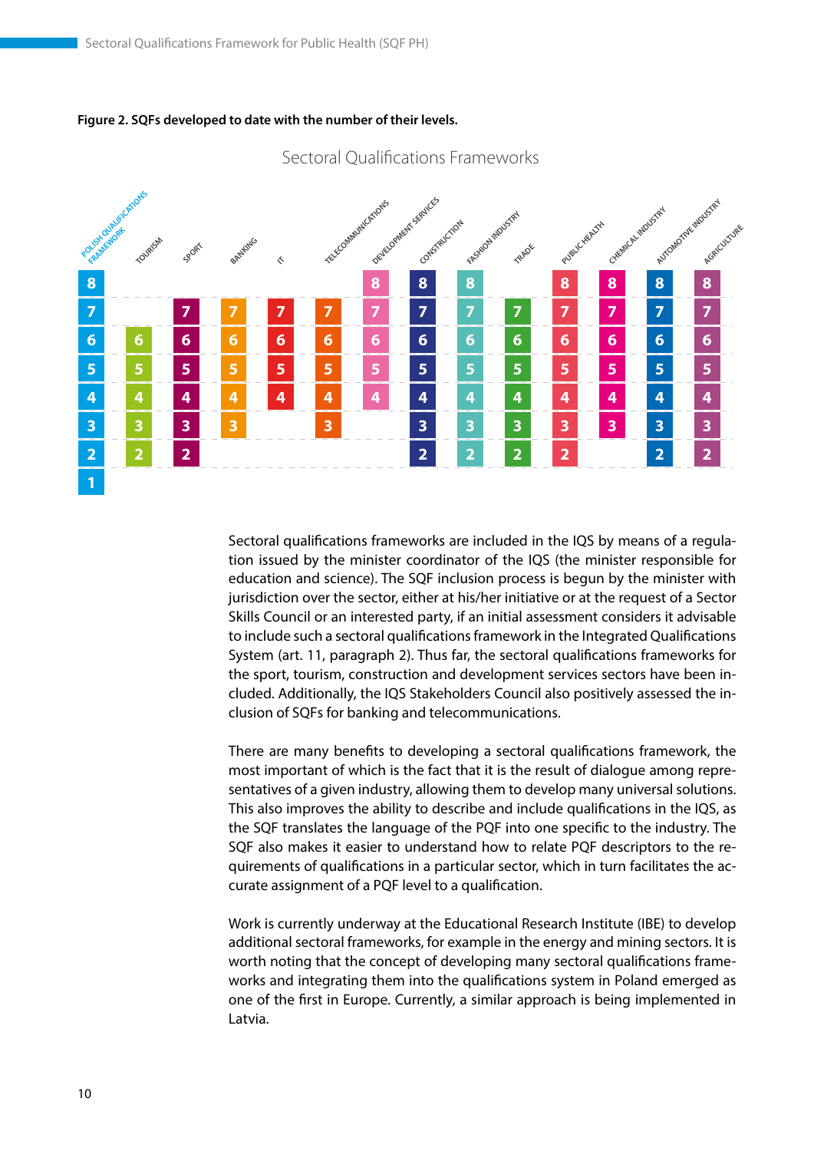

Sectoral Qualifications Frameworks

#### **Figure 2. SQFs developed to date with the number of their levels.**

Sectoral qualifications frameworks are included in the IQS by means of a regulation issued by the minister coordinator of the IQS (the minister responsible for education and science). The SQF inclusion process is begun by the minister with jurisdiction over the sector, either at his/her initiative or at the request of a Sector Skills Council or an interested party, if an initial assessment considers it advisable to include such a sectoral qualifications framework in the Integrated Qualifications System (art. 11, paragraph 2). Thus far, the sectoral qualifications frameworks for the sport, tourism, construction and development services sectors have been included. Additionally, the IQS Stakeholders Council also positively assessed the inclusion of SQFs for banking and telecommunications.

There are many benefits to developing a sectoral qualifications framework, the most important of which is the fact that it is the result of dialogue among representatives of a given industry, allowing them to develop many universal solutions. This also improves the ability to describe and include qualifications in the IQS, as the SQF translates the language of the PQF into one specific to the industry. The SQF also makes it easier to understand how to relate PQF descriptors to the requirements of qualifications in a particular sector, which in turn facilitates the accurate assignment of a PQF level to a qualification.

Work is currently underway at the Educational Research Institute (IBE) to develop additional sectoral frameworks, for example in the energy and mining sectors. It is worth noting that the concept of developing many sectoral qualifications frameworks and integrating them into the qualifications system in Poland emerged as one of the first in Europe. Currently, a similar approach is being implemented in Latvia.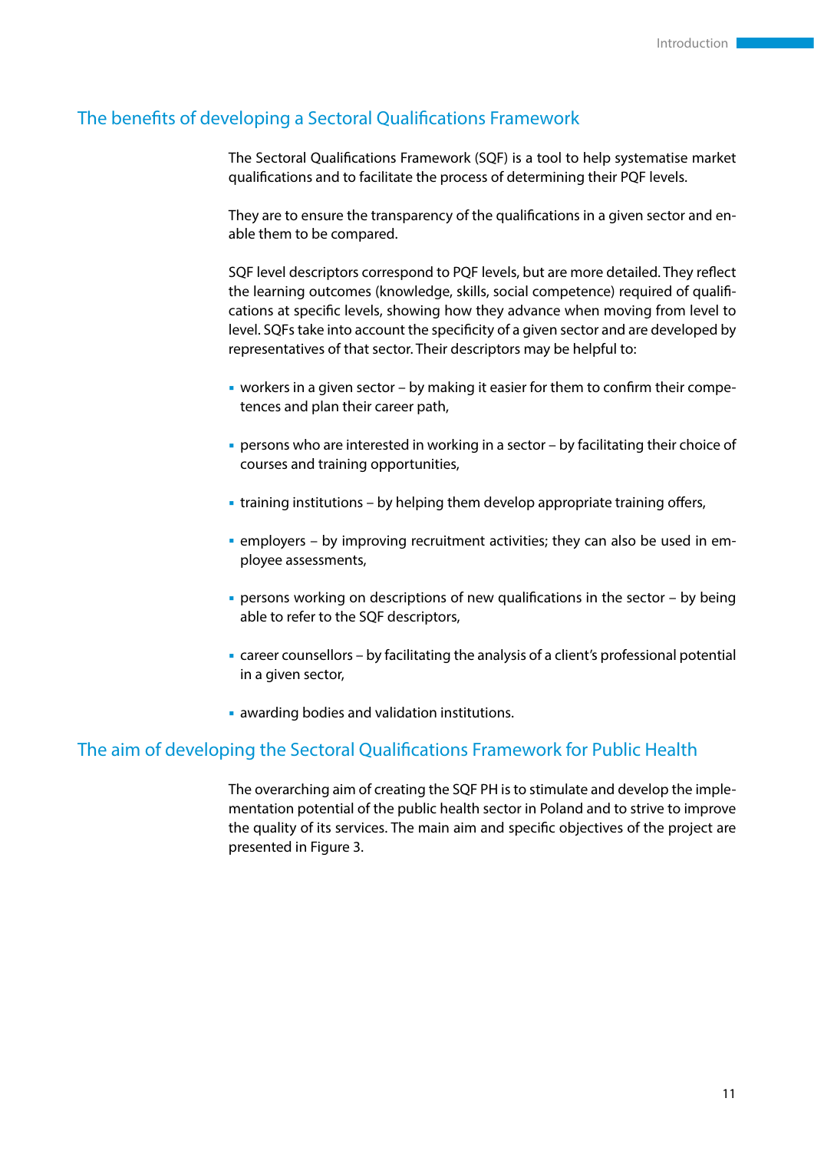# The benefits of developing a Sectoral Qualifications Framework

The Sectoral Qualifications Framework (SQF) is a tool to help systematise market qualifications and to facilitate the process of determining their PQF levels.

They are to ensure the transparency of the qualifications in a given sector and enable them to be compared.

SQF level descriptors correspond to PQF levels, but are more detailed. They reflect the learning outcomes (knowledge, skills, social competence) required of qualifications at specific levels, showing how they advance when moving from level to level. SQFs take into account the specificity of a given sector and are developed by representatives of that sector. Their descriptors may be helpful to:

- workers in a given sector by making it easier for them to confirm their competences and plan their career path,
- persons who are interested in working in a sector by facilitating their choice of courses and training opportunities,
- training institutions by helping them develop appropriate training offers,
- employers by improving recruitment activities; they can also be used in employee assessments,
- persons working on descriptions of new qualifications in the sector by being able to refer to the SQF descriptors,
- career counsellors by facilitating the analysis of a client's professional potential in a given sector,
- awarding bodies and validation institutions.

#### The aim of developing the Sectoral Qualifications Framework for Public Health

The overarching aim of creating the SQF PH is to stimulate and develop the implementation potential of the public health sector in Poland and to strive to improve the quality of its services. The main aim and specific objectives of the project are presented in Figure 3.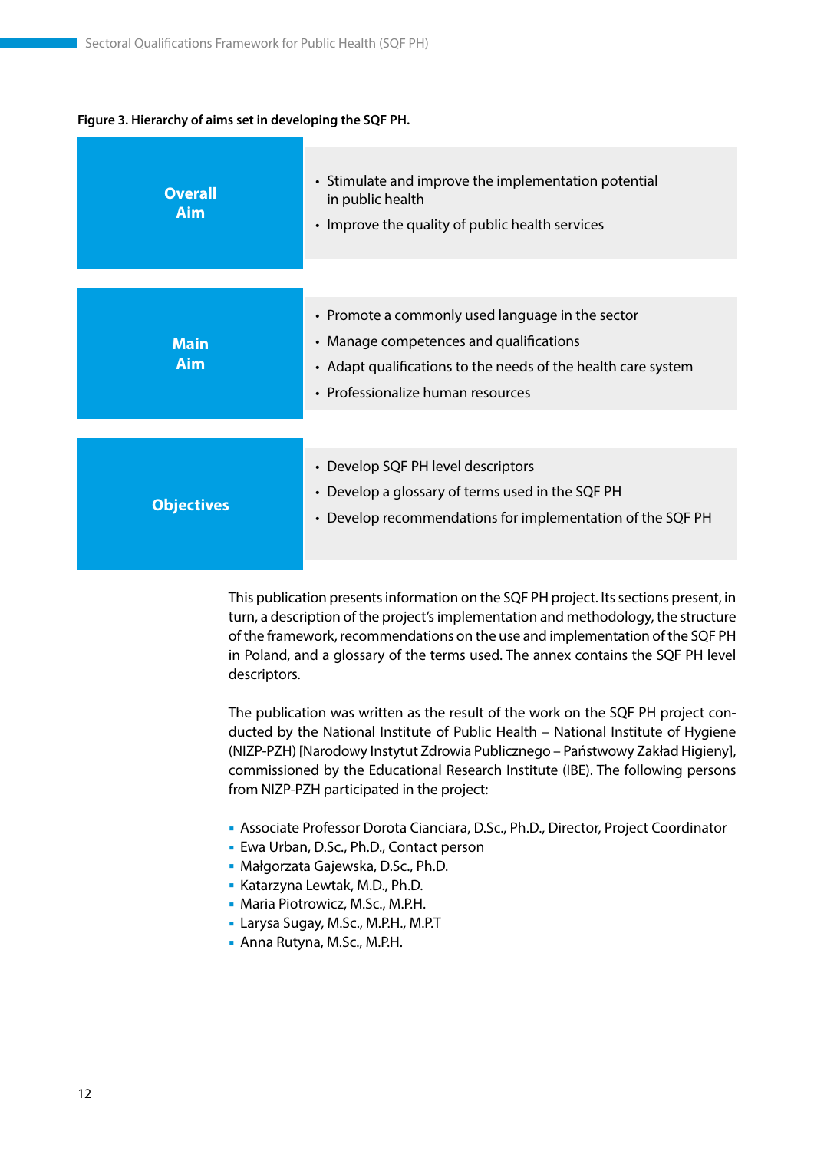#### **Figure 3. Hierarchy of aims set in developing the SQF PH.**

| <b>Overall</b><br><b>Aim</b> | • Stimulate and improve the implementation potential<br>in public health<br>• Improve the quality of public health services                                                                       |
|------------------------------|---------------------------------------------------------------------------------------------------------------------------------------------------------------------------------------------------|
|                              |                                                                                                                                                                                                   |
| <b>Main</b><br><b>Aim</b>    | • Promote a commonly used language in the sector<br>• Manage competences and qualifications<br>• Adapt qualifications to the needs of the health care system<br>• Professionalize human resources |
|                              |                                                                                                                                                                                                   |
| <b>Objectives</b>            | • Develop SQF PH level descriptors<br>Develop a glossary of terms used in the SQF PH<br>$\bullet$<br>Develop recommendations for implementation of the SQF PH<br>$\bullet$                        |

This publication presents information on the SQF PH project. Its sections present, in turn, a description of the project's implementation and methodology, the structure of the framework, recommendations on the use and implementation of the SQF PH in Poland, and a glossary of the terms used. The annex contains the SQF PH level descriptors.

The publication was written as the result of the work on the SQF PH project conducted by the National Institute of Public Health – National Institute of Hygiene (NIZP-PZH) [Narodowy Instytut Zdrowia Publicznego – Państwowy Zakład Higieny], commissioned by the Educational Research Institute (IBE). The following persons from NIZP-PZH participated in the project:

- Associate Professor Dorota Cianciara, D.Sc., Ph.D., Director, Project Coordinator
- Ewa Urban, D.Sc., Ph.D., Contact person
- Małgorzata Gajewska, D.Sc., Ph.D.
- Katarzyna Lewtak, M.D., Ph.D.
- Maria Piotrowicz, M.Sc., M.P.H.
- Larysa Sugay, M.Sc., M.P.H., M.P.T
- Anna Rutyna, M.Sc., M.P.H.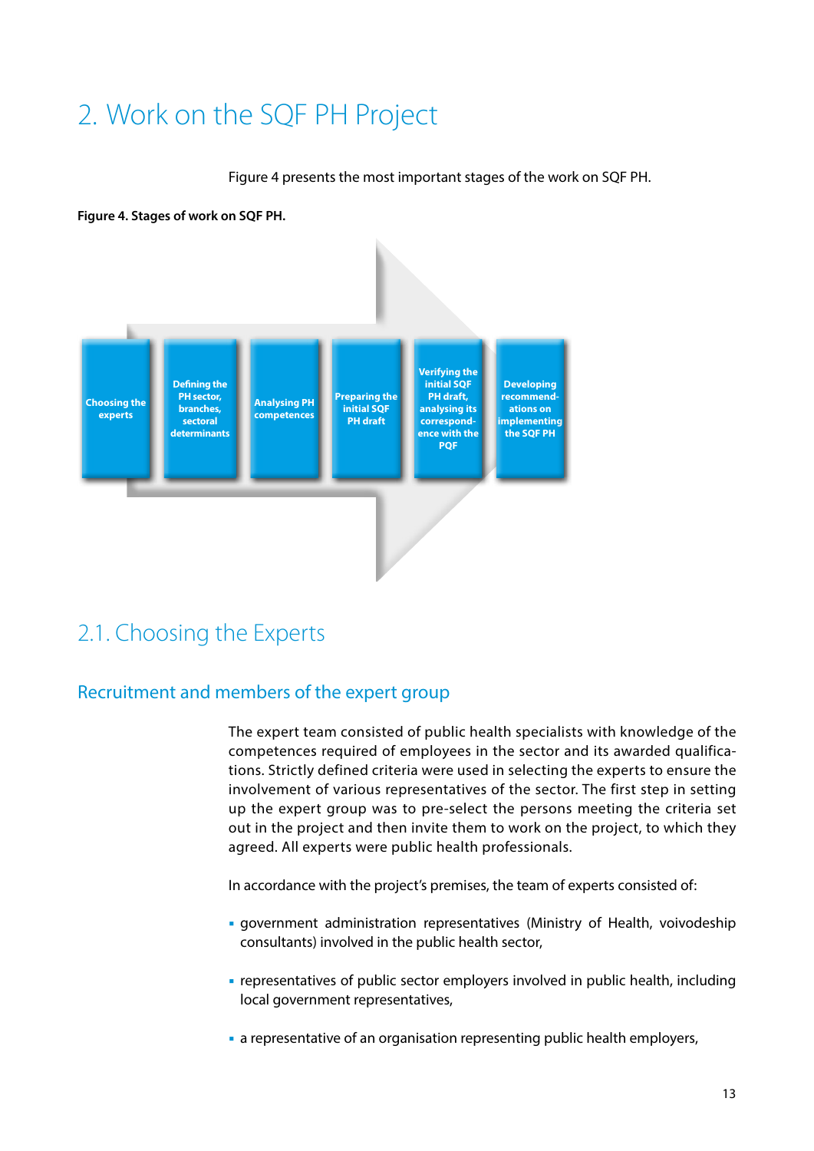# <span id="page-13-0"></span>2. Work on the SQF PH Project

Figure 4 presents the most important stages of the work on SQF PH.

**Figure 4. Stages of work on SQF PH.** 



# 2.1. Choosing the Experts

# Recruitment and members of the expert group

The expert team consisted of public health specialists with knowledge of the competences required of employees in the sector and its awarded qualifications. Strictly defined criteria were used in selecting the experts to ensure the involvement of various representatives of the sector. The first step in setting up the expert group was to pre-select the persons meeting the criteria set out in the project and then invite them to work on the project, to which they agreed. All experts were public health professionals.

In accordance with the project's premises, the team of experts consisted of:

- government administration representatives (Ministry of Health, voivodeship consultants) involved in the public health sector,
- representatives of public sector employers involved in public health, including local government representatives,
- a representative of an organisation representing public health employers,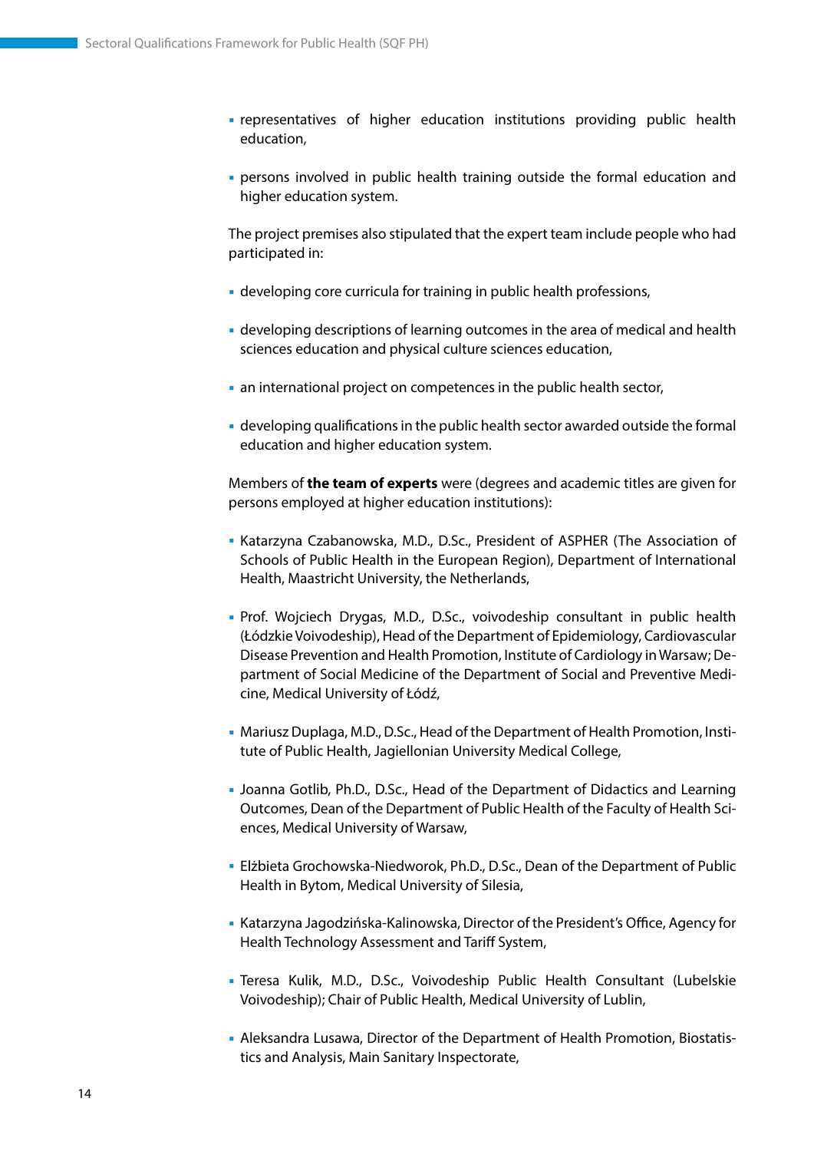- representatives of higher education institutions providing public health education,
- persons involved in public health training outside the formal education and higher education system.

The project premises also stipulated that the expert team include people who had participated in:

- developing core curricula for training in public health professions,
- developing descriptions of learning outcomes in the area of medical and health sciences education and physical culture sciences education,
- an international project on competences in the public health sector,
- developing qualifications in the public health sector awarded outside the formal education and higher education system.

Members of **the team of experts** were (degrees and academic titles are given for persons employed at higher education institutions):

- Katarzyna Czabanowska, M.D., D.Sc., President of ASPHER (The Association of Schools of Public Health in the European Region), Department of International Health, Maastricht University, the Netherlands,
- Prof. Wojciech Drygas, M.D., D.Sc., voivodeship consultant in public health (Łódzkie Voivodeship), Head of the Department of Epidemiology, Cardiovascular Disease Prevention and Health Promotion, Institute of Cardiology in Warsaw; Department of Social Medicine of the Department of Social and Preventive Medicine, Medical University of Łódź,
- Mariusz Duplaga, M.D., D.Sc., Head of the Department of Health Promotion, Institute of Public Health, Jagiellonian University Medical College,
- Joanna Gotlib, Ph.D., D.Sc., Head of the Department of Didactics and Learning Outcomes, Dean of the Department of Public Health of the Faculty of Health Sciences, Medical University of Warsaw,
- Elżbieta Grochowska-Niedworok, Ph.D., D.Sc., Dean of the Department of Public Health in Bytom, Medical University of Silesia,
- Katarzyna Jagodzińska-Kalinowska, Director of the President's Office, Agency for Health Technology Assessment and Tariff System,
- Teresa Kulik, M.D., D.Sc., Voivodeship Public Health Consultant (Lubelskie Voivodeship); Chair of Public Health, Medical University of Lublin,
- Aleksandra Lusawa, Director of the Department of Health Promotion, Biostatistics and Analysis, Main Sanitary Inspectorate,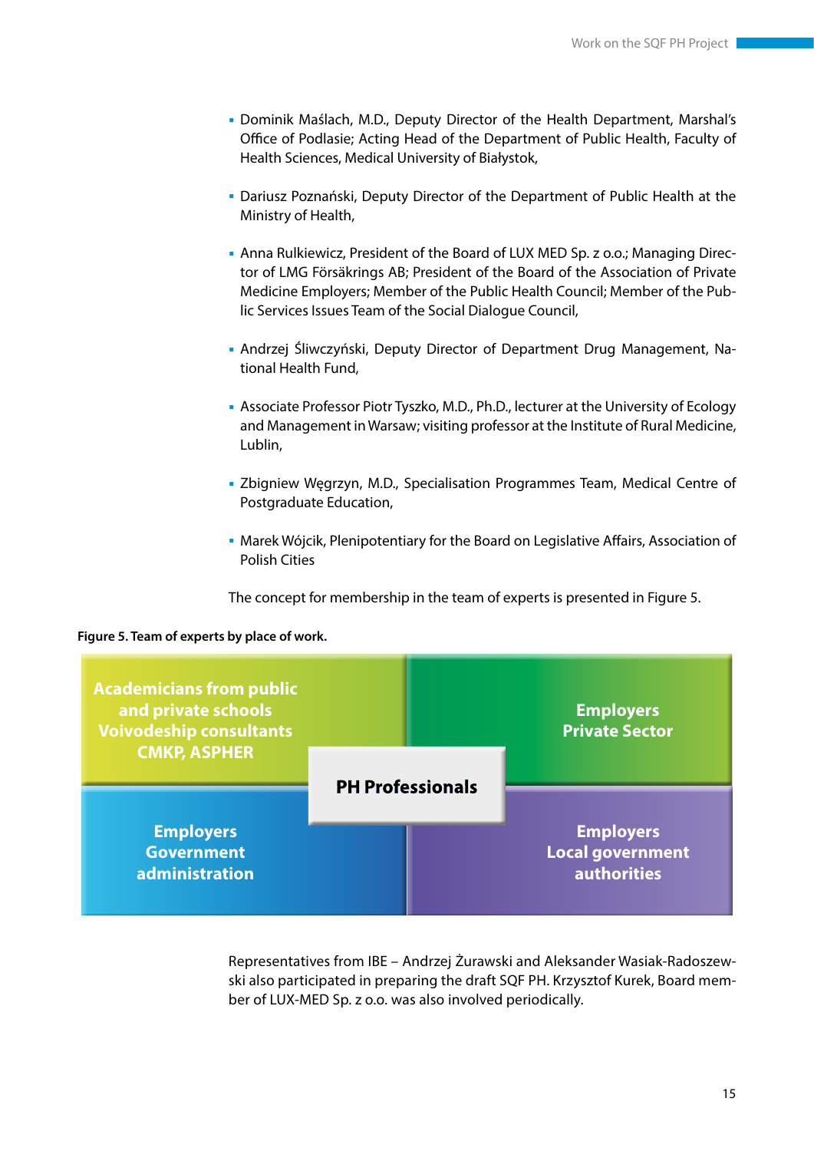- Dominik Maślach, M.D., Deputy Director of the Health Department, Marshal's Office of Podlasie; Acting Head of the Department of Public Health, Faculty of Health Sciences, Medical University of Białystok,
- Dariusz Poznański, Deputy Director of the Department of Public Health at the Ministry of Health,
- Anna Rulkiewicz, President of the Board of LUX MED Sp. z o.o.; Managing Director of LMG Försäkrings AB; President of the Board of the Association of Private Medicine Employers; Member of the Public Health Council; Member of the Public Services Issues Team of the Social Dialogue Council,
- Andrzej Śliwczyński, Deputy Director of Department Drug Management, National Health Fund,
- Associate Professor Piotr Tyszko, M.D., Ph.D., lecturer at the University of Ecology and Management in Warsaw; visiting professor at the Institute of Rural Medicine, Lublin,
- Zbigniew Węgrzyn, M.D., Specialisation Programmes Team, Medical Centre of Postgraduate Education,
- Marek Wójcik, Plenipotentiary for the Board on Legislative Affairs, Association of Polish Cities

The concept for membership in the team of experts is presented in Figure 5.



#### **Figure 5. Team of experts by place of work.**

Representatives from IBE – Andrzej Żurawski and Aleksander Wasiak-Radoszewski also participated in preparing the draft SQF PH. Krzysztof Kurek, Board member of LUX-MED Sp. z o.o. was also involved periodically.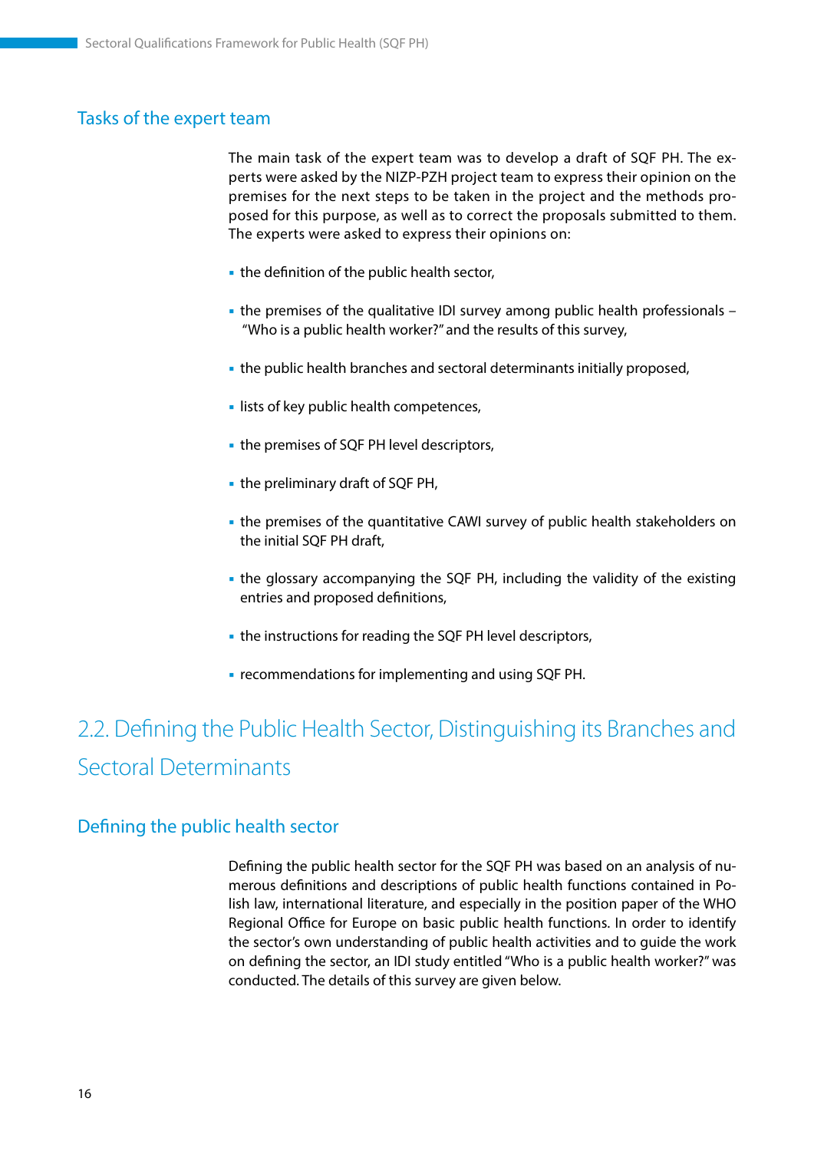### <span id="page-16-0"></span>Tasks of the expert team

The main task of the expert team was to develop a draft of SQF PH. The experts were asked by the NIZP-PZH project team to express their opinion on the premises for the next steps to be taken in the project and the methods proposed for this purpose, as well as to correct the proposals submitted to them. The experts were asked to express their opinions on:

- $\blacksquare$  the definition of the public health sector,
- the premises of the qualitative IDI survey among public health professionals "Who is a public health worker?" and the results of this survey,
- the public health branches and sectoral determinants initially proposed,
- **I lists of key public health competences,**
- **the premises of SQF PH level descriptors,**
- the preliminary draft of SQF PH,
- the premises of the quantitative CAWI survey of public health stakeholders on the initial SQF PH draft,
- the glossary accompanying the SQF PH, including the validity of the existing entries and proposed definitions,
- the instructions for reading the SQF PH level descriptors,
- **recommendations for implementing and using SQF PH.**

# 2.2. Defining the Public Health Sector, Distinguishing its Branches and Sectoral Determinants

#### Defining the public health sector

Defining the public health sector for the SQF PH was based on an analysis of numerous definitions and descriptions of public health functions contained in Polish law, international literature, and especially in the position paper of the WHO Regional Office for Europe on basic public health functions. In order to identify the sector's own understanding of public health activities and to guide the work on defining the sector, an IDI study entitled "Who is a public health worker?" was conducted. The details of this survey are given below.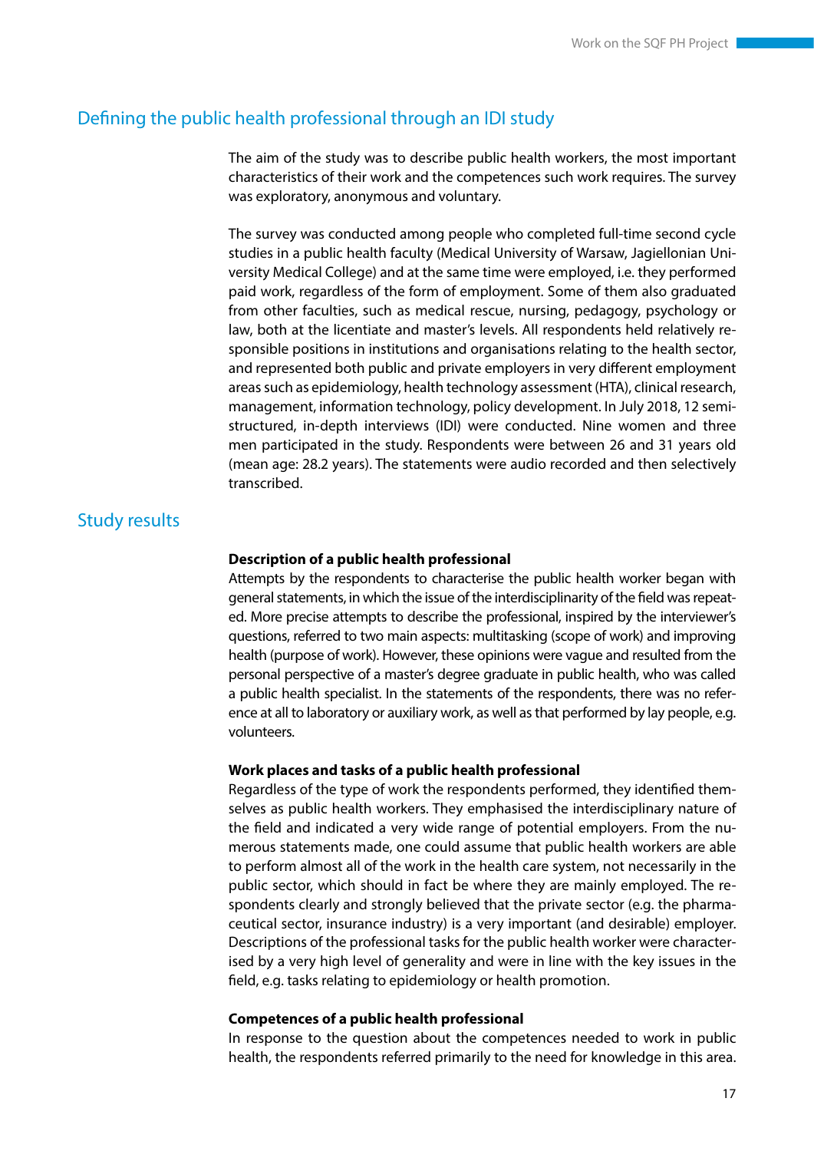## Defining the public health professional through an IDI study

The aim of the study was to describe public health workers, the most important characteristics of their work and the competences such work requires. The survey was exploratory, anonymous and voluntary.

The survey was conducted among people who completed full-time second cycle studies in a public health faculty (Medical University of Warsaw, Jagiellonian University Medical College) and at the same time were employed, i.e. they performed paid work, regardless of the form of employment. Some of them also graduated from other faculties, such as medical rescue, nursing, pedagogy, psychology or law, both at the licentiate and master's levels. All respondents held relatively responsible positions in institutions and organisations relating to the health sector, and represented both public and private employers in very different employment areas such as epidemiology, health technology assessment (HTA), clinical research, management, information technology, policy development. In July 2018, 12 semistructured, in-depth interviews (IDI) were conducted. Nine women and three men participated in the study. Respondents were between 26 and 31 years old (mean age: 28.2 years). The statements were audio recorded and then selectively transcribed.

# Study results

#### **Description of a public health professional**

Attempts by the respondents to characterise the public health worker began with general statements, in which the issue of the interdisciplinarity of the field was repeated. More precise attempts to describe the professional, inspired by the interviewer's questions, referred to two main aspects: multitasking (scope of work) and improving health (purpose of work). However, these opinions were vague and resulted from the personal perspective of a master's degree graduate in public health, who was called a public health specialist. In the statements of the respondents, there was no reference at all to laboratory or auxiliary work, as well as that performed by lay people, e.g. volunteers.

#### **Work places and tasks of a public health professional**

Regardless of the type of work the respondents performed, they identified themselves as public health workers. They emphasised the interdisciplinary nature of the field and indicated a very wide range of potential employers. From the numerous statements made, one could assume that public health workers are able to perform almost all of the work in the health care system, not necessarily in the public sector, which should in fact be where they are mainly employed. The respondents clearly and strongly believed that the private sector (e.g. the pharmaceutical sector, insurance industry) is a very important (and desirable) employer. Descriptions of the professional tasks for the public health worker were characterised by a very high level of generality and were in line with the key issues in the field, e.g. tasks relating to epidemiology or health promotion.

#### **Competences of a public health professional**

In response to the question about the competences needed to work in public health, the respondents referred primarily to the need for knowledge in this area.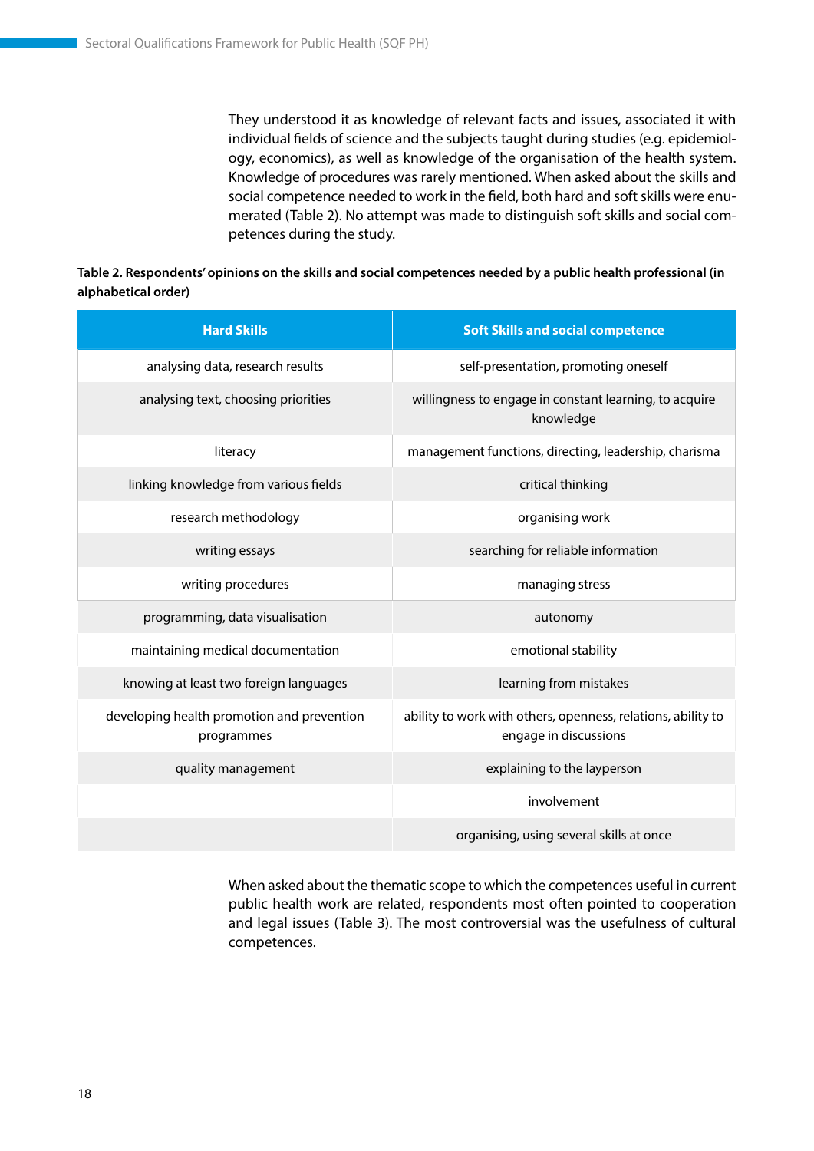They understood it as knowledge of relevant facts and issues, associated it with individual fields of science and the subjects taught during studies (e.g. epidemiology, economics), as well as knowledge of the organisation of the health system. Knowledge of procedures was rarely mentioned. When asked about the skills and social competence needed to work in the field, both hard and soft skills were enumerated (Table 2). No attempt was made to distinguish soft skills and social competences during the study.

#### **Table 2. Respondents' opinions on the skills and social competences needed by a public health professional (in alphabetical order)**

| <b>Hard Skills</b>                                       | <b>Soft Skills and social competence</b>                                              |
|----------------------------------------------------------|---------------------------------------------------------------------------------------|
| analysing data, research results                         | self-presentation, promoting oneself                                                  |
| analysing text, choosing priorities                      | willingness to engage in constant learning, to acquire<br>knowledge                   |
| literacy                                                 | management functions, directing, leadership, charisma                                 |
| linking knowledge from various fields                    | critical thinking                                                                     |
| research methodology                                     | organising work                                                                       |
| writing essays                                           | searching for reliable information                                                    |
| writing procedures                                       | managing stress                                                                       |
| programming, data visualisation                          | autonomy                                                                              |
| maintaining medical documentation                        | emotional stability                                                                   |
| knowing at least two foreign languages                   | learning from mistakes                                                                |
| developing health promotion and prevention<br>programmes | ability to work with others, openness, relations, ability to<br>engage in discussions |
| quality management                                       | explaining to the layperson                                                           |
|                                                          | involvement                                                                           |
|                                                          | organising, using several skills at once                                              |

When asked about the thematic scope to which the competences useful in current public health work are related, respondents most often pointed to cooperation and legal issues (Table 3). The most controversial was the usefulness of cultural competences.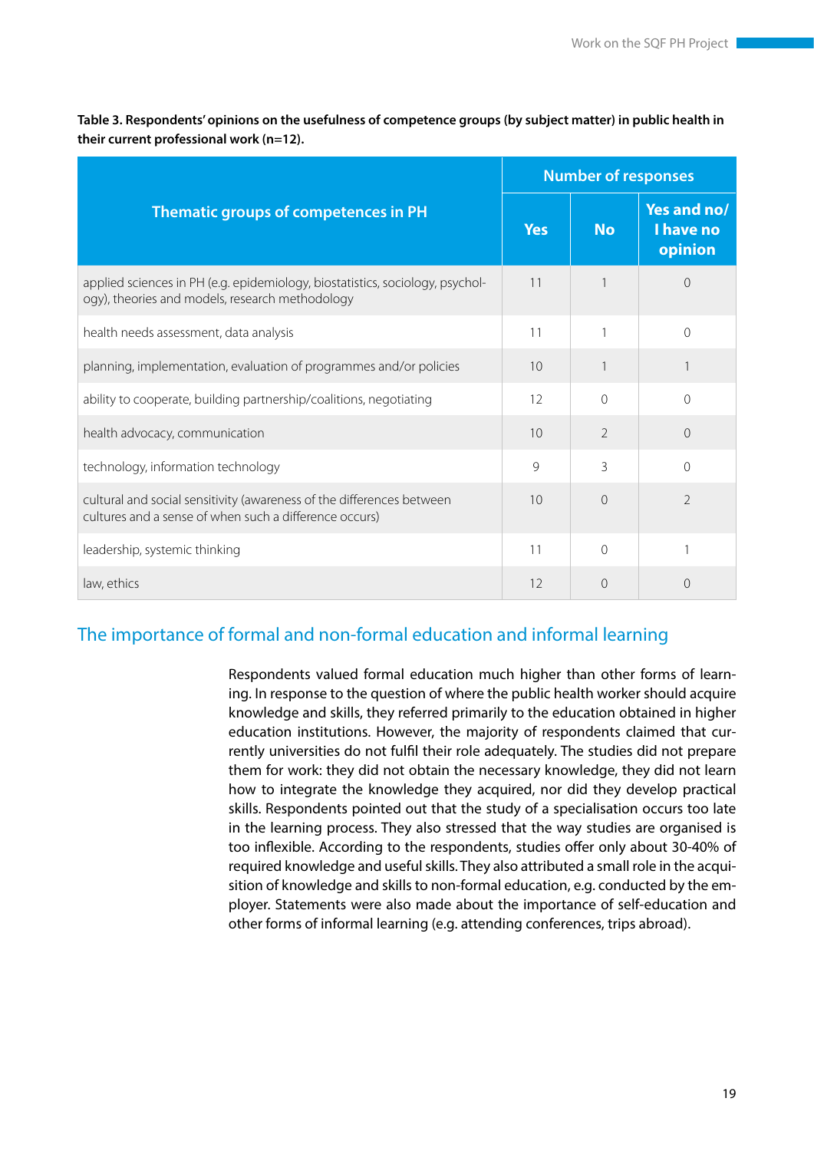|                                                                                                                                  |              | <b>Number of responses</b> |                                     |  |
|----------------------------------------------------------------------------------------------------------------------------------|--------------|----------------------------|-------------------------------------|--|
| Thematic groups of competences in PH                                                                                             | <b>Yes</b>   | <b>No</b>                  | Yes and no/<br>I have no<br>opinion |  |
| applied sciences in PH (e.g. epidemiology, biostatistics, sociology, psychol-<br>ogy), theories and models, research methodology | 11           |                            | $\left( \right)$                    |  |
| health needs assessment, data analysis                                                                                           | 11           |                            | $\Omega$                            |  |
| planning, implementation, evaluation of programmes and/or policies                                                               | 10           |                            |                                     |  |
| ability to cooperate, building partnership/coalitions, negotiating                                                               | 12           | $\Omega$                   | $\Omega$                            |  |
| health advocacy, communication                                                                                                   | 10           | $\overline{2}$             | $\Omega$                            |  |
| technology, information technology                                                                                               | $\mathsf{Q}$ | $\mathcal{E}$              | $\Omega$                            |  |
| cultural and social sensitivity (awareness of the differences between<br>cultures and a sense of when such a difference occurs)  | 10           | $\Omega$                   | $\overline{2}$                      |  |
| leadership, systemic thinking                                                                                                    | 11           | $\Omega$                   |                                     |  |
| law, ethics                                                                                                                      | 12           | $\Omega$                   | $\Omega$                            |  |

**Table 3. Respondents' opinions on the usefulness of competence groups (by subject matter) in public health in their current professional work (n=12).**

# The importance of formal and non-formal education and informal learning

Respondents valued formal education much higher than other forms of learning. In response to the question of where the public health worker should acquire knowledge and skills, they referred primarily to the education obtained in higher education institutions. However, the majority of respondents claimed that currently universities do not fulfil their role adequately. The studies did not prepare them for work: they did not obtain the necessary knowledge, they did not learn how to integrate the knowledge they acquired, nor did they develop practical skills. Respondents pointed out that the study of a specialisation occurs too late in the learning process. They also stressed that the way studies are organised is too inflexible. According to the respondents, studies offer only about 30-40% of required knowledge and useful skills. They also attributed a small role in the acquisition of knowledge and skills to non-formal education, e.g. conducted by the employer. Statements were also made about the importance of self-education and other forms of informal learning (e.g. attending conferences, trips abroad).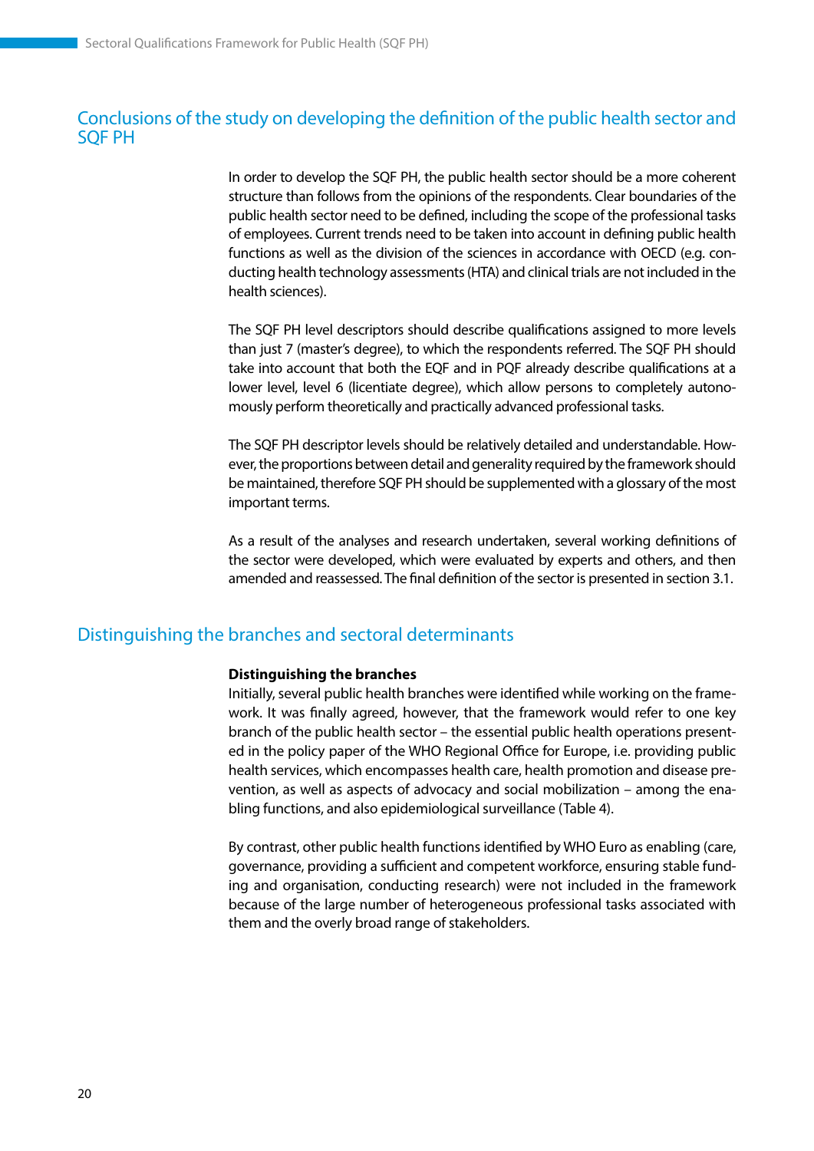# Conclusions of the study on developing the definition of the public health sector and SQF PH

In order to develop the SQF PH, the public health sector should be a more coherent structure than follows from the opinions of the respondents. Clear boundaries of the public health sector need to be defined, including the scope of the professional tasks of employees. Current trends need to be taken into account in defining public health functions as well as the division of the sciences in accordance with OECD (e.g. conducting health technology assessments (HTA) and clinical trials are not included in the health sciences).

The SQF PH level descriptors should describe qualifications assigned to more levels than just 7 (master's degree), to which the respondents referred. The SQF PH should take into account that both the EQF and in PQF already describe qualifications at a lower level, level 6 (licentiate degree), which allow persons to completely autonomously perform theoretically and practically advanced professional tasks.

The SQF PH descriptor levels should be relatively detailed and understandable. However, the proportions between detail and generality required by the framework should be maintained, therefore SQF PH should be supplemented with a glossary of the most important terms.

As a result of the analyses and research undertaken, several working definitions of the sector were developed, which were evaluated by experts and others, and then amended and reassessed. The final definition of the sector is presented in section 3.1.

# Distinguishing the branches and sectoral determinants

#### **Distinguishing the branches**

Initially, several public health branches were identified while working on the framework. It was finally agreed, however, that the framework would refer to one key branch of the public health sector – the essential public health operations presented in the policy paper of the WHO Regional Office for Europe, i.e. providing public health services, which encompasses health care, health promotion and disease prevention, as well as aspects of advocacy and social mobilization – among the enabling functions, and also epidemiological surveillance (Table 4).

By contrast, other public health functions identified by WHO Euro as enabling (care, governance, providing a sufficient and competent workforce, ensuring stable funding and organisation, conducting research) were not included in the framework because of the large number of heterogeneous professional tasks associated with them and the overly broad range of stakeholders.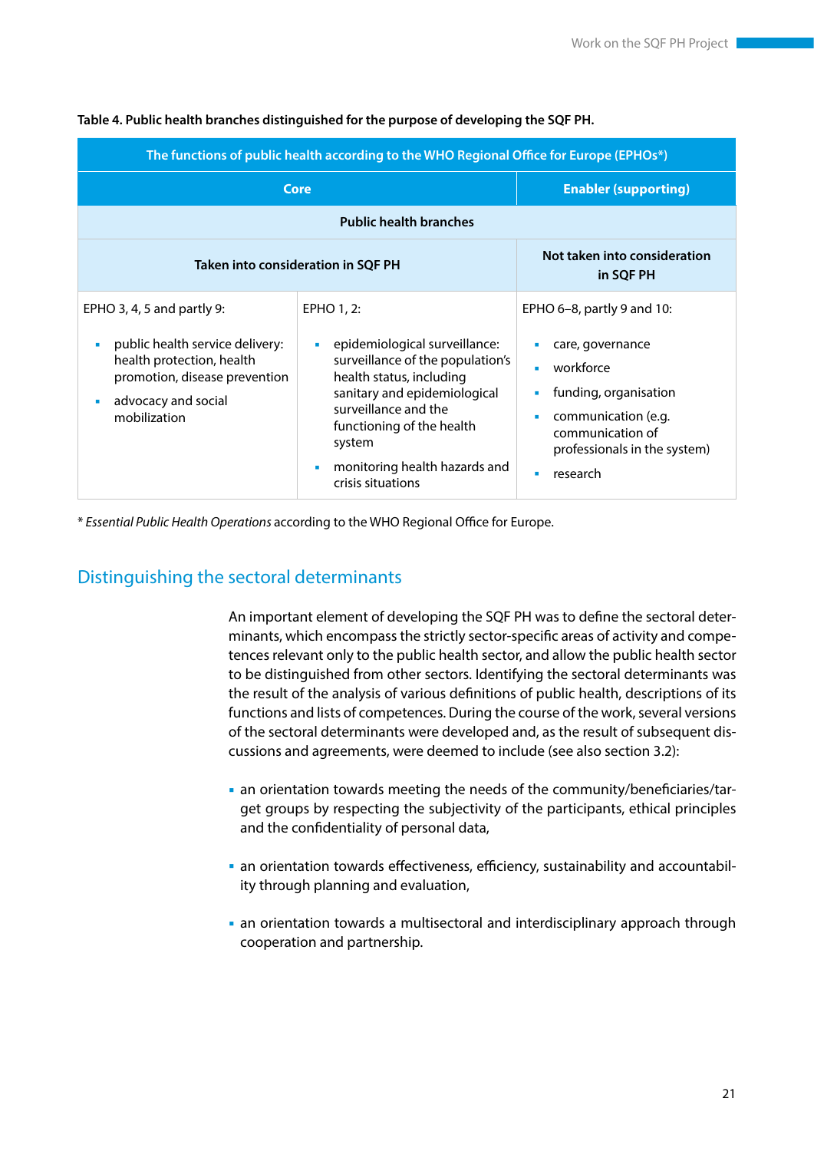| The functions of public health according to the WHO Regional Office for Europe (EPHOs*)                                                                                      |                                                                                                                                                                                                                                                                            |                                                                                                                                                                             |  |  |
|------------------------------------------------------------------------------------------------------------------------------------------------------------------------------|----------------------------------------------------------------------------------------------------------------------------------------------------------------------------------------------------------------------------------------------------------------------------|-----------------------------------------------------------------------------------------------------------------------------------------------------------------------------|--|--|
| Core                                                                                                                                                                         |                                                                                                                                                                                                                                                                            | <b>Enabler (supporting)</b>                                                                                                                                                 |  |  |
|                                                                                                                                                                              | <b>Public health branches</b>                                                                                                                                                                                                                                              |                                                                                                                                                                             |  |  |
| <b>Taken into consideration in SQF PH</b>                                                                                                                                    |                                                                                                                                                                                                                                                                            | Not taken into consideration<br>in SQF PH                                                                                                                                   |  |  |
| EPHO 3, 4, 5 and partly 9:<br>public health service delivery:<br>×<br>health protection, health<br>promotion, disease prevention<br>advocacy and social<br>×<br>mobilization | EPHO 1, 2:<br>epidemiological surveillance:<br>٠<br>surveillance of the population's<br>health status, including<br>sanitary and epidemiological<br>surveillance and the<br>functioning of the health<br>system<br>monitoring health hazards and<br>×<br>crisis situations | EPHO 6–8, partly 9 and 10:<br>care, governance<br>workforce<br>funding, organisation<br>communication (e.g.<br>communication of<br>professionals in the system)<br>research |  |  |

#### **Table 4. Public health branches distinguished for the purpose of developing the SQF PH.**

\* *Essential Public Health Operations* according to the WHO Regional Office for Europe.

# Distinguishing the sectoral determinants

An important element of developing the SQF PH was to define the sectoral determinants, which encompass the strictly sector-specific areas of activity and competences relevant only to the public health sector, and allow the public health sector to be distinguished from other sectors. Identifying the sectoral determinants was the result of the analysis of various definitions of public health, descriptions of its functions and lists of competences. During the course of the work, several versions of the sectoral determinants were developed and, as the result of subsequent discussions and agreements, were deemed to include (see also section 3.2):

- an orientation towards meeting the needs of the community/beneficiaries/target groups by respecting the subjectivity of the participants, ethical principles and the confidentiality of personal data,
- an orientation towards effectiveness, efficiency, sustainability and accountability through planning and evaluation,
- an orientation towards a multisectoral and interdisciplinary approach through cooperation and partnership.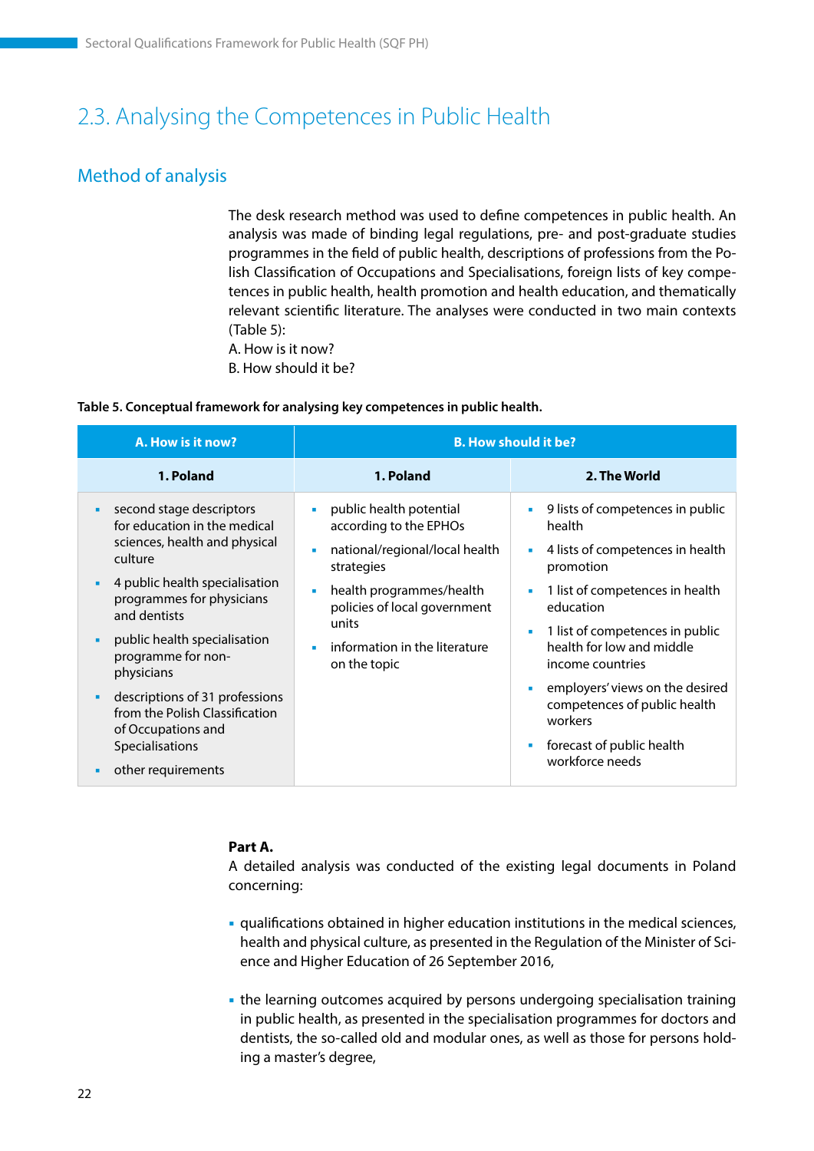# <span id="page-22-0"></span>2.3. Analysing the Competences in Public Health

# Method of analysis

The desk research method was used to define competences in public health. An analysis was made of binding legal regulations, pre- and post-graduate studies programmes in the field of public health, descriptions of professions from the Polish Classification of Occupations and Specialisations, foreign lists of key competences in public health, health promotion and health education, and thematically relevant scientific literature. The analyses were conducted in two main contexts (Table 5):

A. How is it now? B. How should it be?

**Table 5. Conceptual framework for analysing key competences in public health.**

| A. How is it now?                                                                                                                                                                                                                                                                                                                                                                                         | <b>B. How should it be?</b>                                                                                                                                                                                                                              |                                                                                                                                                                                                                                                                                                                                                                                                           |  |
|-----------------------------------------------------------------------------------------------------------------------------------------------------------------------------------------------------------------------------------------------------------------------------------------------------------------------------------------------------------------------------------------------------------|----------------------------------------------------------------------------------------------------------------------------------------------------------------------------------------------------------------------------------------------------------|-----------------------------------------------------------------------------------------------------------------------------------------------------------------------------------------------------------------------------------------------------------------------------------------------------------------------------------------------------------------------------------------------------------|--|
| 1. Poland                                                                                                                                                                                                                                                                                                                                                                                                 | 1. Poland                                                                                                                                                                                                                                                | 2. The World                                                                                                                                                                                                                                                                                                                                                                                              |  |
| second stage descriptors<br>٠<br>for education in the medical<br>sciences, health and physical<br>culture<br>4 public health specialisation<br>programmes for physicians<br>and dentists<br>public health specialisation<br>٠<br>programme for non-<br>physicians<br>descriptions of 31 professions<br>٠<br>from the Polish Classification<br>of Occupations and<br>Specialisations<br>other requirements | public health potential<br>$\blacksquare$<br>according to the EPHOs<br>national/regional/local health<br>٠<br>strategies<br>health programmes/health<br>×<br>policies of local government<br>units<br>information in the literature<br>٠<br>on the topic | 9 lists of competences in public<br>٠<br>health<br>4 lists of competences in health<br>×.<br>promotion<br>1 list of competences in health<br>$\blacksquare$<br>education<br>1 list of competences in public<br>п<br>health for low and middle<br>income countries<br>employers' views on the desired<br>×<br>competences of public health<br>workers<br>forecast of public health<br>٠<br>workforce needs |  |

#### **Part A.**

A detailed analysis was conducted of the existing legal documents in Poland concerning:

- qualifications obtained in higher education institutions in the medical sciences, health and physical culture, as presented in the Regulation of the Minister of Science and Higher Education of 26 September 2016,
- the learning outcomes acquired by persons undergoing specialisation training in public health, as presented in the specialisation programmes for doctors and dentists, the so-called old and modular ones, as well as those for persons holding a master's degree,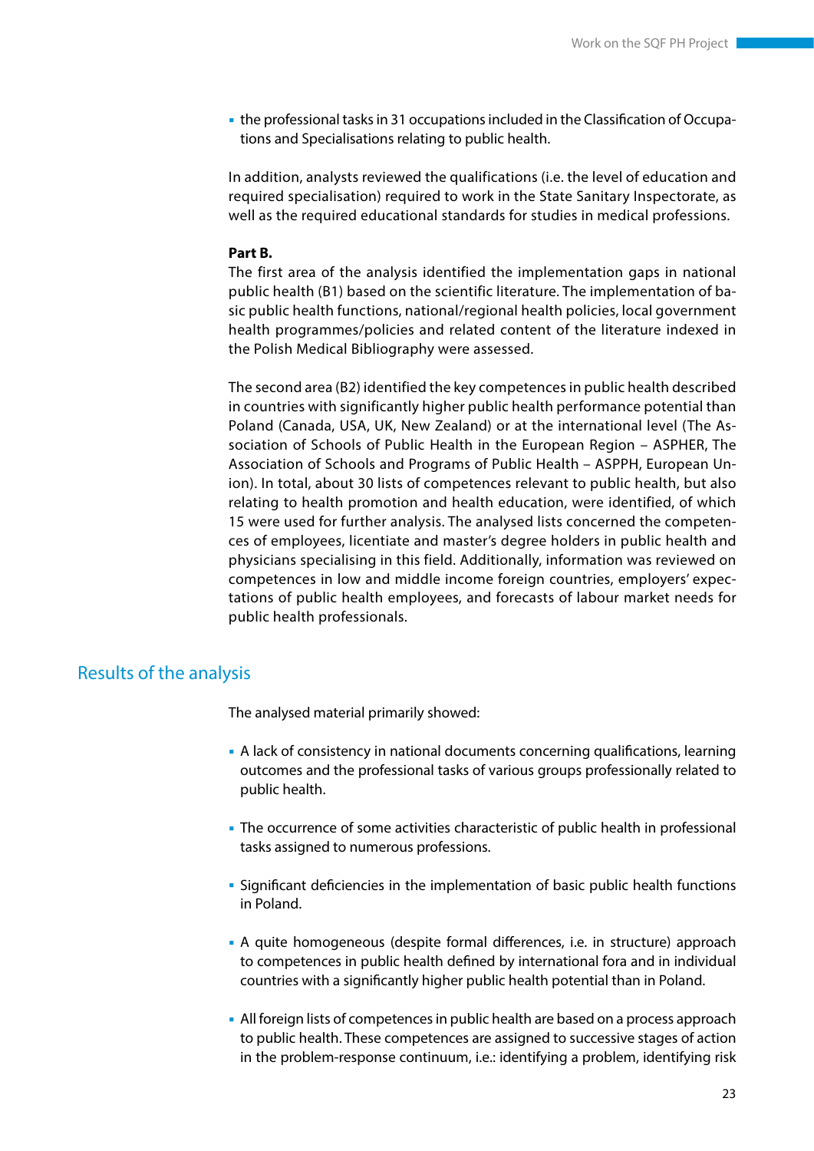the professional tasks in 31 occupations included in the Classification of Occupations and Specialisations relating to public health.

In addition, analysts reviewed the qualifications (i.e. the level of education and required specialisation) required to work in the State Sanitary Inspectorate, as well as the required educational standards for studies in medical professions.

#### **Part B.**

The first area of the analysis identified the implementation gaps in national public health (B1) based on the scientific literature. The implementation of basic public health functions, national/regional health policies, local government health programmes/policies and related content of the literature indexed in the Polish Medical Bibliography were assessed.

The second area (B2) identified the key competences in public health described in countries with significantly higher public health performance potential than Poland (Canada, USA, UK, New Zealand) or at the international level (The Association of Schools of Public Health in the European Region – ASPHER, The Association of Schools and Programs of Public Health – ASPPH, European Union). In total, about 30 lists of competences relevant to public health, but also relating to health promotion and health education, were identified, of which 15 were used for further analysis. The analysed lists concerned the competences of employees, licentiate and master's degree holders in public health and physicians specialising in this field. Additionally, information was reviewed on competences in low and middle income foreign countries, employers' expectations of public health employees, and forecasts of labour market needs for public health professionals.

### Results of the analysis

The analysed material primarily showed:

- A lack of consistency in national documents concerning qualifications, learning outcomes and the professional tasks of various groups professionally related to public health.
- The occurrence of some activities characteristic of public health in professional tasks assigned to numerous professions.
- Significant deficiencies in the implementation of basic public health functions in Poland.
- A quite homogeneous (despite formal differences, i.e. in structure) approach to competences in public health defined by international fora and in individual countries with a significantly higher public health potential than in Poland.
- All foreign lists of competences in public health are based on a process approach to public health. These competences are assigned to successive stages of action in the problem-response continuum, i.e.: identifying a problem, identifying risk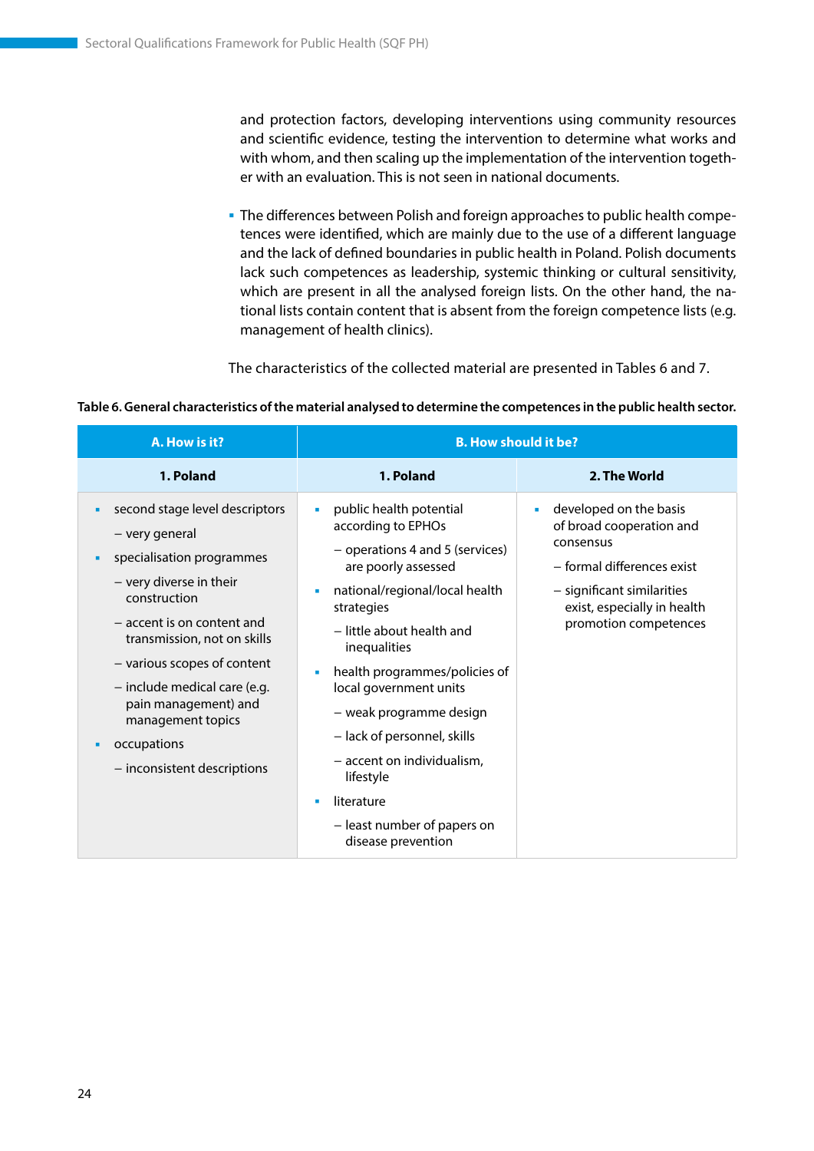and protection factors, developing interventions using community resources and scientific evidence, testing the intervention to determine what works and with whom, and then scaling up the implementation of the intervention together with an evaluation. This is not seen in national documents.

 The differences between Polish and foreign approaches to public health competences were identified, which are mainly due to the use of a different language and the lack of defined boundaries in public health in Poland. Polish documents lack such competences as leadership, systemic thinking or cultural sensitivity, which are present in all the analysed foreign lists. On the other hand, the national lists contain content that is absent from the foreign competence lists (e.g. management of health clinics).

The characteristics of the collected material are presented in Tables 6 and 7.

**Table 6. General characteristics of the material analysed to determine the competences in the public health sector.**

| A. How is it?                                                                                                                                                                                                                                                                                                                                             | <b>B. How should it be?</b>                                                                                                                                                                                                                                                                                                                                                                                                                            |                                                                                                                                                                                     |
|-----------------------------------------------------------------------------------------------------------------------------------------------------------------------------------------------------------------------------------------------------------------------------------------------------------------------------------------------------------|--------------------------------------------------------------------------------------------------------------------------------------------------------------------------------------------------------------------------------------------------------------------------------------------------------------------------------------------------------------------------------------------------------------------------------------------------------|-------------------------------------------------------------------------------------------------------------------------------------------------------------------------------------|
| 1. Poland                                                                                                                                                                                                                                                                                                                                                 | 1. Poland                                                                                                                                                                                                                                                                                                                                                                                                                                              | 2. The World                                                                                                                                                                        |
| second stage level descriptors<br>٠<br>- very general<br>specialisation programmes<br>٠<br>- very diverse in their<br>construction<br>- accent is on content and<br>transmission, not on skills<br>- various scopes of content<br>- include medical care (e.g.<br>pain management) and<br>management topics<br>occupations<br>- inconsistent descriptions | public health potential<br>×<br>according to EPHOs<br>- operations 4 and 5 (services)<br>are poorly assessed<br>national/regional/local health<br>×<br>strategies<br>- little about health and<br>inequalities<br>health programmes/policies of<br>local government units<br>- weak programme design<br>- lack of personnel, skills<br>- accent on individualism,<br>lifestyle<br>literature<br>٠<br>- least number of papers on<br>disease prevention | developed on the basis<br>of broad cooperation and<br>consensus<br>- formal differences exist<br>- significant similarities<br>exist, especially in health<br>promotion competences |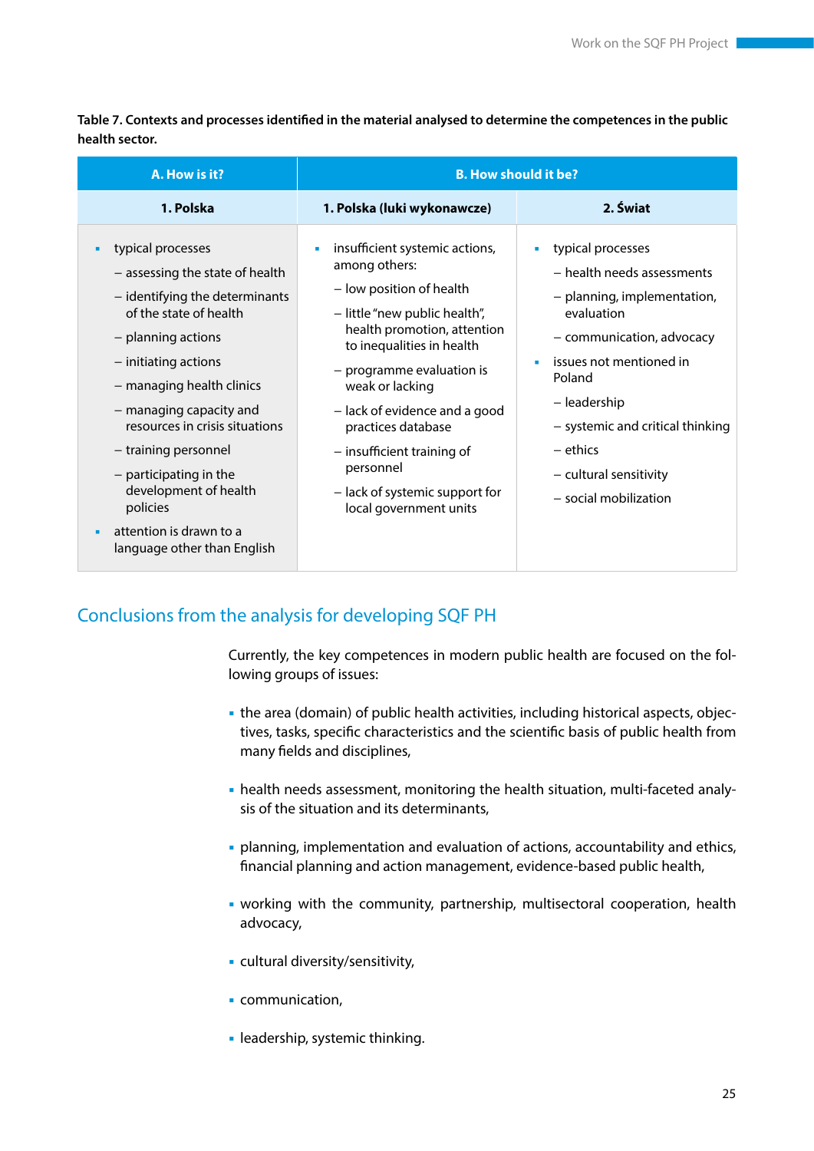**Table 7. Contexts and processes identified in the material analysed to determine the competences in the public health sector.** 

| A. How is it?                                                                                                                                                                                                                                                                                                                                                                                                    |                                                                                                                                                                                                                                                                                                                                                                                              | <b>B. How should it be?</b>                                                                                                                                                                                                                                                         |
|------------------------------------------------------------------------------------------------------------------------------------------------------------------------------------------------------------------------------------------------------------------------------------------------------------------------------------------------------------------------------------------------------------------|----------------------------------------------------------------------------------------------------------------------------------------------------------------------------------------------------------------------------------------------------------------------------------------------------------------------------------------------------------------------------------------------|-------------------------------------------------------------------------------------------------------------------------------------------------------------------------------------------------------------------------------------------------------------------------------------|
| 1. Polska                                                                                                                                                                                                                                                                                                                                                                                                        | 1. Polska (luki wykonawcze)                                                                                                                                                                                                                                                                                                                                                                  | 2. Świat                                                                                                                                                                                                                                                                            |
| typical processes<br>- assessing the state of health<br>- identifying the determinants<br>of the state of health<br>- planning actions<br>- initiating actions<br>- managing health clinics<br>- managing capacity and<br>resources in crisis situations<br>- training personnel<br>$-$ participating in the<br>development of health<br>policies<br>attention is drawn to a<br>п<br>language other than English | insufficient systemic actions,<br>a,<br>among others:<br>- low position of health<br>- little "new public health",<br>health promotion, attention<br>to inequalities in health<br>- programme evaluation is<br>weak or lacking<br>- lack of evidence and a good<br>practices database<br>- insufficient training of<br>personnel<br>- lack of systemic support for<br>local government units | typical processes<br>- health needs assessments<br>- planning, implementation,<br>evaluation<br>- communication, advocacy<br>issues not mentioned in<br>Poland<br>- leadership<br>- systemic and critical thinking<br>$-$ ethics<br>- cultural sensitivity<br>- social mobilization |

# Conclusions from the analysis for developing SQF PH

Currently, the key competences in modern public health are focused on the following groups of issues:

- the area (domain) of public health activities, including historical aspects, objectives, tasks, specific characteristics and the scientific basis of public health from many fields and disciplines,
- health needs assessment, monitoring the health situation, multi-faceted analysis of the situation and its determinants,
- planning, implementation and evaluation of actions, accountability and ethics, financial planning and action management, evidence-based public health,
- working with the community, partnership, multisectoral cooperation, health advocacy,
- cultural diversity/sensitivity,
- **communication,**
- **-** leadership, systemic thinking.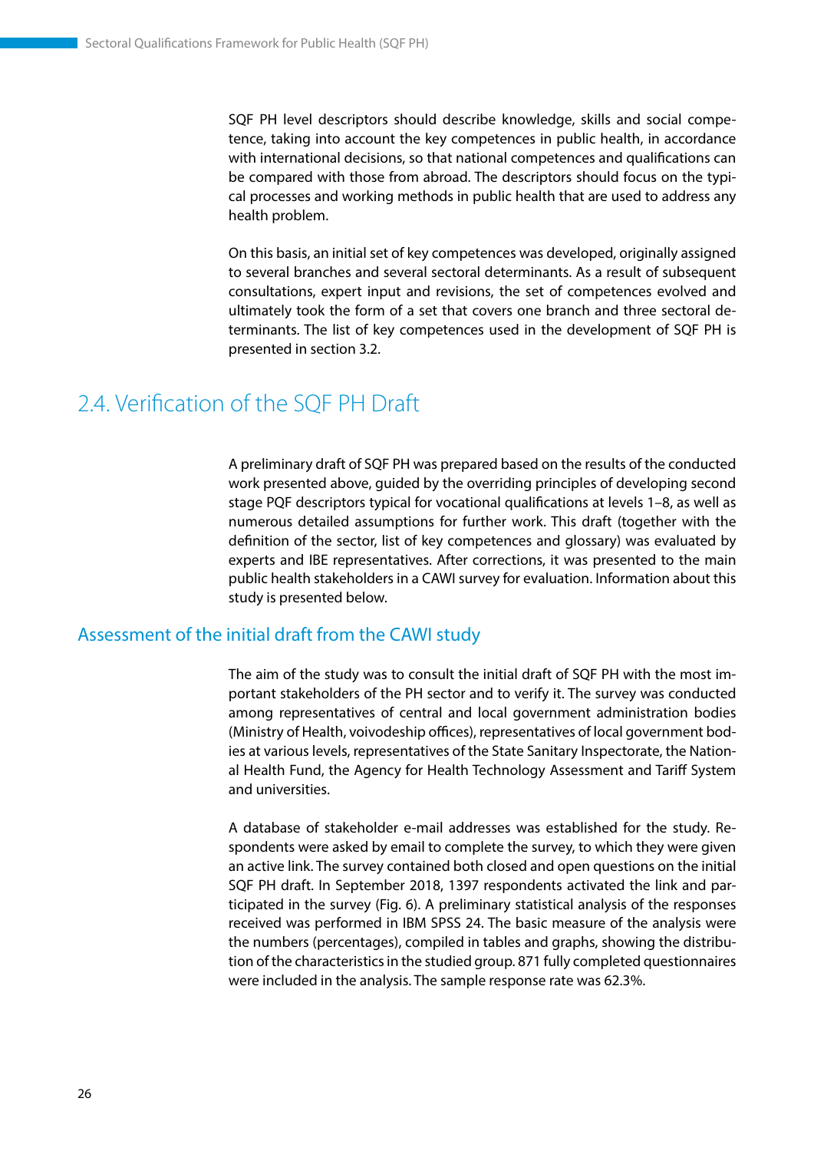<span id="page-26-0"></span>SQF PH level descriptors should describe knowledge, skills and social competence, taking into account the key competences in public health, in accordance with international decisions, so that national competences and qualifications can be compared with those from abroad. The descriptors should focus on the typical processes and working methods in public health that are used to address any health problem.

On this basis, an initial set of key competences was developed, originally assigned to several branches and several sectoral determinants. As a result of subsequent consultations, expert input and revisions, the set of competences evolved and ultimately took the form of a set that covers one branch and three sectoral determinants. The list of key competences used in the development of SQF PH is presented in section 3.2.

# 2.4. Verification of the SQF PH Draft

A preliminary draft of SQF PH was prepared based on the results of the conducted work presented above, guided by the overriding principles of developing second stage PQF descriptors typical for vocational qualifications at levels 1–8, as well as numerous detailed assumptions for further work. This draft (together with the definition of the sector, list of key competences and glossary) was evaluated by experts and IBE representatives. After corrections, it was presented to the main public health stakeholders in a CAWI survey for evaluation. Information about this study is presented below.

### Assessment of the initial draft from the CAWI study

The aim of the study was to consult the initial draft of SQF PH with the most important stakeholders of the PH sector and to verify it. The survey was conducted among representatives of central and local government administration bodies (Ministry of Health, voivodeship offices), representatives of local government bodies at various levels, representatives of the State Sanitary Inspectorate, the National Health Fund, the Agency for Health Technology Assessment and Tariff System and universities.

A database of stakeholder e-mail addresses was established for the study. Respondents were asked by email to complete the survey, to which they were given an active link. The survey contained both closed and open questions on the initial SQF PH draft. In September 2018, 1397 respondents activated the link and participated in the survey (Fig. 6). A preliminary statistical analysis of the responses received was performed in IBM SPSS 24. The basic measure of the analysis were the numbers (percentages), compiled in tables and graphs, showing the distribution of the characteristics in the studied group. 871 fully completed questionnaires were included in the analysis. The sample response rate was 62.3%.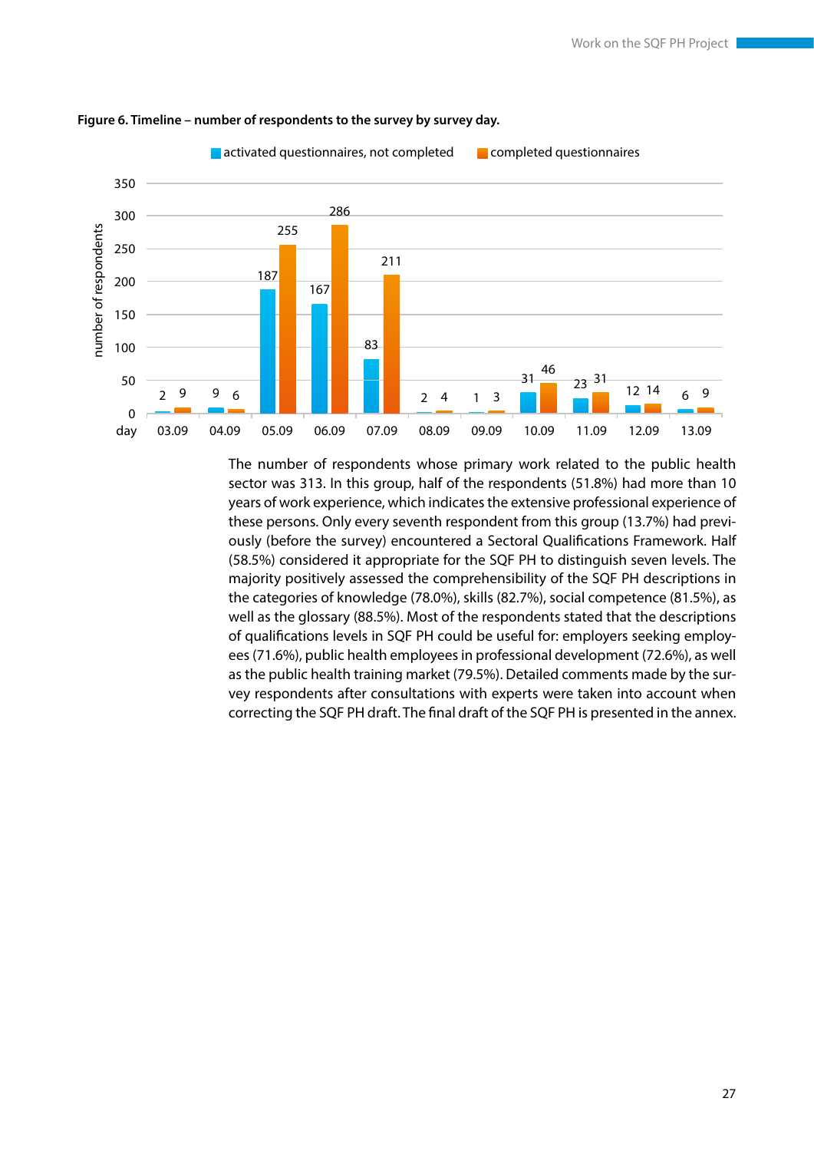

#### **Figure 6. Timeline – number of respondents to the survey by survey day.**

The number of respondents whose primary work related to the public health sector was 313. In this group, half of the respondents (51.8%) had more than 10 years of work experience, which indicates the extensive professional experience of these persons. Only every seventh respondent from this group (13.7%) had previously (before the survey) encountered a Sectoral Qualifications Framework. Half (58.5%) considered it appropriate for the SQF PH to distinguish seven levels. The majority positively assessed the comprehensibility of the SQF PH descriptions in the categories of knowledge (78.0%), skills (82.7%), social competence (81.5%), as well as the glossary (88.5%). Most of the respondents stated that the descriptions of qualifications levels in SQF PH could be useful for: employers seeking employees (71.6%), public health employees in professional development (72.6%), as well as the public health training market (79.5%). Detailed comments made by the survey respondents after consultations with experts were taken into account when correcting the SQF PH draft. The final draft of the SQF PH is presented in the annex.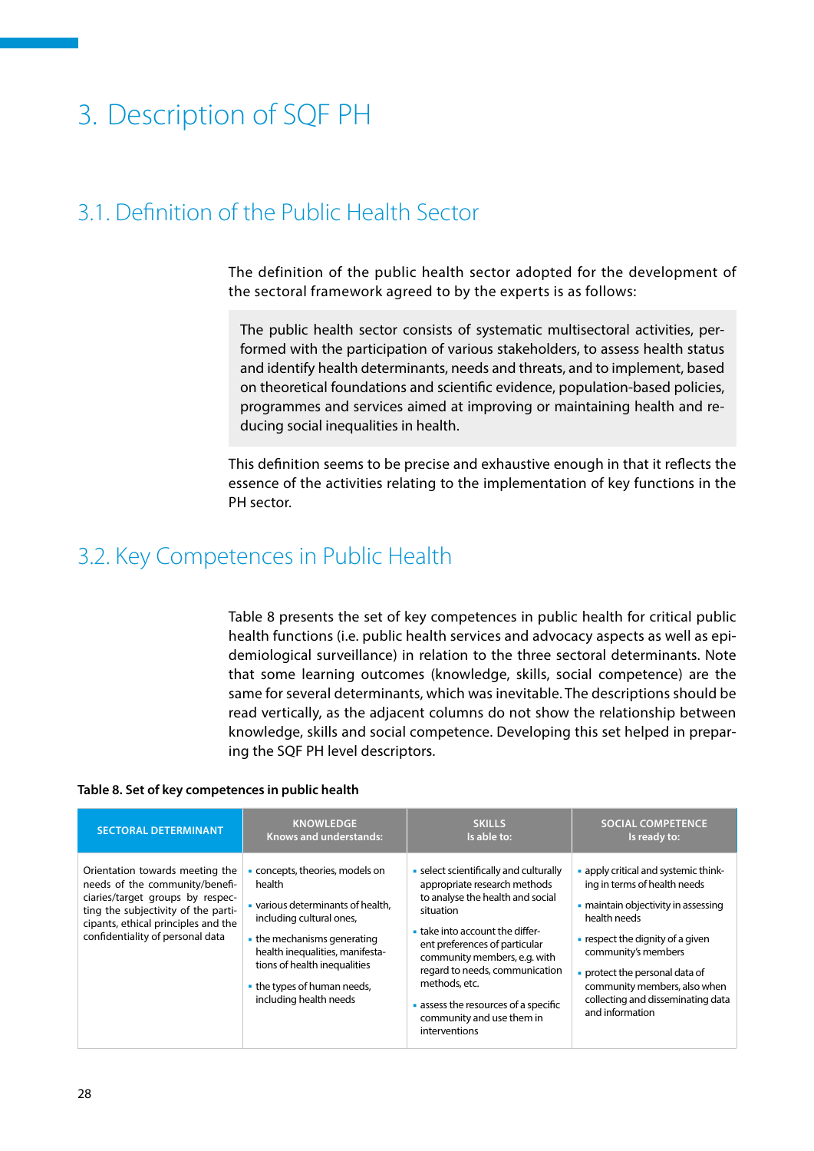# <span id="page-28-0"></span>3. Description of SQF PH

# 3.1. Definition of the Public Health Sector

The definition of the public health sector adopted for the development of the sectoral framework agreed to by the experts is as follows:

The public health sector consists of systematic multisectoral activities, performed with the participation of various stakeholders, to assess health status and identify health determinants, needs and threats, and to implement, based on theoretical foundations and scientific evidence, population-based policies, programmes and services aimed at improving or maintaining health and reducing social inequalities in health.

This definition seems to be precise and exhaustive enough in that it reflects the essence of the activities relating to the implementation of key functions in the PH sector.

# 3.2. Key Competences in Public Health

Table 8 presents the set of key competences in public health for critical public health functions (i.e. public health services and advocacy aspects as well as epidemiological surveillance) in relation to the three sectoral determinants. Note that some learning outcomes (knowledge, skills, social competence) are the same for several determinants, which was inevitable. The descriptions should be read vertically, as the adjacent columns do not show the relationship between knowledge, skills and social competence. Developing this set helped in preparing the SQF PH level descriptors.

#### **Table 8. Set of key competences in public health**

| <b>SECTORAL DETERMINANT</b>                                                                                                                                                                                             | <b>KNOWLEDGE</b>                                                                                                                                                                                                                                                               | <b>SKILLS</b>                                                                                                                                                                                                                                                                                                                                                    | <b>SOCIAL COMPETENCE</b>                                                                                                                                                                                                                                                                                                      |
|-------------------------------------------------------------------------------------------------------------------------------------------------------------------------------------------------------------------------|--------------------------------------------------------------------------------------------------------------------------------------------------------------------------------------------------------------------------------------------------------------------------------|------------------------------------------------------------------------------------------------------------------------------------------------------------------------------------------------------------------------------------------------------------------------------------------------------------------------------------------------------------------|-------------------------------------------------------------------------------------------------------------------------------------------------------------------------------------------------------------------------------------------------------------------------------------------------------------------------------|
|                                                                                                                                                                                                                         | <b>Knows and understands:</b>                                                                                                                                                                                                                                                  | Is able to:                                                                                                                                                                                                                                                                                                                                                      | Is ready to:                                                                                                                                                                                                                                                                                                                  |
| Orientation towards meeting the<br>needs of the community/benefi-<br>ciaries/target groups by respec-<br>ting the subjectivity of the parti-<br>cipants, ethical principles and the<br>confidentiality of personal data | concepts, theories, models on<br>health<br>various determinants of health.<br>including cultural ones,<br>$\blacksquare$ the mechanisms generating<br>health inequalities, manifesta-<br>tions of health inequalities<br>• the types of human needs,<br>including health needs | • select scientifically and culturally<br>appropriate research methods<br>to analyse the health and social<br>situation<br>take into account the differ-<br>ent preferences of particular<br>community members, e.g. with<br>regard to needs, communication<br>methods, etc.<br>assess the resources of a specific<br>community and use them in<br>interventions | • apply critical and systemic think-<br>ing in terms of health needs<br>• maintain objectivity in assessing<br>health needs<br>$\blacksquare$ respect the dignity of a given<br>community's members<br>• protect the personal data of<br>community members, also when<br>collecting and disseminating data<br>and information |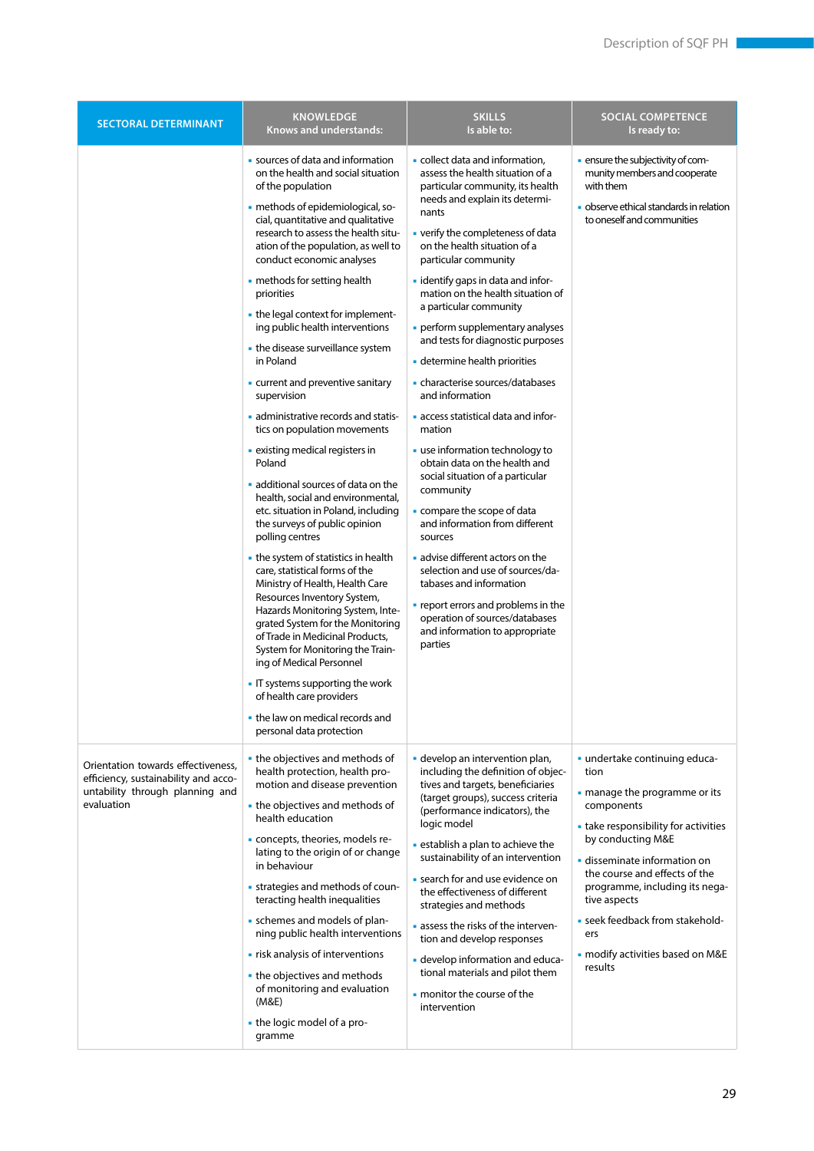| <b>SECTORAL DETERMINANT</b>                                                                                                 | <b>KNOWLEDGE</b><br><b>Knows and understands:</b>                                                                                                                                                                                                                                                                                                                                                                                                                                                                                                                                                                                                                                                                                                                                                                                                                                                                                                                                                                                                                                                                                                                                                                                                              | <b>SKILLS</b><br>Is able to:                                                                                                                                                                                                                                                                                                                                                                                                                                                                                                                                                                                                                                                                                                                                                                                                                                                                                                                                                          | <b>SOCIAL COMPETENCE</b><br>Is ready to:                                                                                                                                                                                                                                                                                                                    |
|-----------------------------------------------------------------------------------------------------------------------------|----------------------------------------------------------------------------------------------------------------------------------------------------------------------------------------------------------------------------------------------------------------------------------------------------------------------------------------------------------------------------------------------------------------------------------------------------------------------------------------------------------------------------------------------------------------------------------------------------------------------------------------------------------------------------------------------------------------------------------------------------------------------------------------------------------------------------------------------------------------------------------------------------------------------------------------------------------------------------------------------------------------------------------------------------------------------------------------------------------------------------------------------------------------------------------------------------------------------------------------------------------------|---------------------------------------------------------------------------------------------------------------------------------------------------------------------------------------------------------------------------------------------------------------------------------------------------------------------------------------------------------------------------------------------------------------------------------------------------------------------------------------------------------------------------------------------------------------------------------------------------------------------------------------------------------------------------------------------------------------------------------------------------------------------------------------------------------------------------------------------------------------------------------------------------------------------------------------------------------------------------------------|-------------------------------------------------------------------------------------------------------------------------------------------------------------------------------------------------------------------------------------------------------------------------------------------------------------------------------------------------------------|
|                                                                                                                             | • sources of data and information<br>on the health and social situation<br>of the population<br>- methods of epidemiological, so-<br>cial, quantitative and qualitative<br>research to assess the health situ-<br>ation of the population, as well to<br>conduct economic analyses<br>• methods for setting health<br>priorities<br>• the legal context for implement-<br>ing public health interventions<br>• the disease surveillance system<br>in Poland<br>- current and preventive sanitary<br>supervision<br>administrative records and statis-<br>tics on population movements<br>· existing medical registers in<br>Poland<br>additional sources of data on the<br>health, social and environmental,<br>etc. situation in Poland, including<br>the surveys of public opinion<br>polling centres<br>• the system of statistics in health<br>care, statistical forms of the<br>Ministry of Health, Health Care<br>Resources Inventory System,<br>Hazards Monitoring System, Inte-<br>grated System for the Monitoring<br>of Trade in Medicinal Products,<br>System for Monitoring the Train-<br>ing of Medical Personnel<br>- IT systems supporting the work<br>of health care providers<br>. the law on medical records and<br>personal data protection | • collect data and information,<br>assess the health situation of a<br>particular community, its health<br>needs and explain its determi-<br>nants<br>• verify the completeness of data<br>on the health situation of a<br>particular community<br>- identify gaps in data and infor-<br>mation on the health situation of<br>a particular community<br>perform supplementary analyses<br>and tests for diagnostic purposes<br>determine health priorities<br>• characterise sources/databases<br>and information<br>access statistical data and infor-<br>mation<br>use information technology to<br>obtain data on the health and<br>social situation of a particular<br>community<br>compare the scope of data<br>and information from different<br>sources<br>advise different actors on the<br>selection and use of sources/da-<br>tabases and information<br>• report errors and problems in the<br>operation of sources/databases<br>and information to appropriate<br>parties | - ensure the subjectivity of com-<br>munity members and cooperate<br>with them<br>· observe ethical standards in relation<br>to oneself and communities                                                                                                                                                                                                     |
| Orientation towards effectiveness.<br>efficiency, sustainability and acco-<br>untability through planning and<br>evaluation | • the objectives and methods of<br>health protection, health pro-<br>motion and disease prevention<br>• the objectives and methods of<br>health education<br>- concepts, theories, models re-<br>lating to the origin of or change<br>in behaviour<br>- strategies and methods of coun-<br>teracting health inequalities<br>• schemes and models of plan-<br>ning public health interventions<br>. risk analysis of interventions<br>• the objectives and methods<br>of monitoring and evaluation<br>(M&E)<br>- the logic model of a pro-<br>gramme                                                                                                                                                                                                                                                                                                                                                                                                                                                                                                                                                                                                                                                                                                            | - develop an intervention plan,<br>including the definition of objec-<br>tives and targets, beneficiaries<br>(target groups), success criteria<br>(performance indicators), the<br>logic model<br>• establish a plan to achieve the<br>sustainability of an intervention<br>• search for and use evidence on<br>the effectiveness of different<br>strategies and methods<br>assess the risks of the interven-<br>tion and develop responses<br>- develop information and educa-<br>tional materials and pilot them<br>• monitor the course of the<br>intervention                                                                                                                                                                                                                                                                                                                                                                                                                     | · undertake continuing educa-<br>tion<br>- manage the programme or its<br>components<br>• take responsibility for activities<br>by conducting M&E<br>disseminate information on<br>the course and effects of the<br>programme, including its nega-<br>tive aspects<br>- seek feedback from stakehold-<br>ers<br>· modify activities based on M&E<br>results |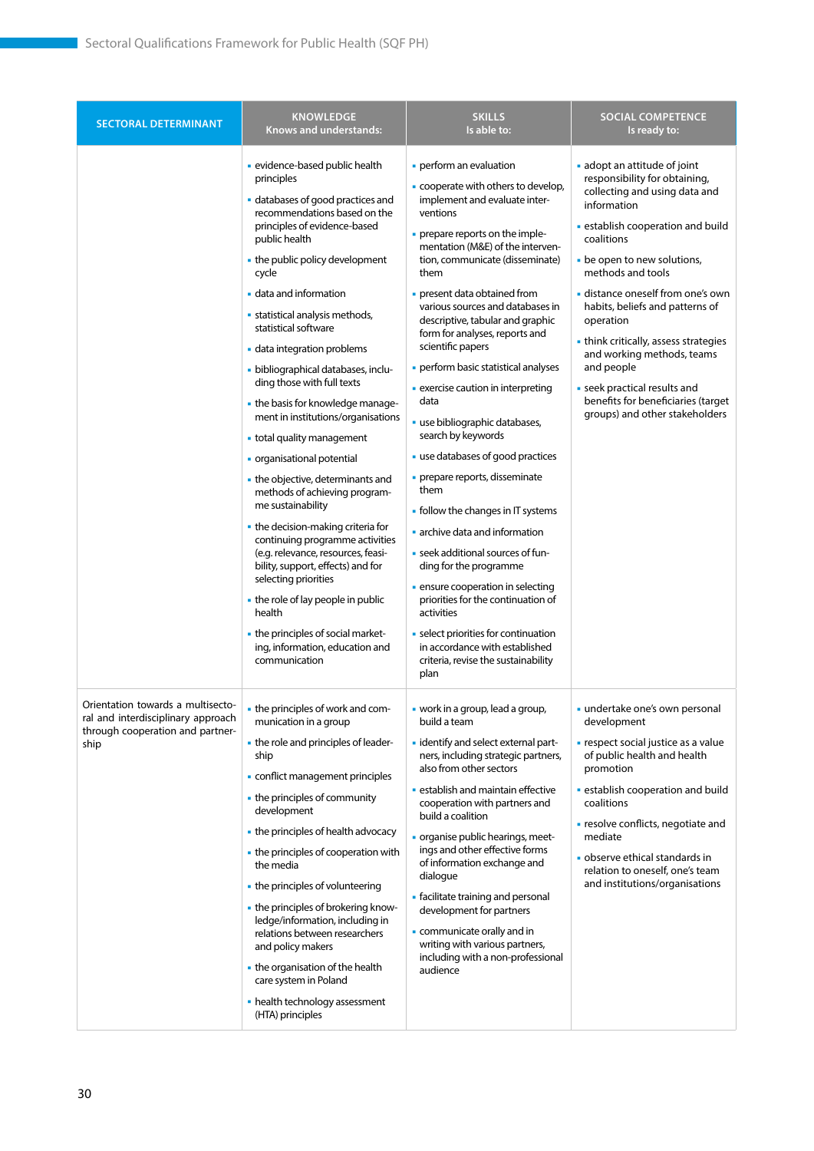| <b>SECTORAL DETERMINANT</b>                                                                                         | <b>KNOWLEDGE</b><br>Knows and understands:                                                                                                                                                                                                                                                                                                                                                                                                                                                                                                                                                                                                                                                                                                                                                                                                                                                                                                                  | <b>SKILLS</b><br>Is able to:                                                                                                                                                                                                                                                                                                                                                                                                                                                                                                                                                                                                                                                                                                                                                                                                                                                                                                                                                 | <b>SOCIAL COMPETENCE</b><br>Is ready to:                                                                                                                                                                                                                                                                                                                                                                                                                                                           |
|---------------------------------------------------------------------------------------------------------------------|-------------------------------------------------------------------------------------------------------------------------------------------------------------------------------------------------------------------------------------------------------------------------------------------------------------------------------------------------------------------------------------------------------------------------------------------------------------------------------------------------------------------------------------------------------------------------------------------------------------------------------------------------------------------------------------------------------------------------------------------------------------------------------------------------------------------------------------------------------------------------------------------------------------------------------------------------------------|------------------------------------------------------------------------------------------------------------------------------------------------------------------------------------------------------------------------------------------------------------------------------------------------------------------------------------------------------------------------------------------------------------------------------------------------------------------------------------------------------------------------------------------------------------------------------------------------------------------------------------------------------------------------------------------------------------------------------------------------------------------------------------------------------------------------------------------------------------------------------------------------------------------------------------------------------------------------------|----------------------------------------------------------------------------------------------------------------------------------------------------------------------------------------------------------------------------------------------------------------------------------------------------------------------------------------------------------------------------------------------------------------------------------------------------------------------------------------------------|
|                                                                                                                     | · evidence-based public health<br>principles<br>· databases of good practices and<br>recommendations based on the<br>principles of evidence-based<br>public health<br>• the public policy development<br>cycle<br>data and information<br>• statistical analysis methods,<br>statistical software<br>data integration problems<br>- bibliographical databases, inclu-<br>ding those with full texts<br>• the basis for knowledge manage-<br>ment in institutions/organisations<br>• total quality management<br>• organisational potential<br>• the objective, determinants and<br>methods of achieving program-<br>me sustainability<br>• the decision-making criteria for<br>continuing programme activities<br>(e.g. relevance, resources, feasi-<br>bility, support, effects) and for<br>selecting priorities<br>• the role of lay people in public<br>health<br>• the principles of social market-<br>ing, information, education and<br>communication | perform an evaluation<br>- cooperate with others to develop,<br>implement and evaluate inter-<br>ventions<br>- prepare reports on the imple-<br>mentation (M&E) of the interven-<br>tion, communicate (disseminate)<br>them<br>• present data obtained from<br>various sources and databases in<br>descriptive, tabular and graphic<br>form for analyses, reports and<br>scientific papers<br>· perform basic statistical analyses<br>• exercise caution in interpreting<br>data<br>· use bibliographic databases,<br>search by keywords<br>use databases of good practices<br>• prepare reports, disseminate<br>them<br>• follow the changes in IT systems<br>archive data and information<br>• seek additional sources of fun-<br>ding for the programme<br>• ensure cooperation in selecting<br>priorities for the continuation of<br>activities<br>• select priorities for continuation<br>in accordance with established<br>criteria, revise the sustainability<br>plan | adopt an attitude of joint<br>responsibility for obtaining,<br>collecting and using data and<br>information<br>· establish cooperation and build<br>coalitions<br>- be open to new solutions,<br>methods and tools<br>distance oneself from one's own<br>habits, beliefs and patterns of<br>operation<br>• think critically, assess strategies<br>and working methods, teams<br>and people<br>· seek practical results and<br>benefits for beneficiaries (target<br>groups) and other stakeholders |
| Orientation towards a multisecto-<br>ral and interdisciplinary approach<br>through cooperation and partner-<br>ship | • the principles of work and com-<br>munication in a group<br>- the role and principles of leader-<br>ship<br>conflict management principles<br>• the principles of community<br>development<br>• the principles of health advocacy<br>• the principles of cooperation with<br>the media<br>• the principles of volunteering<br>• the principles of brokering know-<br>ledge/information, including in<br>relations between researchers<br>and policy makers<br>• the organisation of the health<br>care system in Poland<br>• health technology assessment<br>(HTA) principles                                                                                                                                                                                                                                                                                                                                                                             | • work in a group, lead a group,<br>build a team<br>- identify and select external part-<br>ners, including strategic partners,<br>also from other sectors<br><b>Example 1</b> establish and maintain effective<br>cooperation with partners and<br>build a coalition<br>- organise public hearings, meet-<br>ings and other effective forms<br>of information exchange and<br>dialogue<br>• facilitate training and personal<br>development for partners<br>communicate orally and in<br>writing with various partners,<br>including with a non-professional<br>audience                                                                                                                                                                                                                                                                                                                                                                                                    | undertake one's own personal<br>development<br>- respect social justice as a value<br>of public health and health<br>promotion<br>· establish cooperation and build<br>coalitions<br>· resolve conflicts, negotiate and<br>mediate<br>· observe ethical standards in<br>relation to oneself, one's team<br>and institutions/organisations                                                                                                                                                          |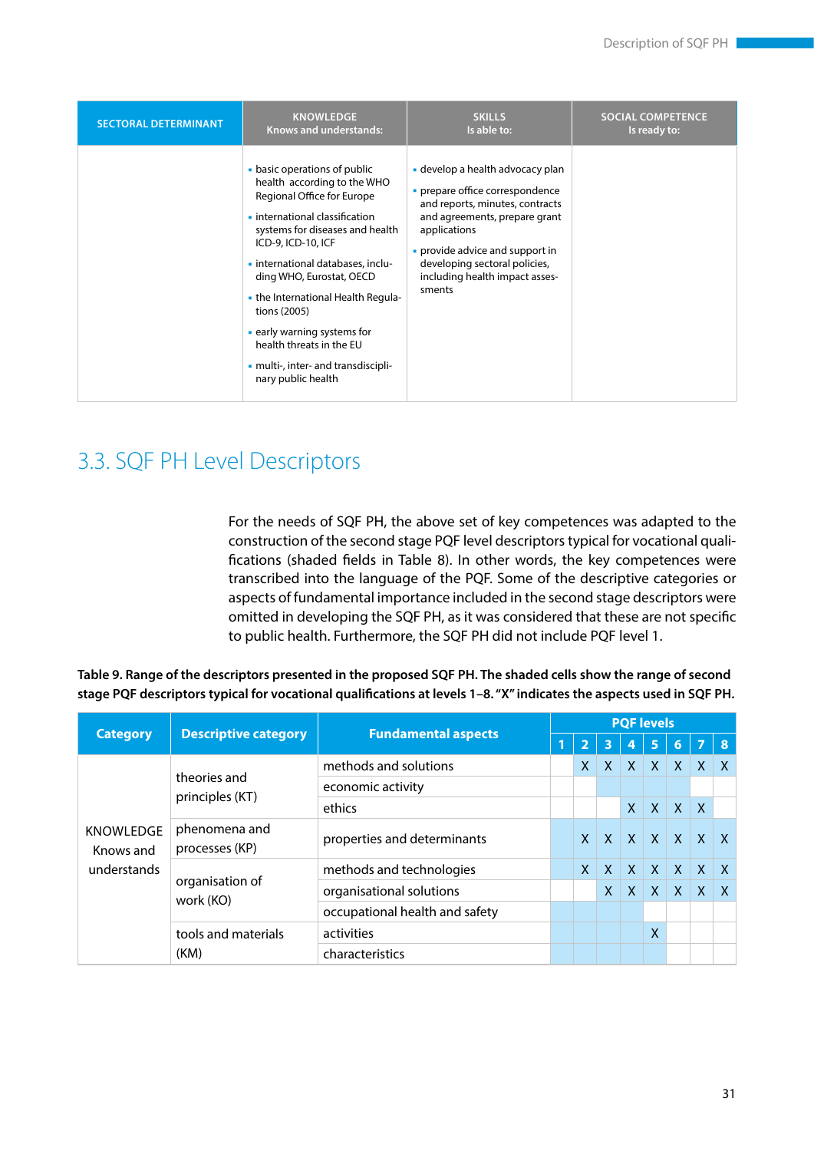<span id="page-31-0"></span>

| <b>SECTORAL DETERMINANT</b> | <b>KNOWLEDGE</b>                                                                                                                                                                                                                                                                                                                                                                                                                  | <b>SKILLS</b>                                                                                                                                                                                                                                                           | <b>SOCIAL COMPETENCE</b> |
|-----------------------------|-----------------------------------------------------------------------------------------------------------------------------------------------------------------------------------------------------------------------------------------------------------------------------------------------------------------------------------------------------------------------------------------------------------------------------------|-------------------------------------------------------------------------------------------------------------------------------------------------------------------------------------------------------------------------------------------------------------------------|--------------------------|
|                             | <b>Knows and understands:</b>                                                                                                                                                                                                                                                                                                                                                                                                     | Is able to:                                                                                                                                                                                                                                                             | Is ready to:             |
|                             | • basic operations of public<br>health according to the WHO<br>Regional Office for Europe<br>• international classification<br>systems for diseases and health<br>ICD-9, ICD-10, ICF<br>- international databases, inclu-<br>ding WHO, Eurostat, OECD<br>- the International Health Regula-<br>tions (2005)<br>early warning systems for<br>health threats in the EU<br>• multi-, inter- and transdiscipli-<br>nary public health | • develop a health advocacy plan<br>• prepare office correspondence<br>and reports, minutes, contracts<br>and agreements, prepare grant<br>applications<br>• provide advice and support in<br>developing sectoral policies,<br>including health impact asses-<br>sments |                          |

# 3.3. SQF PH Level Descriptors

For the needs of SQF PH, the above set of key competences was adapted to the construction of the second stage PQF level descriptors typical for vocational qualifications (shaded fields in Table 8). In other words, the key competences were transcribed into the language of the PQF. Some of the descriptive categories or aspects of fundamental importance included in the second stage descriptors were omitted in developing the SQF PH, as it was considered that these are not specific to public health. Furthermore, the SQF PH did not include PQF level 1.

|                               | <b>Descriptive category</b>     | <b>Fundamental aspects</b>     | <b>PQF levels</b> |              |              |              |              |                |              |              |  |
|-------------------------------|---------------------------------|--------------------------------|-------------------|--------------|--------------|--------------|--------------|----------------|--------------|--------------|--|
| <b>Category</b>               |                                 |                                |                   |              | 3            | 4            | 5            | $\overline{6}$ | 7            | 8            |  |
|                               | theories and<br>principles (KT) | methods and solutions          |                   | X            | $\mathsf{X}$ | X            | $\mathsf{X}$ | $\mathsf{X}$   | $\mathsf{X}$ | $\mathsf{X}$ |  |
|                               |                                 | economic activity              |                   |              |              |              |              |                |              |              |  |
|                               |                                 | ethics                         |                   |              |              | $\mathsf{X}$ | $\mathsf{X}$ | $\mathsf{X}$   | $\mathsf{X}$ |              |  |
| <b>KNOWLEDGE</b><br>Knows and | phenomena and<br>processes (KP) | properties and determinants    |                   | $\mathsf{X}$ | X            | $\mathsf{X}$ | $\mathsf{X}$ | X              | $\mathsf{X}$ | $\mathsf{x}$ |  |
| understands                   | organisation of                 | methods and technologies       |                   | $\mathsf{x}$ | $\mathsf{X}$ | $\mathsf{X}$ | $\mathsf{X}$ | $\mathsf{X}$   | $\mathsf{X}$ | $\mathsf{X}$ |  |
|                               |                                 | organisational solutions       |                   |              | X            | $\mathsf{X}$ | $\mathsf{X}$ | $\mathsf{X}$   | $\mathsf{X}$ | $\mathsf{X}$ |  |
|                               | work (KO)                       | occupational health and safety |                   |              |              |              |              |                |              |              |  |
|                               | tools and materials<br>(KM)     | activities                     |                   |              |              |              | χ            |                |              |              |  |
|                               |                                 | characteristics                |                   |              |              |              |              |                |              |              |  |

**Table 9. Range of the descriptors presented in the proposed SQF PH. The shaded cells show the range of second stage PQF descriptors typical for vocational qualifications at levels 1–8. "X" indicates the aspects used in SQF PH.**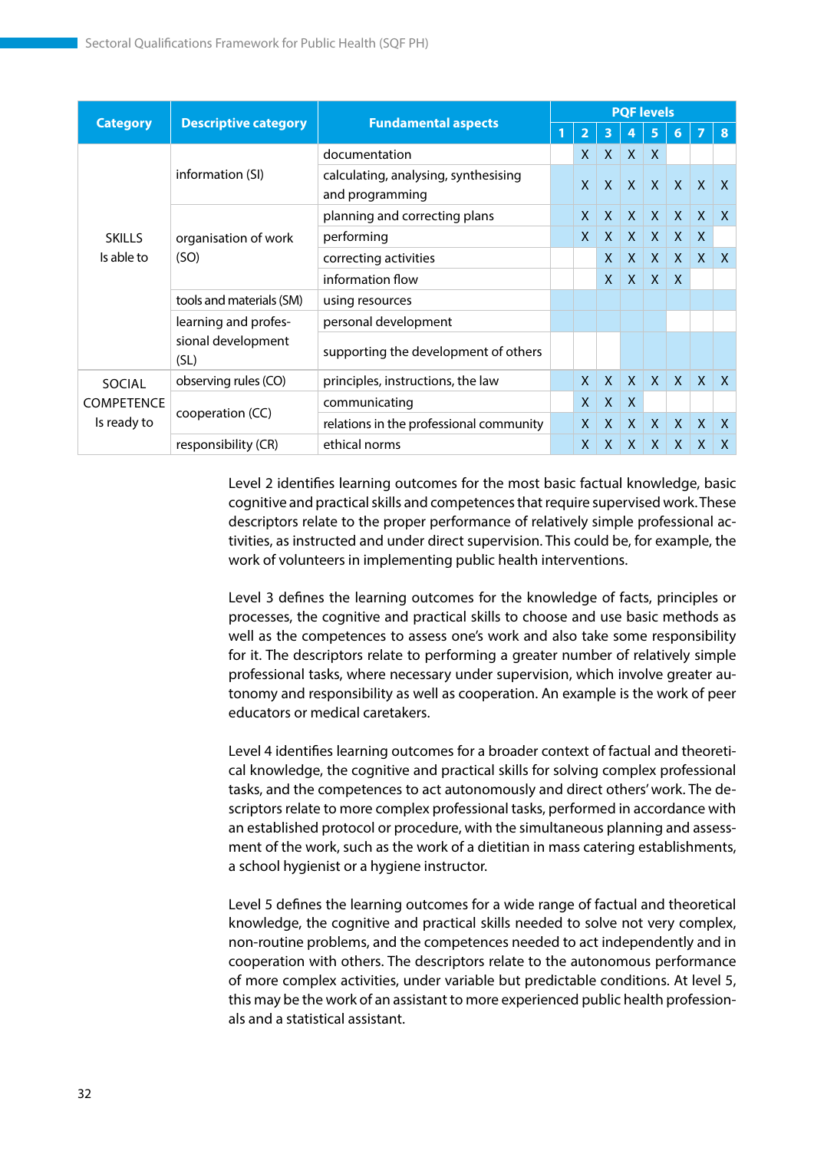|                           | <b>Descriptive category</b>                        | <b>Fundamental aspects</b>                              |  | <b>PQF</b> levels |              |              |              |              |              |              |  |  |
|---------------------------|----------------------------------------------------|---------------------------------------------------------|--|-------------------|--------------|--------------|--------------|--------------|--------------|--------------|--|--|
| <b>Category</b>           |                                                    |                                                         |  | $\overline{2}$    | 3            |              | 5            | 6            | 7            | 8            |  |  |
|                           | information (SI)                                   | documentation                                           |  | X                 | $\mathsf{X}$ | X            | $\mathsf{X}$ |              |              |              |  |  |
|                           |                                                    | calculating, analysing, synthesising<br>and programming |  | $\mathsf{x}$      | $\mathsf{X}$ | $\mathsf{X}$ | $\mathsf{X}$ | $\mathsf{X}$ | $\mathsf{X}$ | $\mathsf{X}$ |  |  |
|                           | organisation of work<br>(SO)                       | planning and correcting plans                           |  | $\mathsf{x}$      | $\mathsf{X}$ | $\mathsf{X}$ | $\mathsf{X}$ | $\mathsf{X}$ | $\mathsf{X}$ | X            |  |  |
| <b>SKILLS</b>             |                                                    | performing                                              |  | X                 | $\mathsf{X}$ | $\mathsf{X}$ | $\mathsf{X}$ | $\mathsf{X}$ | $\mathsf{X}$ |              |  |  |
| Is able to                |                                                    | correcting activities                                   |  |                   | $\mathsf{X}$ | $\mathsf{X}$ | $\mathsf{X}$ | $\mathsf{X}$ | $\mathsf{X}$ | $\mathsf{X}$ |  |  |
|                           |                                                    | information flow                                        |  |                   | $\mathsf{X}$ | $\mathsf{X}$ | $\mathsf{X}$ | X            |              |              |  |  |
|                           | tools and materials (SM)                           | using resources                                         |  |                   |              |              |              |              |              |              |  |  |
|                           | learning and profes-<br>sional development<br>(SL) | personal development                                    |  |                   |              |              |              |              |              |              |  |  |
|                           |                                                    | supporting the development of others                    |  |                   |              |              |              |              |              |              |  |  |
| SOCIAL                    | observing rules (CO)                               | principles, instructions, the law                       |  | X.                | $\mathsf{X}$ | $\mathsf{X}$ | $\mathsf{X}$ | $\mathsf{X}$ | $\mathsf{X}$ | $\mathsf{x}$ |  |  |
| COMPETENCE<br>Is ready to |                                                    | communicating                                           |  | $\mathsf{X}$      | $\mathsf{X}$ | $\mathsf{X}$ |              |              |              |              |  |  |
|                           | cooperation (CC)                                   | relations in the professional community                 |  | X                 | $\mathsf{X}$ | $\mathsf{X}$ | $\mathsf{x}$ | $\mathsf{X}$ | $\mathsf{X}$ | $\mathsf{x}$ |  |  |
|                           | responsibility (CR)                                | ethical norms                                           |  | X                 | $\mathsf{X}$ | $\mathsf{X}$ | $\mathsf{X}$ | $\mathsf{X}$ | X            | X            |  |  |

Level 2 identifies learning outcomes for the most basic factual knowledge, basic cognitive and practical skills and competences that require supervised work. These descriptors relate to the proper performance of relatively simple professional activities, as instructed and under direct supervision. This could be, for example, the work of volunteers in implementing public health interventions.

Level 3 defines the learning outcomes for the knowledge of facts, principles or processes, the cognitive and practical skills to choose and use basic methods as well as the competences to assess one's work and also take some responsibility for it. The descriptors relate to performing a greater number of relatively simple professional tasks, where necessary under supervision, which involve greater autonomy and responsibility as well as cooperation. An example is the work of peer educators or medical caretakers.

Level 4 identifies learning outcomes for a broader context of factual and theoretical knowledge, the cognitive and practical skills for solving complex professional tasks, and the competences to act autonomously and direct others' work. The descriptors relate to more complex professional tasks, performed in accordance with an established protocol or procedure, with the simultaneous planning and assessment of the work, such as the work of a dietitian in mass catering establishments, a school hygienist or a hygiene instructor.

Level 5 defines the learning outcomes for a wide range of factual and theoretical knowledge, the cognitive and practical skills needed to solve not very complex, non-routine problems, and the competences needed to act independently and in cooperation with others. The descriptors relate to the autonomous performance of more complex activities, under variable but predictable conditions. At level 5, this may be the work of an assistant to more experienced public health professionals and a statistical assistant.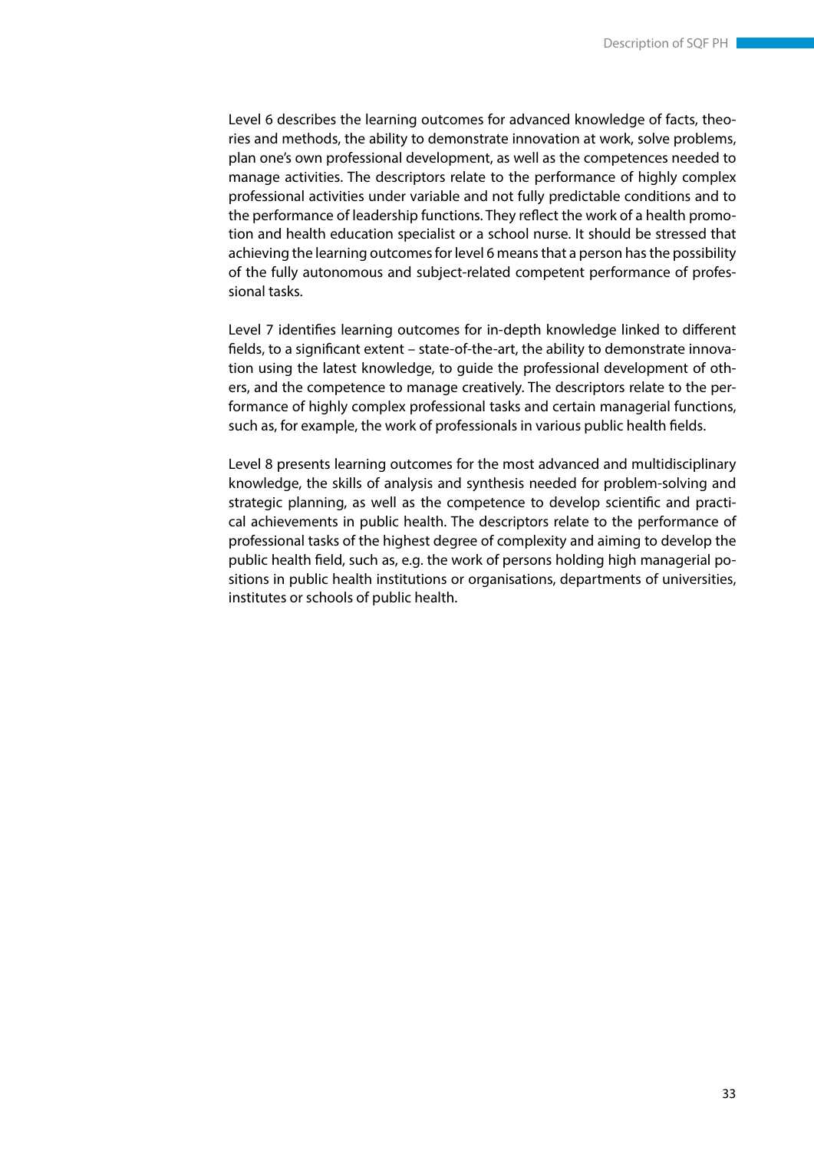Level 6 describes the learning outcomes for advanced knowledge of facts, theories and methods, the ability to demonstrate innovation at work, solve problems, plan one's own professional development, as well as the competences needed to manage activities. The descriptors relate to the performance of highly complex professional activities under variable and not fully predictable conditions and to the performance of leadership functions. They reflect the work of a health promotion and health education specialist or a school nurse. It should be stressed that achieving the learning outcomes for level 6 means that a person has the possibility of the fully autonomous and subject-related competent performance of professional tasks.

Level 7 identifies learning outcomes for in-depth knowledge linked to different fields, to a significant extent – state-of-the-art, the ability to demonstrate innovation using the latest knowledge, to guide the professional development of others, and the competence to manage creatively. The descriptors relate to the performance of highly complex professional tasks and certain managerial functions, such as, for example, the work of professionals in various public health fields.

Level 8 presents learning outcomes for the most advanced and multidisciplinary knowledge, the skills of analysis and synthesis needed for problem-solving and strategic planning, as well as the competence to develop scientific and practical achievements in public health. The descriptors relate to the performance of professional tasks of the highest degree of complexity and aiming to develop the public health field, such as, e.g. the work of persons holding high managerial positions in public health institutions or organisations, departments of universities, institutes or schools of public health.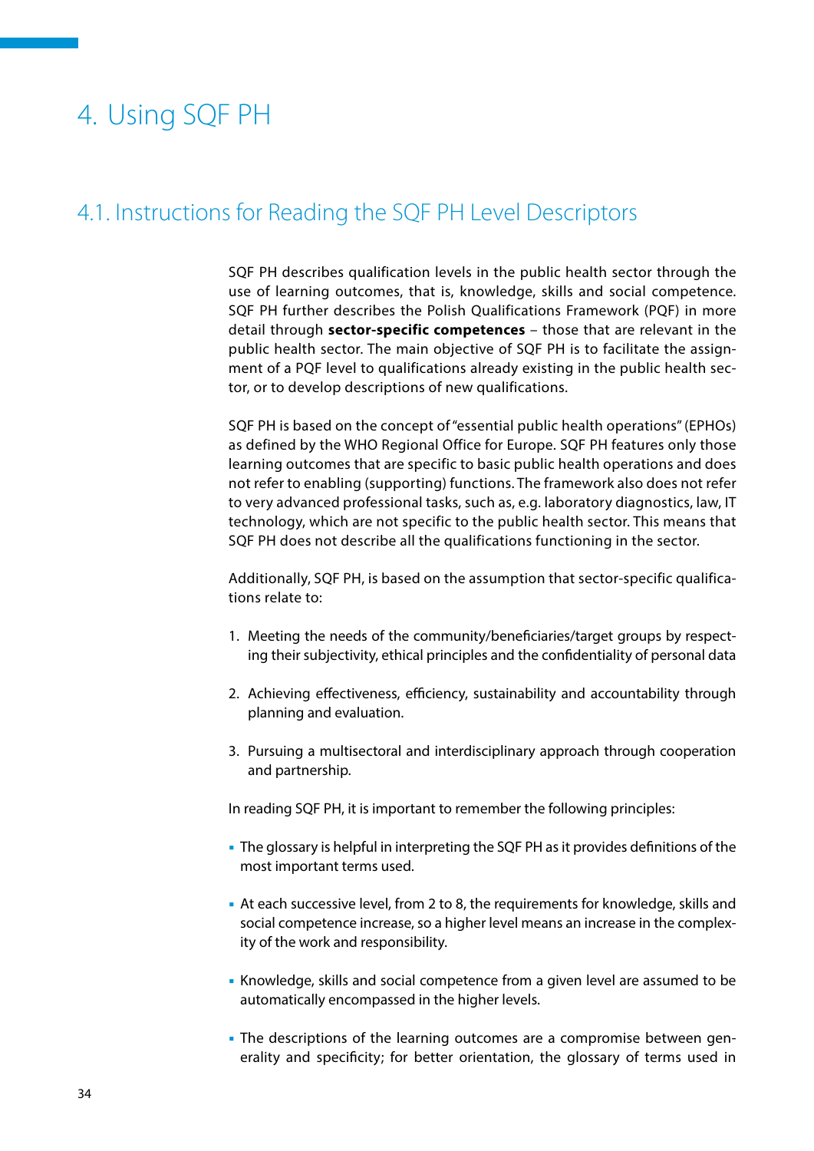# <span id="page-34-0"></span>4. Using SQF PH

# 4.1. Instructions for Reading the SQF PH Level Descriptors

SQF PH describes qualification levels in the public health sector through the use of learning outcomes, that is, knowledge, skills and social competence. SQF PH further describes the Polish Qualifications Framework (PQF) in more detail through **sector-specific competences** – those that are relevant in the public health sector. The main objective of SQF PH is to facilitate the assignment of a PQF level to qualifications already existing in the public health sector, or to develop descriptions of new qualifications.

SQF PH is based on the concept of "essential public health operations" (EPHOs) as defined by the WHO Regional Office for Europe. SQF PH features only those learning outcomes that are specific to basic public health operations and does not refer to enabling (supporting) functions. The framework also does not refer to very advanced professional tasks, such as, e.g. laboratory diagnostics, law, IT technology, which are not specific to the public health sector. This means that SQF PH does not describe all the qualifications functioning in the sector.

Additionally, SQF PH, is based on the assumption that sector-specific qualifications relate to:

- 1. Meeting the needs of the community/beneficiaries/target groups by respecting their subjectivity, ethical principles and the confidentiality of personal data
- 2. Achieving effectiveness, efficiency, sustainability and accountability through planning and evaluation.
- 3. Pursuing a multisectoral and interdisciplinary approach through cooperation and partnership.

In reading SQF PH, it is important to remember the following principles:

- The glossary is helpful in interpreting the SQF PH as it provides definitions of the most important terms used.
- At each successive level, from 2 to 8, the requirements for knowledge, skills and social competence increase, so a higher level means an increase in the complexity of the work and responsibility.
- Knowledge, skills and social competence from a given level are assumed to be automatically encompassed in the higher levels.
- The descriptions of the learning outcomes are a compromise between generality and specificity; for better orientation, the glossary of terms used in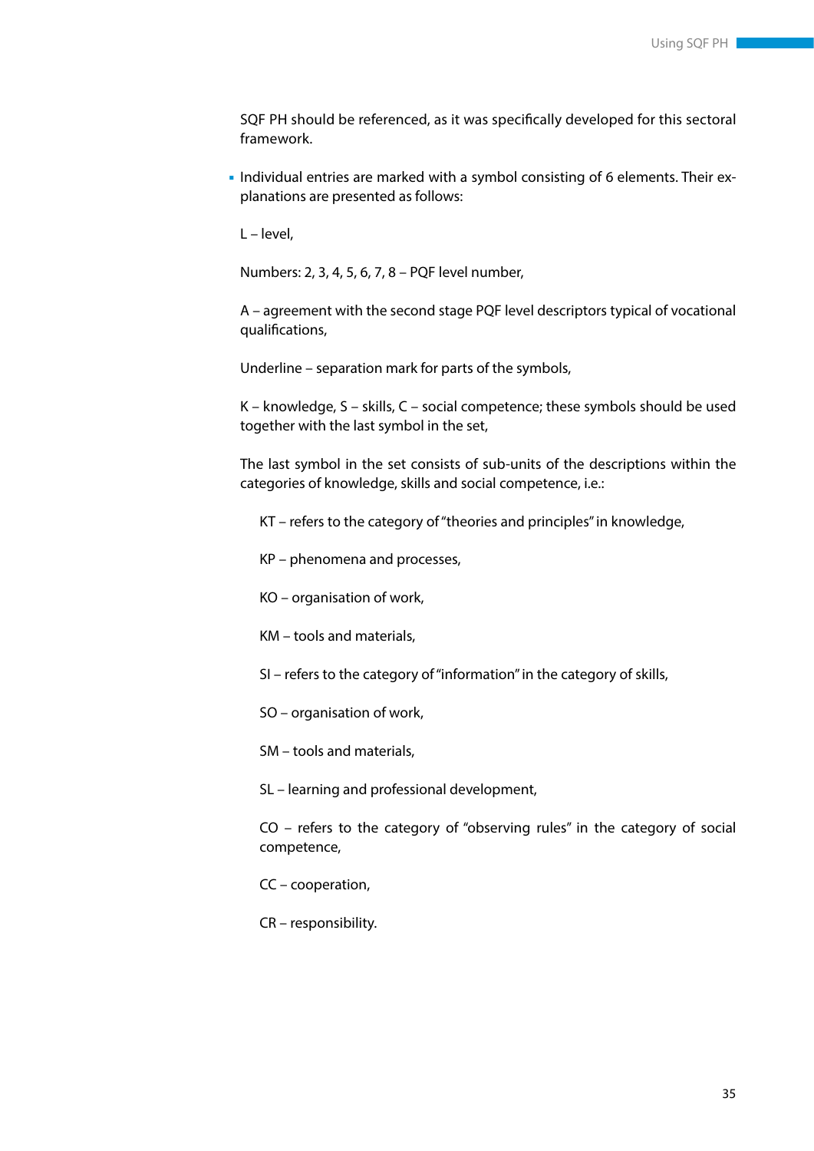SQF PH should be referenced, as it was specifically developed for this sectoral framework.

 Individual entries are marked with a symbol consisting of 6 elements. Their explanations are presented as follows:

L – level,

Numbers: 2, 3, 4, 5, 6, 7, 8 – PQF level number,

A – agreement with the second stage PQF level descriptors typical of vocational qualifications,

Underline – separation mark for parts of the symbols,

K – knowledge, S – skills, C – social competence; these symbols should be used together with the last symbol in the set,

The last symbol in the set consists of sub-units of the descriptions within the categories of knowledge, skills and social competence, i.e.:

KT – refers to the category of "theories and principles" in knowledge,

- KP phenomena and processes,
- KO organisation of work,
- KM tools and materials,

SI – refers to the category of "information" in the category of skills,

SO – organisation of work,

SM – tools and materials,

SL – learning and professional development,

CO – refers to the category of "observing rules" in the category of social competence,

CC – cooperation,

CR – responsibility.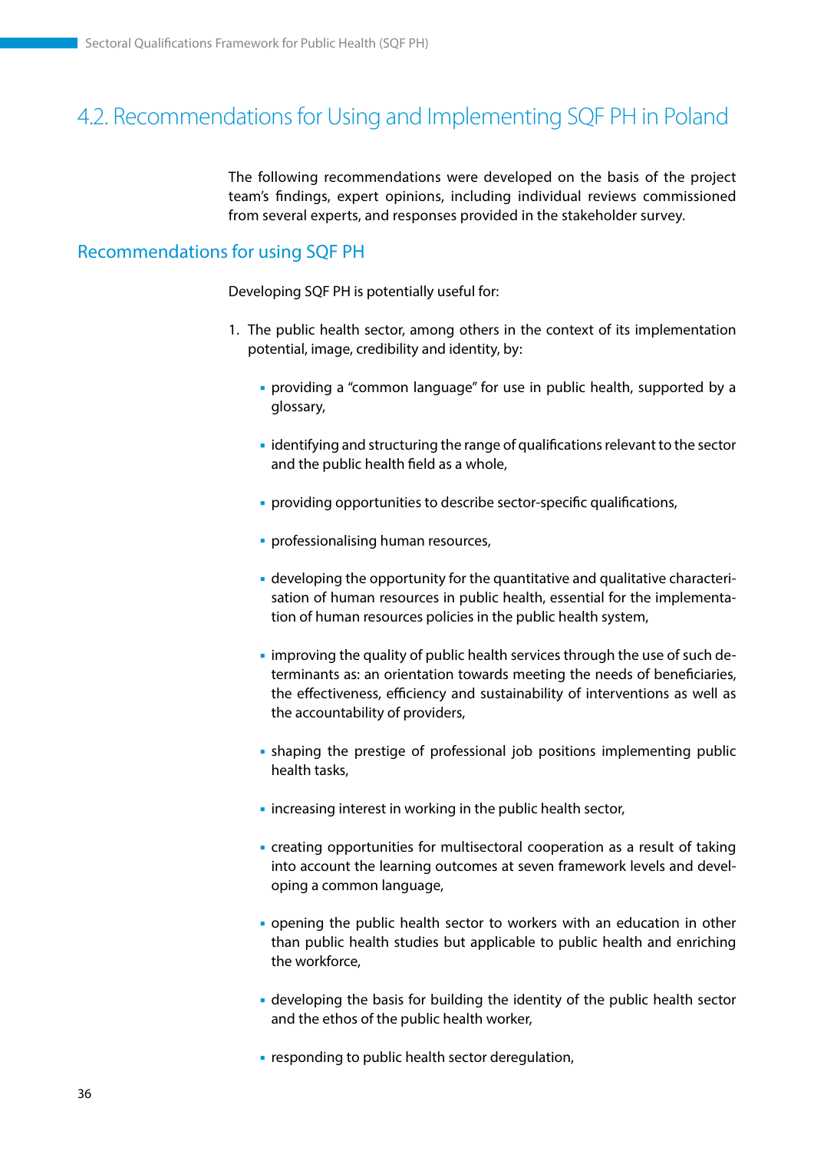# <span id="page-36-0"></span>4.2. Recommendations for Using and Implementing SQF PH in Poland

The following recommendations were developed on the basis of the project team's findings, expert opinions, including individual reviews commissioned from several experts, and responses provided in the stakeholder survey.

### Recommendations for using SQF PH

Developing SQF PH is potentially useful for:

- 1. The public health sector, among others in the context of its implementation potential, image, credibility and identity, by:
	- providing a "common language" for use in public health, supported by a glossary,
	- identifying and structuring the range of qualifications relevant to the sector and the public health field as a whole,
	- **providing opportunities to describe sector-specific qualifications,**
	- **professionalising human resources,**
	- developing the opportunity for the quantitative and qualitative characterisation of human resources in public health, essential for the implementation of human resources policies in the public health system,
	- **I** improving the quality of public health services through the use of such determinants as: an orientation towards meeting the needs of beneficiaries, the effectiveness, efficiency and sustainability of interventions as well as the accountability of providers,
	- shaping the prestige of professional job positions implementing public health tasks,
	- **Example 1** increasing interest in working in the public health sector,
	- creating opportunities for multisectoral cooperation as a result of taking into account the learning outcomes at seven framework levels and developing a common language,
	- opening the public health sector to workers with an education in other than public health studies but applicable to public health and enriching the workforce,
	- developing the basis for building the identity of the public health sector and the ethos of the public health worker,
	- **Example 1** responding to public health sector deregulation,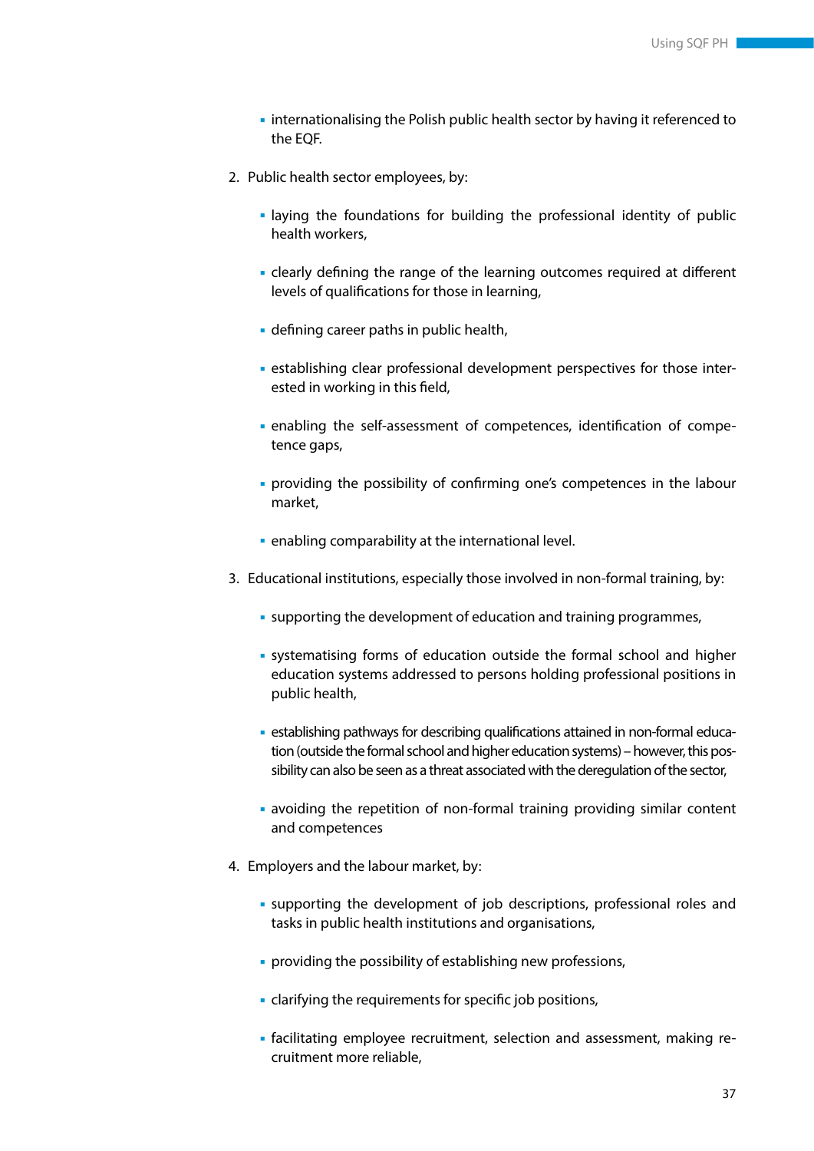- internationalising the Polish public health sector by having it referenced to the EQF.
- 2. Public health sector employees, by:
	- laying the foundations for building the professional identity of public health workers,
	- clearly defining the range of the learning outcomes required at different levels of qualifications for those in learning,
	- defining career paths in public health,
	- establishing clear professional development perspectives for those interested in working in this field,
	- enabling the self-assessment of competences, identification of competence gaps,
	- providing the possibility of confirming one's competences in the labour market,
	- enabling comparability at the international level.
- 3. Educational institutions, especially those involved in non-formal training, by:
	- supporting the development of education and training programmes,
	- systematising forms of education outside the formal school and higher education systems addressed to persons holding professional positions in public health,
	- establishing pathways for describing qualifications attained in non-formal education (outside the formal school and higher education systems) – however, this possibility can also be seen as a threat associated with the deregulation of the sector,
	- avoiding the repetition of non-formal training providing similar content and competences
- 4. Employers and the labour market, by:
	- supporting the development of job descriptions, professional roles and tasks in public health institutions and organisations,
	- providing the possibility of establishing new professions,
	- clarifying the requirements for specific job positions,
	- facilitating employee recruitment, selection and assessment, making recruitment more reliable,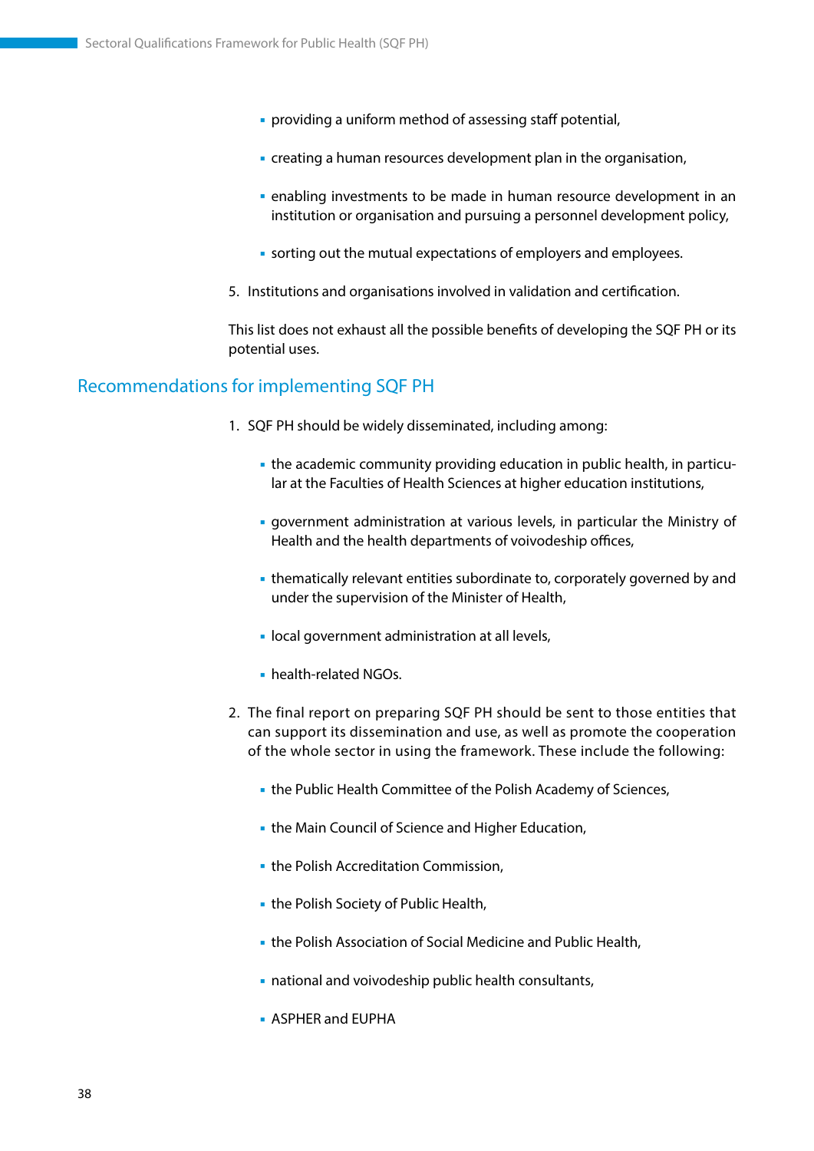- providing a uniform method of assessing staff potential,
- creating a human resources development plan in the organisation,
- enabling investments to be made in human resource development in an institution or organisation and pursuing a personnel development policy,
- sorting out the mutual expectations of employers and employees.
- 5. Institutions and organisations involved in validation and certification.

This list does not exhaust all the possible benefits of developing the SQF PH or its potential uses.

## Recommendations for implementing SQF PH

- 1. SQF PH should be widely disseminated, including among:
	- the academic community providing education in public health, in particular at the Faculties of Health Sciences at higher education institutions,
	- government administration at various levels, in particular the Ministry of Health and the health departments of voivodeship offices,
	- thematically relevant entities subordinate to, corporately governed by and under the supervision of the Minister of Health,
	- **I** local government administration at all levels,
	- health-related NGOs.
- 2. The final report on preparing SQF PH should be sent to those entities that can support its dissemination and use, as well as promote the cooperation of the whole sector in using the framework. These include the following:
	- the Public Health Committee of the Polish Academy of Sciences,
	- **the Main Council of Science and Higher Education,**
	- **the Polish Accreditation Commission,**
	- **the Polish Society of Public Health,**
	- the Polish Association of Social Medicine and Public Health,
	- national and voivodeship public health consultants,
	- ASPHER and EUPHA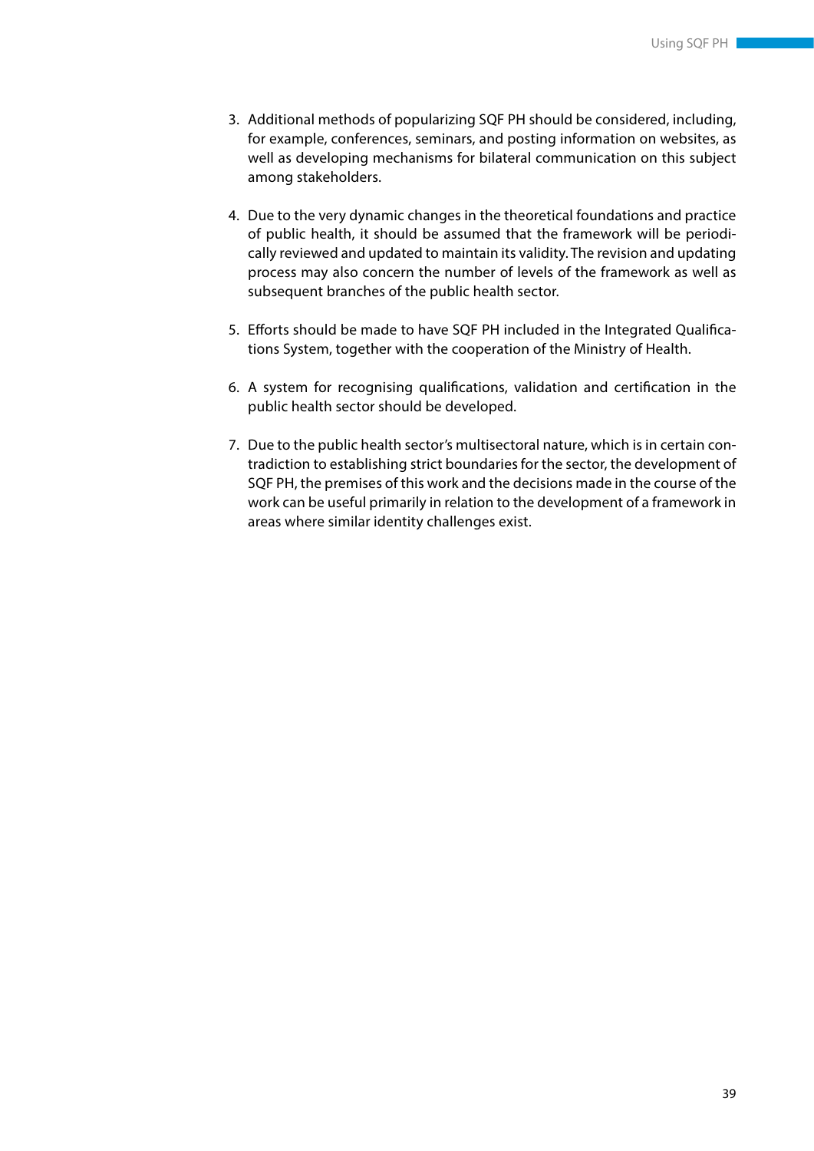- 3. Additional methods of popularizing SQF PH should be considered, including, for example, conferences, seminars, and posting information on websites, as well as developing mechanisms for bilateral communication on this subject among stakeholders.
- 4. Due to the very dynamic changes in the theoretical foundations and practice of public health, it should be assumed that the framework will be periodically reviewed and updated to maintain its validity. The revision and updating process may also concern the number of levels of the framework as well as subsequent branches of the public health sector.
- 5. Efforts should be made to have SQF PH included in the Integrated Qualifications System, together with the cooperation of the Ministry of Health.
- 6. A system for recognising qualifications, validation and certification in the public health sector should be developed.
- 7. Due to the public health sector's multisectoral nature, which is in certain contradiction to establishing strict boundaries for the sector, the development of SQF PH, the premises of this work and the decisions made in the course of the work can be useful primarily in relation to the development of a framework in areas where similar identity challenges exist.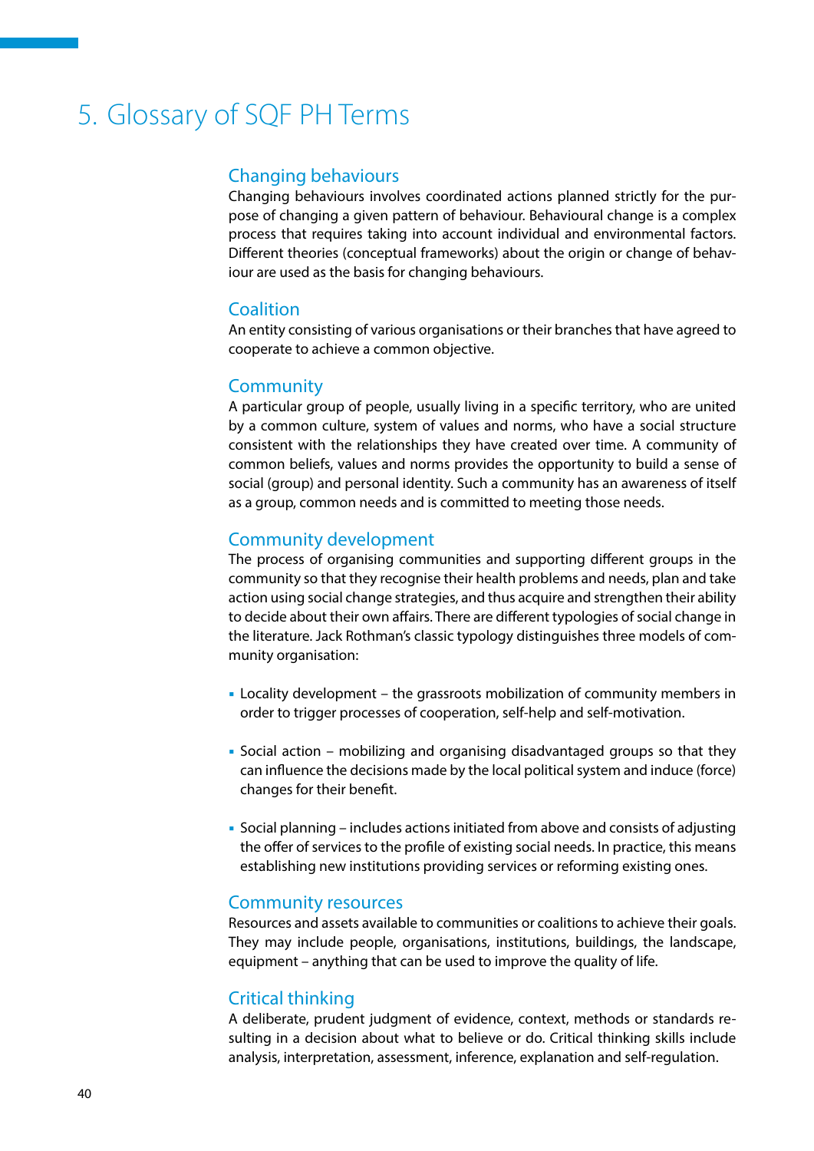# <span id="page-40-0"></span>5. Glossary of SQF PH Terms

## Changing behaviours

Changing behaviours involves coordinated actions planned strictly for the purpose of changing a given pattern of behaviour. Behavioural change is a complex process that requires taking into account individual and environmental factors. Different theories (conceptual frameworks) about the origin or change of behaviour are used as the basis for changing behaviours.

### Coalition

An entity consisting of various organisations or their branches that have agreed to cooperate to achieve a common objective.

#### **Community**

A particular group of people, usually living in a specific territory, who are united by a common culture, system of values and norms, who have a social structure consistent with the relationships they have created over time. A community of common beliefs, values and norms provides the opportunity to build a sense of social (group) and personal identity. Such a community has an awareness of itself as a group, common needs and is committed to meeting those needs.

### Community development

The process of organising communities and supporting different groups in the community so that they recognise their health problems and needs, plan and take action using social change strategies, and thus acquire and strengthen their ability to decide about their own affairs. There are different typologies of social change in the literature. Jack Rothman's classic typology distinguishes three models of community organisation:

- Locality development the grassroots mobilization of community members in order to trigger processes of cooperation, self-help and self-motivation.
- Social action mobilizing and organising disadvantaged groups so that they can influence the decisions made by the local political system and induce (force) changes for their benefit.
- Social planning includes actions initiated from above and consists of adjusting the offer of services to the profile of existing social needs. In practice, this means establishing new institutions providing services or reforming existing ones.

#### Community resources

Resources and assets available to communities or coalitions to achieve their goals. They may include people, organisations, institutions, buildings, the landscape, equipment – anything that can be used to improve the quality of life.

#### Critical thinking

A deliberate, prudent judgment of evidence, context, methods or standards resulting in a decision about what to believe or do. Critical thinking skills include analysis, interpretation, assessment, inference, explanation and self-regulation.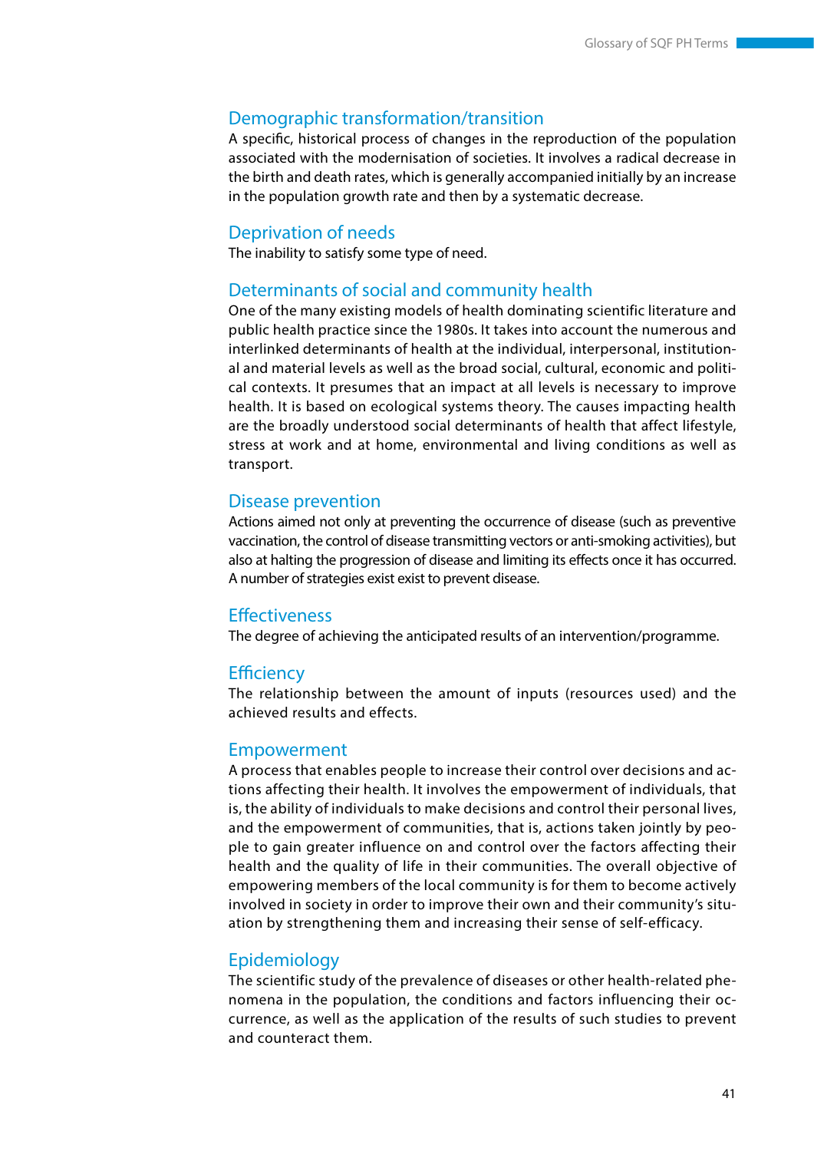## Demographic transformation/transition

A specific, historical process of changes in the reproduction of the population associated with the modernisation of societies. It involves a radical decrease in the birth and death rates, which is generally accompanied initially by an increase in the population growth rate and then by a systematic decrease.

#### Deprivation of needs

The inability to satisfy some type of need.

#### Determinants of social and community health

One of the many existing models of health dominating scientific literature and public health practice since the 1980s. It takes into account the numerous and interlinked determinants of health at the individual, interpersonal, institutional and material levels as well as the broad social, cultural, economic and political contexts. It presumes that an impact at all levels is necessary to improve health. It is based on ecological systems theory. The causes impacting health are the broadly understood social determinants of health that affect lifestyle, stress at work and at home, environmental and living conditions as well as transport.

#### Disease prevention

Actions aimed not only at preventing the occurrence of disease (such as preventive vaccination, the control of disease transmitting vectors or anti-smoking activities), but also at halting the progression of disease and limiting its effects once it has occurred. A number of strategies exist exist to prevent disease.

#### **Effectiveness**

The degree of achieving the anticipated results of an intervention/programme.

#### **Efficiency**

The relationship between the amount of inputs (resources used) and the achieved results and effects.

#### Empowerment

A process that enables people to increase their control over decisions and actions affecting their health. It involves the empowerment of individuals, that is, the ability of individuals to make decisions and control their personal lives, and the empowerment of communities, that is, actions taken jointly by people to gain greater influence on and control over the factors affecting their health and the quality of life in their communities. The overall objective of empowering members of the local community is for them to become actively involved in society in order to improve their own and their community's situation by strengthening them and increasing their sense of self-efficacy.

#### Epidemiology

The scientific study of the prevalence of diseases or other health-related phenomena in the population, the conditions and factors influencing their occurrence, as well as the application of the results of such studies to prevent and counteract them.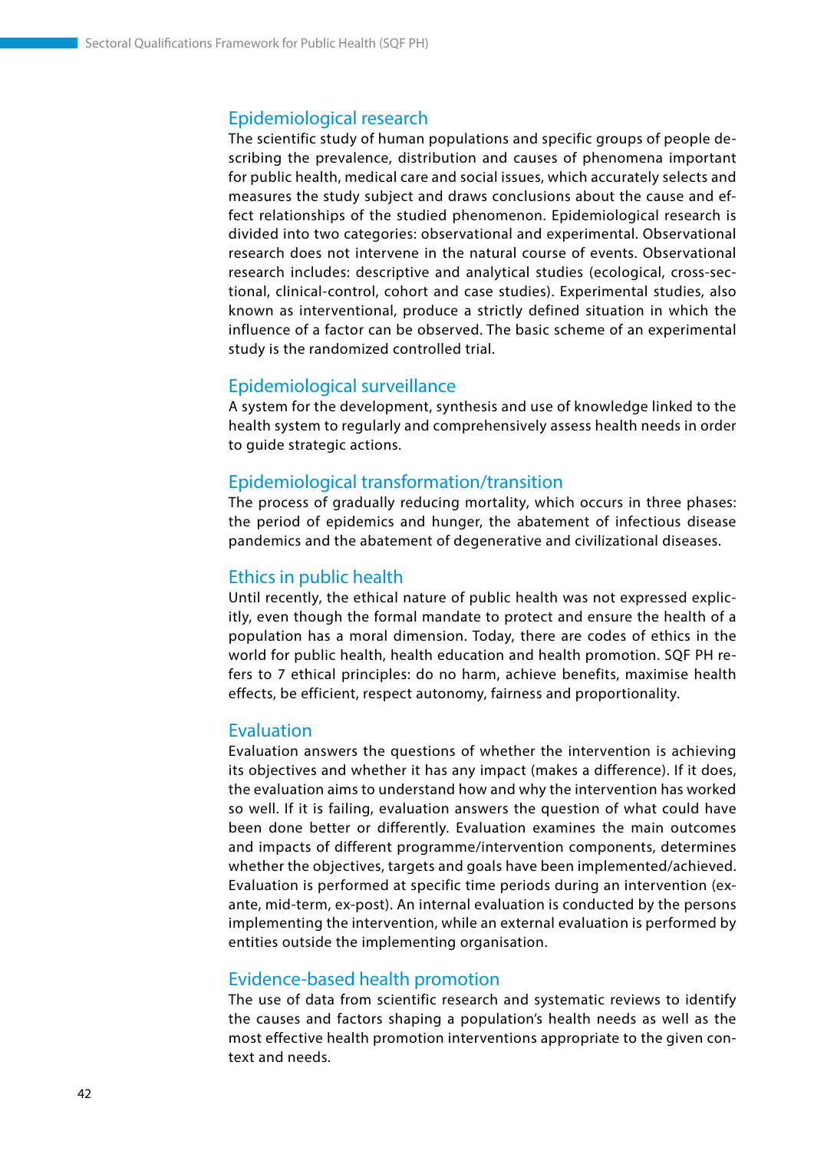# Epidemiological research

The scientific study of human populations and specific groups of people describing the prevalence, distribution and causes of phenomena important for public health, medical care and social issues, which accurately selects and measures the study subject and draws conclusions about the cause and effect relationships of the studied phenomenon. Epidemiological research is divided into two categories: observational and experimental. Observational research does not intervene in the natural course of events. Observational research includes: descriptive and analytical studies (ecological, cross-sectional, clinical-control, cohort and case studies). Experimental studies, also known as interventional, produce a strictly defined situation in which the influence of a factor can be observed. The basic scheme of an experimental study is the randomized controlled trial.

### Epidemiological surveillance

A system for the development, synthesis and use of knowledge linked to the health system to regularly and comprehensively assess health needs in order to guide strategic actions.

### Epidemiological transformation/transition

The process of gradually reducing mortality, which occurs in three phases: the period of epidemics and hunger, the abatement of infectious disease pandemics and the abatement of degenerative and civilizational diseases.

#### Ethics in public health

Until recently, the ethical nature of public health was not expressed explicitly, even though the formal mandate to protect and ensure the health of a population has a moral dimension. Today, there are codes of ethics in the world for public health, health education and health promotion. SQF PH refers to 7 ethical principles: do no harm, achieve benefits, maximise health effects, be efficient, respect autonomy, fairness and proportionality.

#### Evaluation

Evaluation answers the questions of whether the intervention is achieving its objectives and whether it has any impact (makes a difference). If it does, the evaluation aims to understand how and why the intervention has worked so well. If it is failing, evaluation answers the question of what could have been done better or differently. Evaluation examines the main outcomes and impacts of different programme/intervention components, determines whether the objectives, targets and goals have been implemented/achieved. Evaluation is performed at specific time periods during an intervention (exante, mid-term, ex-post). An internal evaluation is conducted by the persons implementing the intervention, while an external evaluation is performed by entities outside the implementing organisation.

#### Evidence-based health promotion

The use of data from scientific research and systematic reviews to identify the causes and factors shaping a population's health needs as well as the most effective health promotion interventions appropriate to the given context and needs.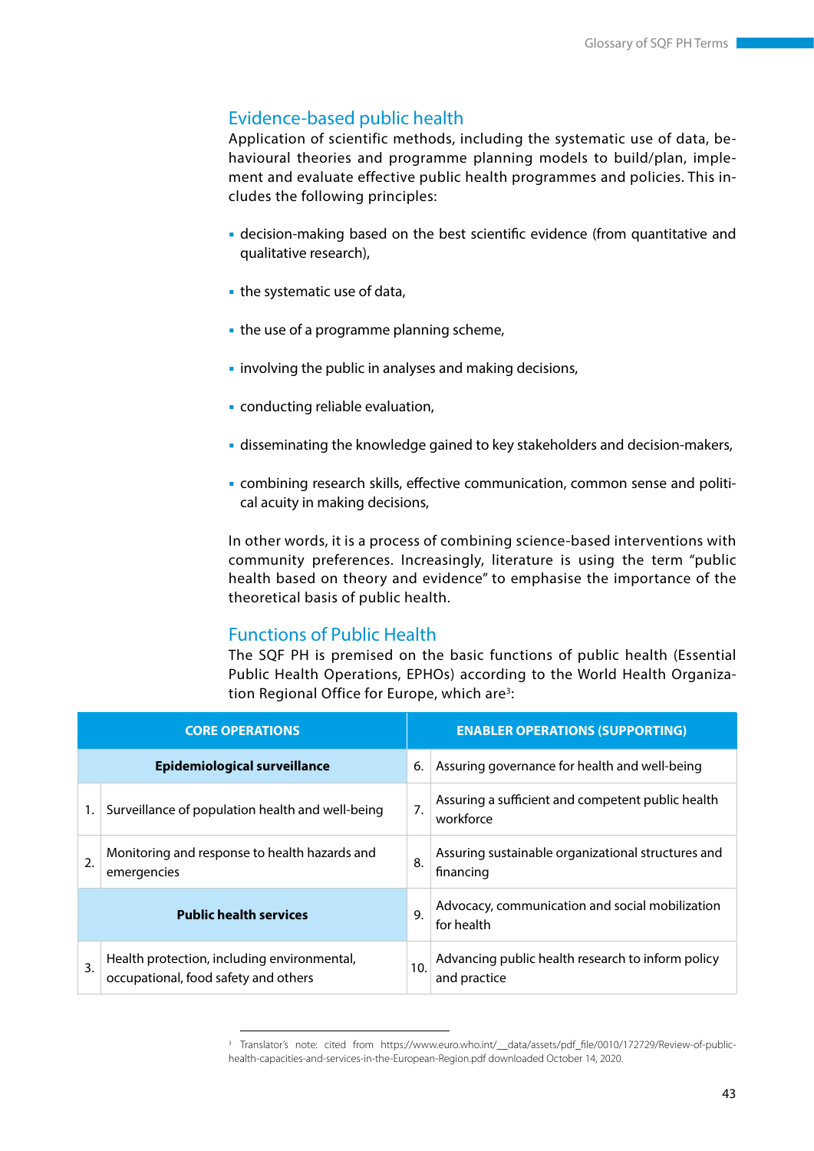# Evidence-based public health

Application of scientific methods, including the systematic use of data, behavioural theories and programme planning models to build/plan, implement and evaluate effective public health programmes and policies. This includes the following principles:

- decision-making based on the best scientific evidence (from quantitative and qualitative research),
- the systematic use of data,
- the use of a programme planning scheme,
- **Example 1** involving the public in analyses and making decisions,
- conducting reliable evaluation,
- disseminating the knowledge gained to key stakeholders and decision-makers,
- combining research skills, effective communication, common sense and political acuity in making decisions,

In other words, it is a process of combining science-based interventions with community preferences. Increasingly, literature is using the term "public health based on theory and evidence" to emphasise the importance of the theoretical basis of public health.

# Functions of Public Health

The SQF PH is premised on the basic functions of public health (Essential Public Health Operations, EPHOs) according to the World Health Organization Regional Office for Europe, which are<sup>3</sup>:

|                               | <b>CORE OPERATIONS</b>                                                              | <b>ENABLER OPERATIONS (SUPPORTING)</b> |                                                                   |  |  |  |
|-------------------------------|-------------------------------------------------------------------------------------|----------------------------------------|-------------------------------------------------------------------|--|--|--|
|                               | <b>Epidemiological surveillance</b>                                                 | 6.                                     | Assuring governance for health and well-being                     |  |  |  |
|                               | Surveillance of population health and well-being                                    | 7.                                     | Assuring a sufficient and competent public health<br>workforce    |  |  |  |
| $\overline{2}$ .              | Monitoring and response to health hazards and<br>emergencies                        | 8.                                     | Assuring sustainable organizational structures and<br>financing   |  |  |  |
| <b>Public health services</b> |                                                                                     |                                        | Advocacy, communication and social mobilization<br>for health     |  |  |  |
| $\overline{3}$ .              | Health protection, including environmental,<br>occupational, food safety and others | 10.                                    | Advancing public health research to inform policy<br>and practice |  |  |  |

<sup>&</sup>lt;sup>3</sup> Translator's note: cited from https://www.euro.who.int/\_\_data/assets/pdf\_file/0010/172729/Review-of-publichealth-capacities-and-services-in-the-European-Region.pdf downloaded October 14, 2020.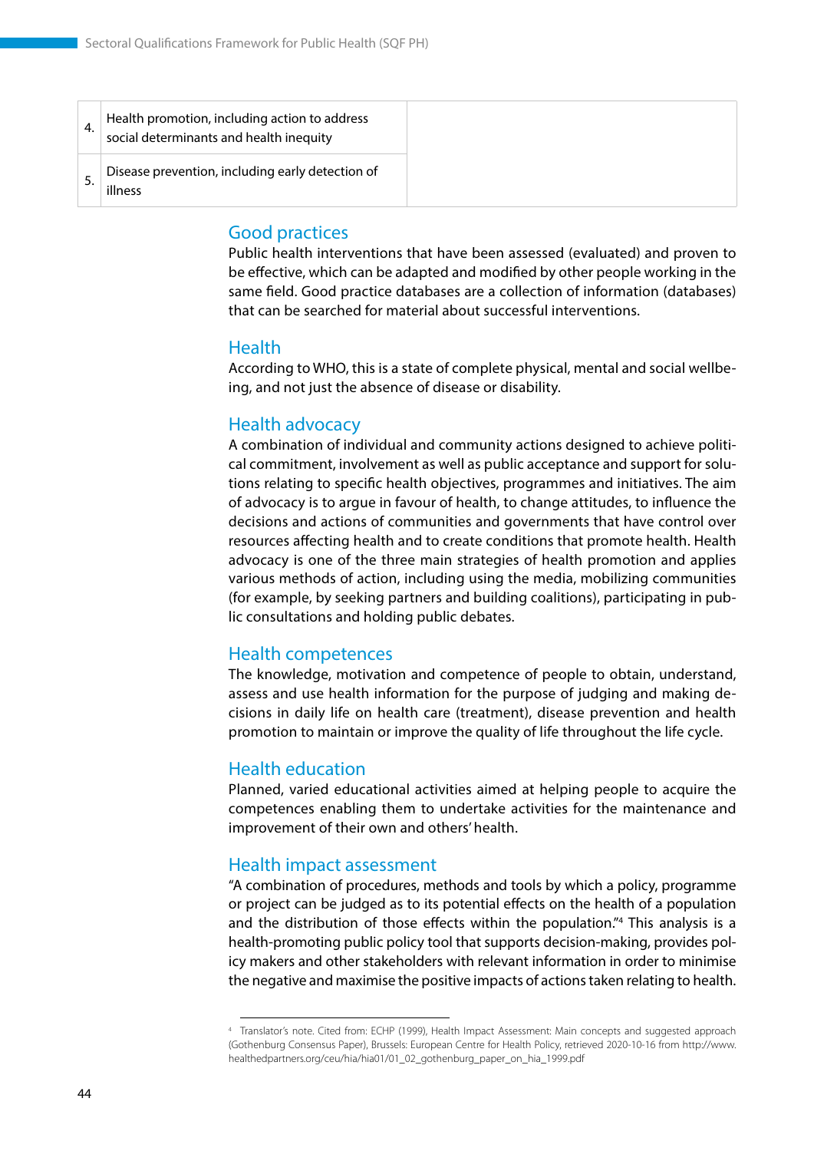#### Good practices

Public health interventions that have been assessed (evaluated) and proven to be effective, which can be adapted and modified by other people working in the same field. Good practice databases are a collection of information (databases) that can be searched for material about successful interventions.

#### Health

According to WHO, this is a state of complete physical, mental and social wellbeing, and not just the absence of disease or disability.

#### Health advocacy

A combination of individual and community actions designed to achieve political commitment, involvement as well as public acceptance and support for solutions relating to specific health objectives, programmes and initiatives. The aim of advocacy is to argue in favour of health, to change attitudes, to influence the decisions and actions of communities and governments that have control over resources affecting health and to create conditions that promote health. Health advocacy is one of the three main strategies of health promotion and applies various methods of action, including using the media, mobilizing communities (for example, by seeking partners and building coalitions), participating in public consultations and holding public debates.

#### Health competences

The knowledge, motivation and competence of people to obtain, understand, assess and use health information for the purpose of judging and making decisions in daily life on health care (treatment), disease prevention and health promotion to maintain or improve the quality of life throughout the life cycle.

#### Health education

Planned, varied educational activities aimed at helping people to acquire the competences enabling them to undertake activities for the maintenance and improvement of their own and others' health.

#### Health impact assessment

"A combination of procedures, methods and tools by which a policy, programme or project can be judged as to its potential effects on the health of a population and the distribution of those effects within the population."4 This analysis is a health-promoting public policy tool that supports decision-making, provides policy makers and other stakeholders with relevant information in order to minimise the negative and maximise the positive impacts of actions taken relating to health.

<sup>4</sup> Translator's note. Cited from: ECHP (1999), Health Impact Assessment: Main concepts and suggested approach (Gothenburg Consensus Paper), Brussels: European Centre for Health Policy, retrieved 2020-10-16 from http://www. healthedpartners.org/ceu/hia/hia01/01\_02\_gothenburg\_paper\_on\_hia\_1999.pdf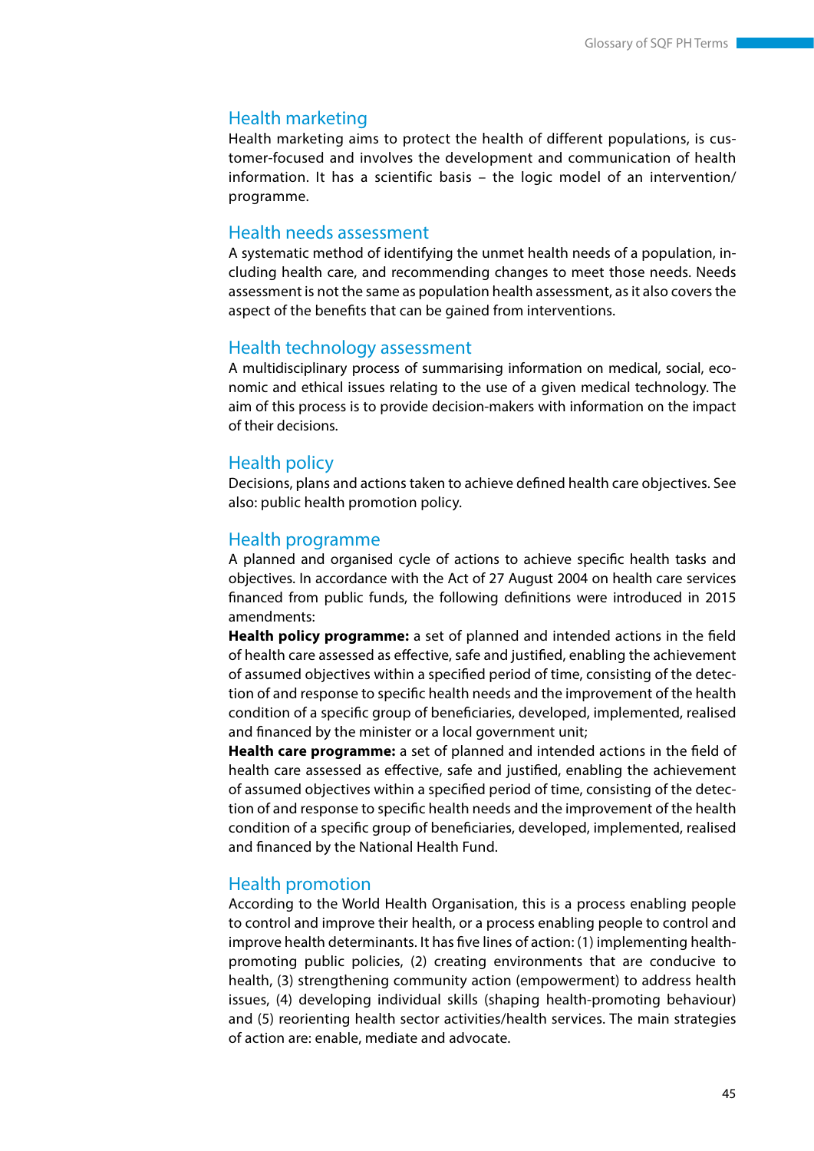#### Health marketing

Health marketing aims to protect the health of different populations, is customer-focused and involves the development and communication of health information. It has a scientific basis – the logic model of an intervention/ programme.

#### Health needs assessment

A systematic method of identifying the unmet health needs of a population, including health care, and recommending changes to meet those needs. Needs assessment is not the same as population health assessment, as it also covers the aspect of the benefits that can be gained from interventions.

#### Health technology assessment

A multidisciplinary process of summarising information on medical, social, economic and ethical issues relating to the use of a given medical technology. The aim of this process is to provide decision-makers with information on the impact of their decisions.

#### Health policy

Decisions, plans and actions taken to achieve defined health care objectives. See also: public health promotion policy.

#### Health programme

A planned and organised cycle of actions to achieve specific health tasks and objectives. In accordance with the Act of 27 August 2004 on health care services financed from public funds, the following definitions were introduced in 2015 amendments:

**Health policy programme:** a set of planned and intended actions in the field of health care assessed as effective, safe and justified, enabling the achievement of assumed objectives within a specified period of time, consisting of the detection of and response to specific health needs and the improvement of the health condition of a specific group of beneficiaries, developed, implemented, realised and financed by the minister or a local government unit;

**Health care programme:** a set of planned and intended actions in the field of health care assessed as effective, safe and justified, enabling the achievement of assumed objectives within a specified period of time, consisting of the detection of and response to specific health needs and the improvement of the health condition of a specific group of beneficiaries, developed, implemented, realised and financed by the National Health Fund.

#### Health promotion

According to the World Health Organisation, this is a process enabling people to control and improve their health, or a process enabling people to control and improve health determinants. It has five lines of action: (1) implementing healthpromoting public policies, (2) creating environments that are conducive to health, (3) strengthening community action (empowerment) to address health issues, (4) developing individual skills (shaping health-promoting behaviour) and (5) reorienting health sector activities/health services. The main strategies of action are: enable, mediate and advocate.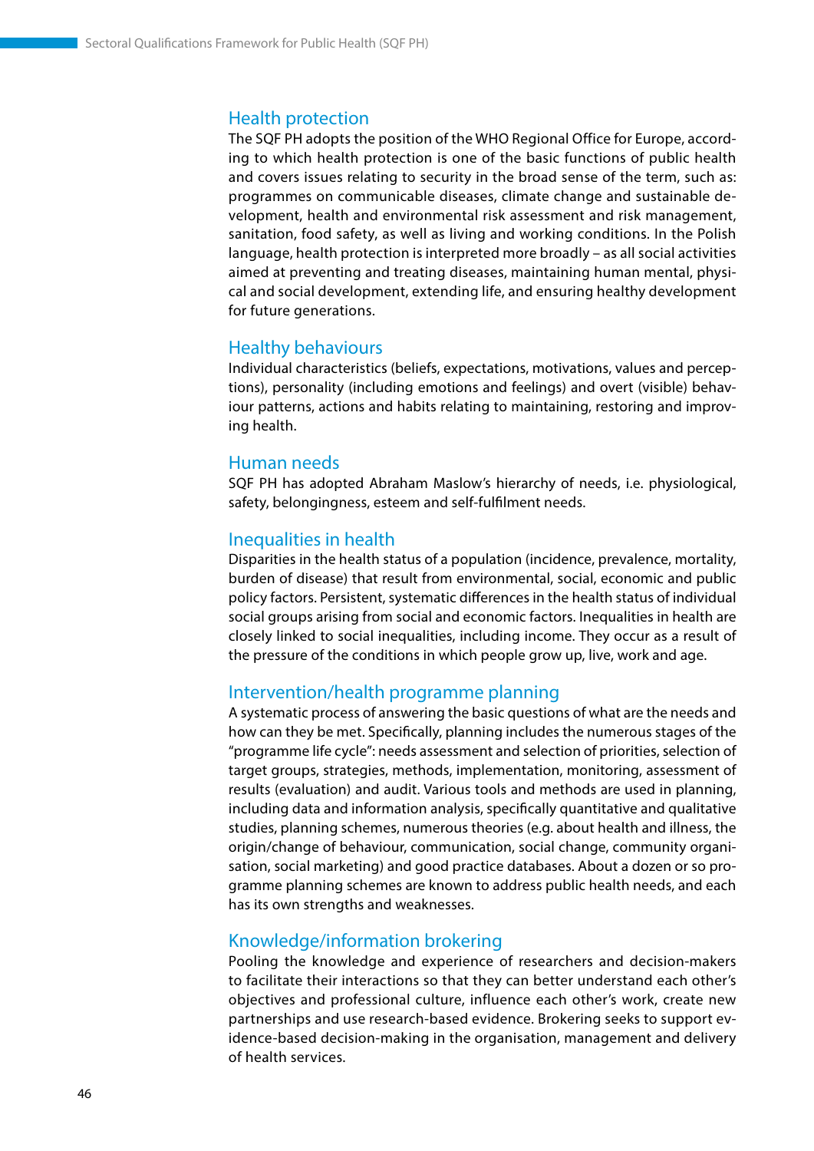## Health protection

The SQF PH adopts the position of the WHO Regional Office for Europe, according to which health protection is one of the basic functions of public health and covers issues relating to security in the broad sense of the term, such as: programmes on communicable diseases, climate change and sustainable development, health and environmental risk assessment and risk management, sanitation, food safety, as well as living and working conditions. In the Polish language, health protection is interpreted more broadly – as all social activities aimed at preventing and treating diseases, maintaining human mental, physical and social development, extending life, and ensuring healthy development for future generations.

### Healthy behaviours

Individual characteristics (beliefs, expectations, motivations, values and perceptions), personality (including emotions and feelings) and overt (visible) behaviour patterns, actions and habits relating to maintaining, restoring and improving health.

#### Human needs

SQF PH has adopted Abraham Maslow's hierarchy of needs, i.e. physiological, safety, belongingness, esteem and self-fulfilment needs.

### Inequalities in health

Disparities in the health status of a population (incidence, prevalence, mortality, burden of disease) that result from environmental, social, economic and public policy factors. Persistent, systematic differences in the health status of individual social groups arising from social and economic factors. Inequalities in health are closely linked to social inequalities, including income. They occur as a result of the pressure of the conditions in which people grow up, live, work and age.

#### Intervention/health programme planning

A systematic process of answering the basic questions of what are the needs and how can they be met. Specifically, planning includes the numerous stages of the "programme life cycle": needs assessment and selection of priorities, selection of target groups, strategies, methods, implementation, monitoring, assessment of results (evaluation) and audit. Various tools and methods are used in planning, including data and information analysis, specifically quantitative and qualitative studies, planning schemes, numerous theories (e.g. about health and illness, the origin/change of behaviour, communication, social change, community organisation, social marketing) and good practice databases. About a dozen or so programme planning schemes are known to address public health needs, and each has its own strengths and weaknesses.

#### Knowledge/information brokering

Pooling the knowledge and experience of researchers and decision-makers to facilitate their interactions so that they can better understand each other's objectives and professional culture, influence each other's work, create new partnerships and use research-based evidence. Brokering seeks to support evidence-based decision-making in the organisation, management and delivery of health services.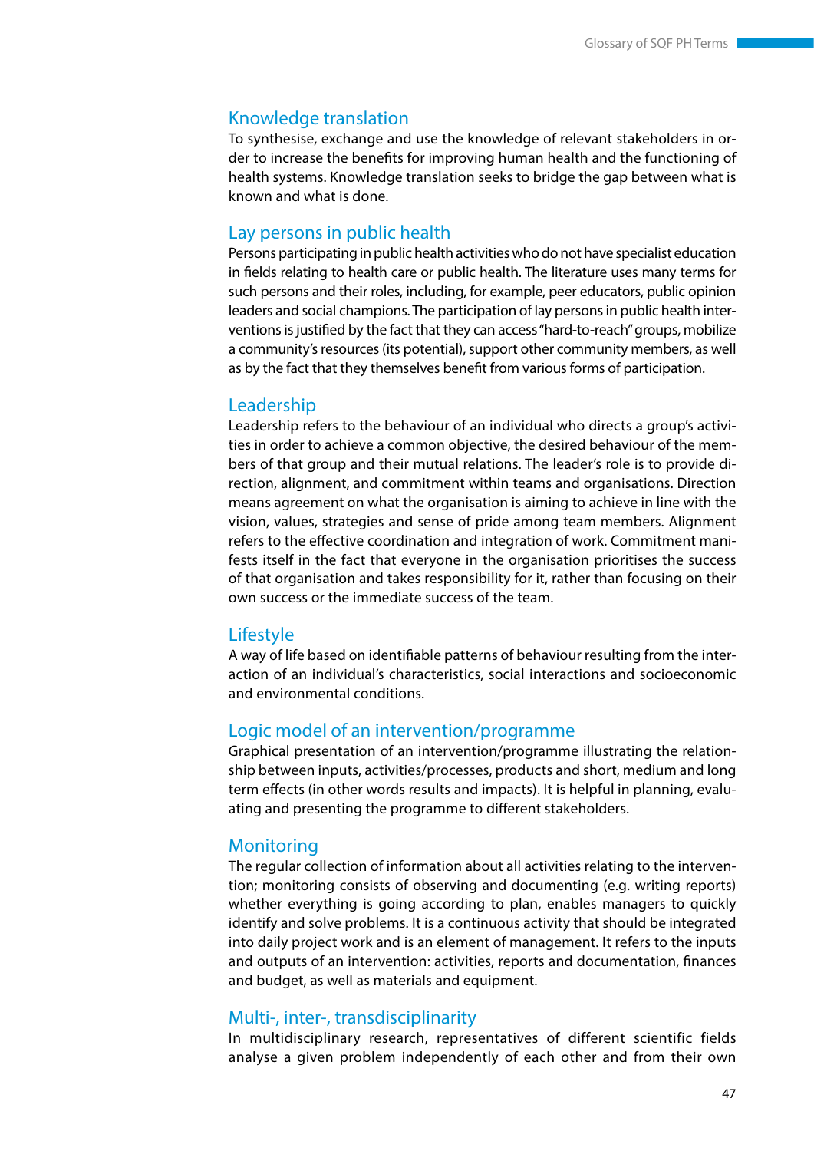#### Knowledge translation

To synthesise, exchange and use the knowledge of relevant stakeholders in order to increase the benefits for improving human health and the functioning of health systems. Knowledge translation seeks to bridge the gap between what is known and what is done.

#### Lay persons in public health

Persons participating in public health activities who do not have specialist education in fields relating to health care or public health. The literature uses many terms for such persons and their roles, including, for example, peer educators, public opinion leaders and social champions. The participation of lay persons in public health interventions is justified by the fact that they can access "hard-to-reach" groups, mobilize a community's resources (its potential), support other community members, as well as by the fact that they themselves benefit from various forms of participation.

#### Leadership

Leadership refers to the behaviour of an individual who directs a group's activities in order to achieve a common objective, the desired behaviour of the members of that group and their mutual relations. The leader's role is to provide direction, alignment, and commitment within teams and organisations. Direction means agreement on what the organisation is aiming to achieve in line with the vision, values, strategies and sense of pride among team members. Alignment refers to the effective coordination and integration of work. Commitment manifests itself in the fact that everyone in the organisation prioritises the success of that organisation and takes responsibility for it, rather than focusing on their own success or the immediate success of the team.

#### **Lifestyle**

A way of life based on identifiable patterns of behaviour resulting from the interaction of an individual's characteristics, social interactions and socioeconomic and environmental conditions.

### Logic model of an intervention/programme

Graphical presentation of an intervention/programme illustrating the relationship between inputs, activities/processes, products and short, medium and long term effects (in other words results and impacts). It is helpful in planning, evaluating and presenting the programme to different stakeholders.

#### **Monitoring**

The regular collection of information about all activities relating to the intervention; monitoring consists of observing and documenting (e.g. writing reports) whether everything is going according to plan, enables managers to quickly identify and solve problems. It is a continuous activity that should be integrated into daily project work and is an element of management. It refers to the inputs and outputs of an intervention: activities, reports and documentation, finances and budget, as well as materials and equipment.

#### Multi-, inter-, transdisciplinarity

In multidisciplinary research, representatives of different scientific fields analyse a given problem independently of each other and from their own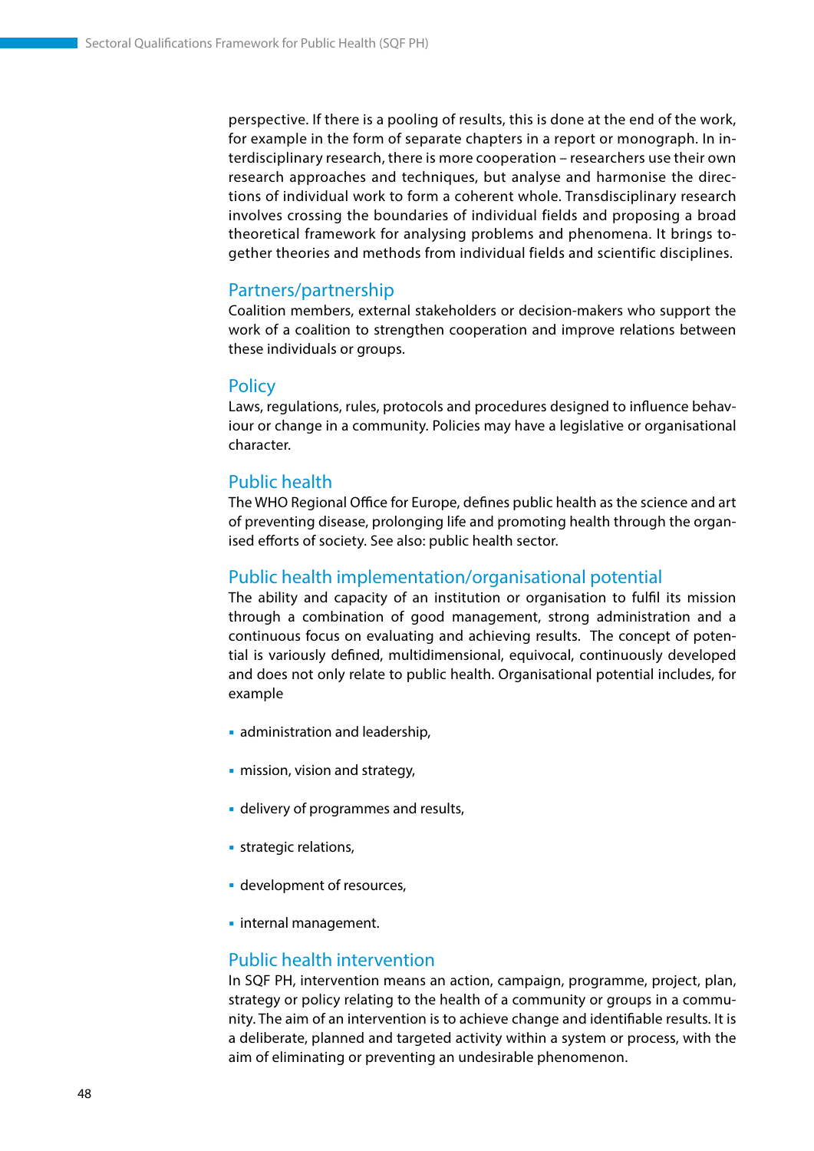perspective. If there is a pooling of results, this is done at the end of the work, for example in the form of separate chapters in a report or monograph. In interdisciplinary research, there is more cooperation – researchers use their own research approaches and techniques, but analyse and harmonise the directions of individual work to form a coherent whole. Transdisciplinary research involves crossing the boundaries of individual fields and proposing a broad theoretical framework for analysing problems and phenomena. It brings together theories and methods from individual fields and scientific disciplines.

#### Partners/partnership

Coalition members, external stakeholders or decision-makers who support the work of a coalition to strengthen cooperation and improve relations between these individuals or groups.

#### **Policy**

Laws, regulations, rules, protocols and procedures designed to influence behaviour or change in a community. Policies may have a legislative or organisational character.

#### Public health

The WHO Regional Office for Europe, defines public health as the science and art of preventing disease, prolonging life and promoting health through the organised efforts of society. See also: public health sector.

#### Public health implementation/organisational potential

The ability and capacity of an institution or organisation to fulfil its mission through a combination of good management, strong administration and a continuous focus on evaluating and achieving results. The concept of potential is variously defined, multidimensional, equivocal, continuously developed and does not only relate to public health. Organisational potential includes, for example

- administration and leadership,
- **mission, vision and strategy,**
- **delivery of programmes and results,**
- **strategic relations,**
- **development of resources,**
- **·** internal management.

#### Public health intervention

In SQF PH, intervention means an action, campaign, programme, project, plan, strategy or policy relating to the health of a community or groups in a community. The aim of an intervention is to achieve change and identifiable results. It is a deliberate, planned and targeted activity within a system or process, with the aim of eliminating or preventing an undesirable phenomenon.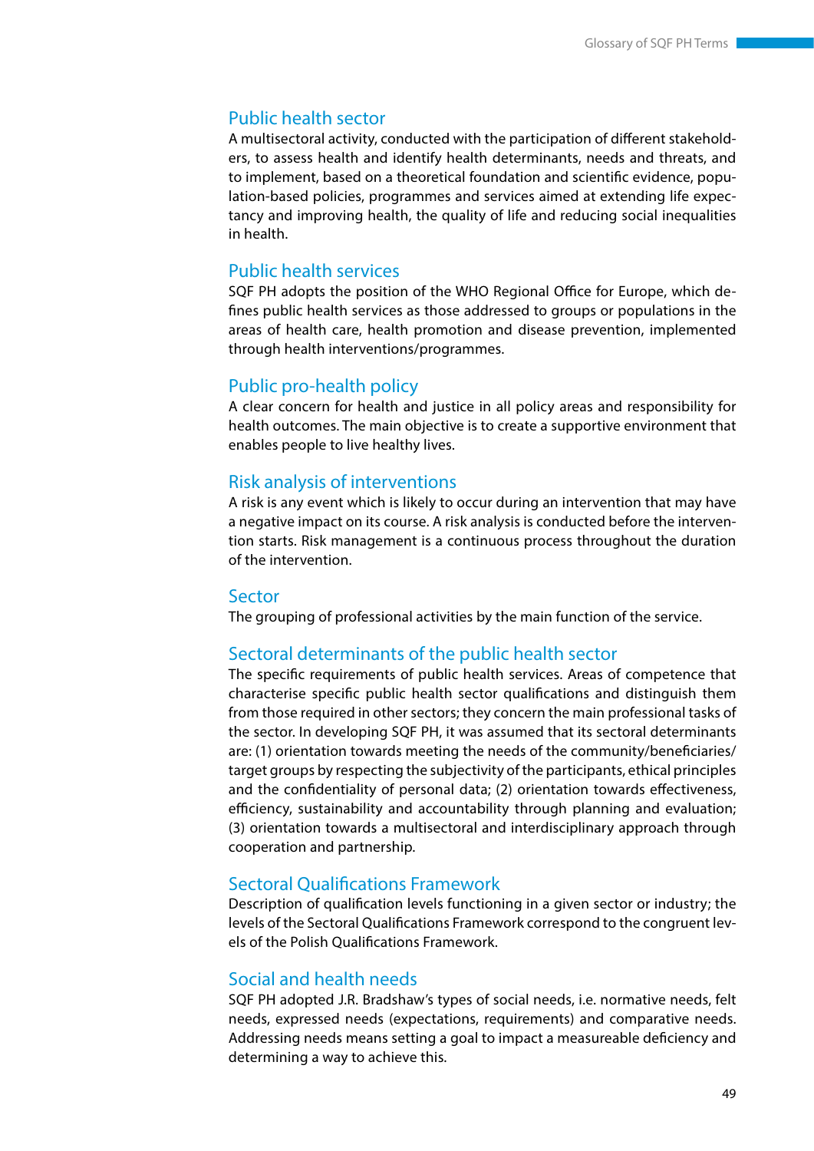#### Public health sector

A multisectoral activity, conducted with the participation of different stakeholders, to assess health and identify health determinants, needs and threats, and to implement, based on a theoretical foundation and scientific evidence, population-based policies, programmes and services aimed at extending life expectancy and improving health, the quality of life and reducing social inequalities in health.

#### Public health services

SQF PH adopts the position of the WHO Regional Office for Europe, which defines public health services as those addressed to groups or populations in the areas of health care, health promotion and disease prevention, implemented through health interventions/programmes.

#### Public pro-health policy

A clear concern for health and justice in all policy areas and responsibility for health outcomes. The main objective is to create a supportive environment that enables people to live healthy lives.

### Risk analysis of interventions

A risk is any event which is likely to occur during an intervention that may have a negative impact on its course. A risk analysis is conducted before the intervention starts. Risk management is a continuous process throughout the duration of the intervention.

#### Sector

The grouping of professional activities by the main function of the service.

#### Sectoral determinants of the public health sector

The specific requirements of public health services. Areas of competence that characterise specific public health sector qualifications and distinguish them from those required in other sectors; they concern the main professional tasks of the sector. In developing SQF PH, it was assumed that its sectoral determinants are: (1) orientation towards meeting the needs of the community/beneficiaries/ target groups by respecting the subjectivity of the participants, ethical principles and the confidentiality of personal data; (2) orientation towards effectiveness, efficiency, sustainability and accountability through planning and evaluation; (3) orientation towards a multisectoral and interdisciplinary approach through cooperation and partnership.

#### Sectoral Qualifications Framework

Description of qualification levels functioning in a given sector or industry; the levels of the Sectoral Qualifications Framework correspond to the congruent levels of the Polish Qualifications Framework.

### Social and health needs

SQF PH adopted J.R. Bradshaw's types of social needs, i.e. normative needs, felt needs, expressed needs (expectations, requirements) and comparative needs. Addressing needs means setting a goal to impact a measureable deficiency and determining a way to achieve this.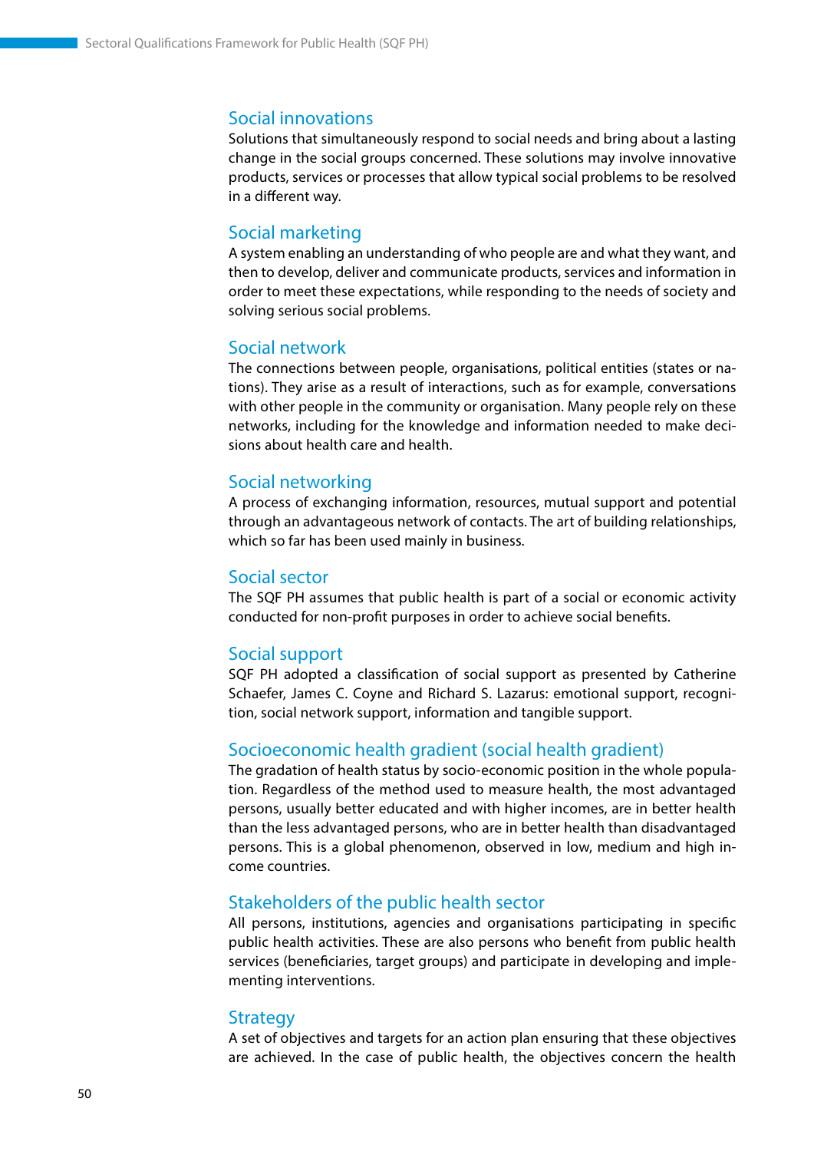#### Social innovations

Solutions that simultaneously respond to social needs and bring about a lasting change in the social groups concerned. These solutions may involve innovative products, services or processes that allow typical social problems to be resolved in a different way.

#### Social marketing

A system enabling an understanding of who people are and what they want, and then to develop, deliver and communicate products, services and information in order to meet these expectations, while responding to the needs of society and solving serious social problems.

#### Social network

The connections between people, organisations, political entities (states or nations). They arise as a result of interactions, such as for example, conversations with other people in the community or organisation. Many people rely on these networks, including for the knowledge and information needed to make decisions about health care and health.

#### Social networking

A process of exchanging information, resources, mutual support and potential through an advantageous network of contacts. The art of building relationships, which so far has been used mainly in business.

#### Social sector

The SQF PH assumes that public health is part of a social or economic activity conducted for non-profit purposes in order to achieve social benefits.

#### Social support

SQF PH adopted a classification of social support as presented by Catherine Schaefer, James C. Coyne and Richard S. Lazarus: emotional support, recognition, social network support, information and tangible support.

#### Socioeconomic health gradient (social health gradient)

The gradation of health status by socio-economic position in the whole population. Regardless of the method used to measure health, the most advantaged persons, usually better educated and with higher incomes, are in better health than the less advantaged persons, who are in better health than disadvantaged persons. This is a global phenomenon, observed in low, medium and high income countries.

#### Stakeholders of the public health sector

All persons, institutions, agencies and organisations participating in specific public health activities. These are also persons who benefit from public health services (beneficiaries, target groups) and participate in developing and implementing interventions.

#### **Strategy**

A set of objectives and targets for an action plan ensuring that these objectives are achieved. In the case of public health, the objectives concern the health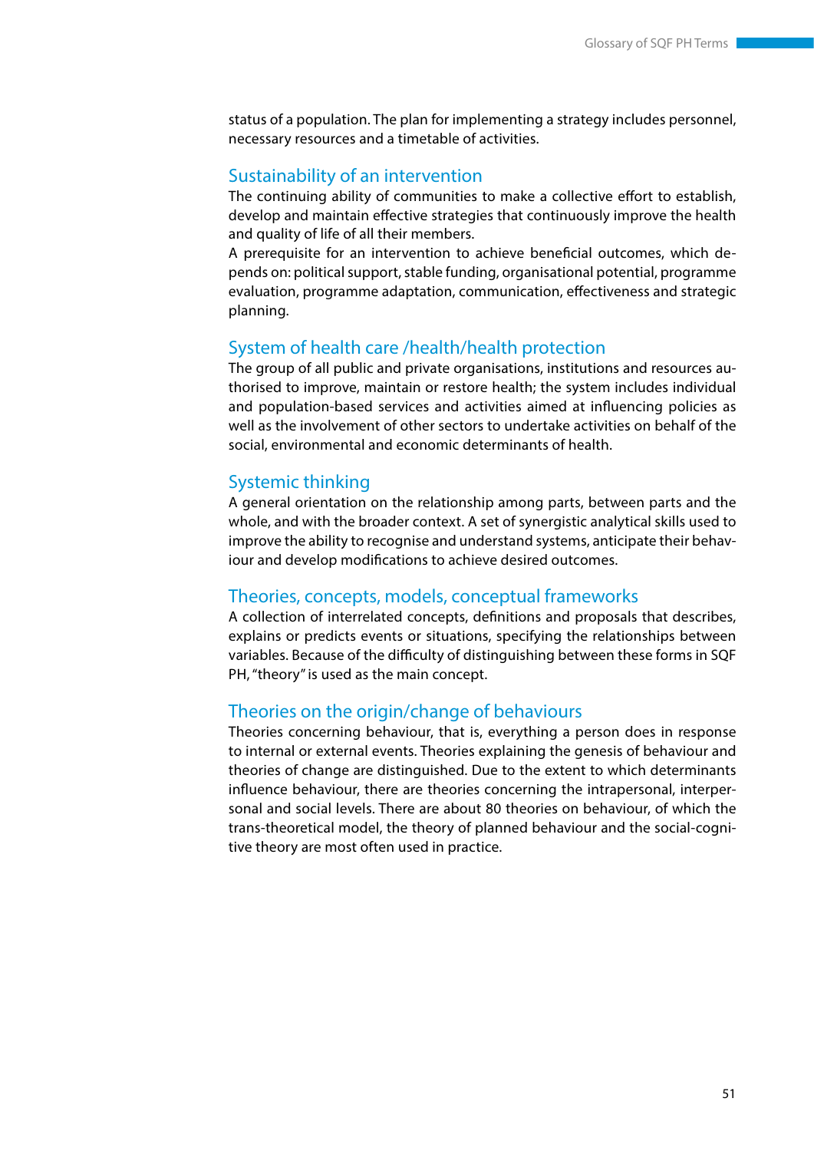status of a population. The plan for implementing a strategy includes personnel, necessary resources and a timetable of activities.

#### Sustainability of an intervention

The continuing ability of communities to make a collective effort to establish, develop and maintain effective strategies that continuously improve the health and quality of life of all their members.

A prerequisite for an intervention to achieve beneficial outcomes, which depends on: political support, stable funding, organisational potential, programme evaluation, programme adaptation, communication, effectiveness and strategic planning.

#### System of health care /health/health protection

The group of all public and private organisations, institutions and resources authorised to improve, maintain or restore health; the system includes individual and population-based services and activities aimed at influencing policies as well as the involvement of other sectors to undertake activities on behalf of the social, environmental and economic determinants of health.

#### Systemic thinking

A general orientation on the relationship among parts, between parts and the whole, and with the broader context. A set of synergistic analytical skills used to improve the ability to recognise and understand systems, anticipate their behaviour and develop modifications to achieve desired outcomes.

#### Theories, concepts, models, conceptual frameworks

A collection of interrelated concepts, definitions and proposals that describes, explains or predicts events or situations, specifying the relationships between variables. Because of the difficulty of distinguishing between these forms in SQF PH, "theory" is used as the main concept.

#### Theories on the origin/change of behaviours

Theories concerning behaviour, that is, everything a person does in response to internal or external events. Theories explaining the genesis of behaviour and theories of change are distinguished. Due to the extent to which determinants influence behaviour, there are theories concerning the intrapersonal, interpersonal and social levels. There are about 80 theories on behaviour, of which the trans-theoretical model, the theory of planned behaviour and the social-cognitive theory are most often used in practice.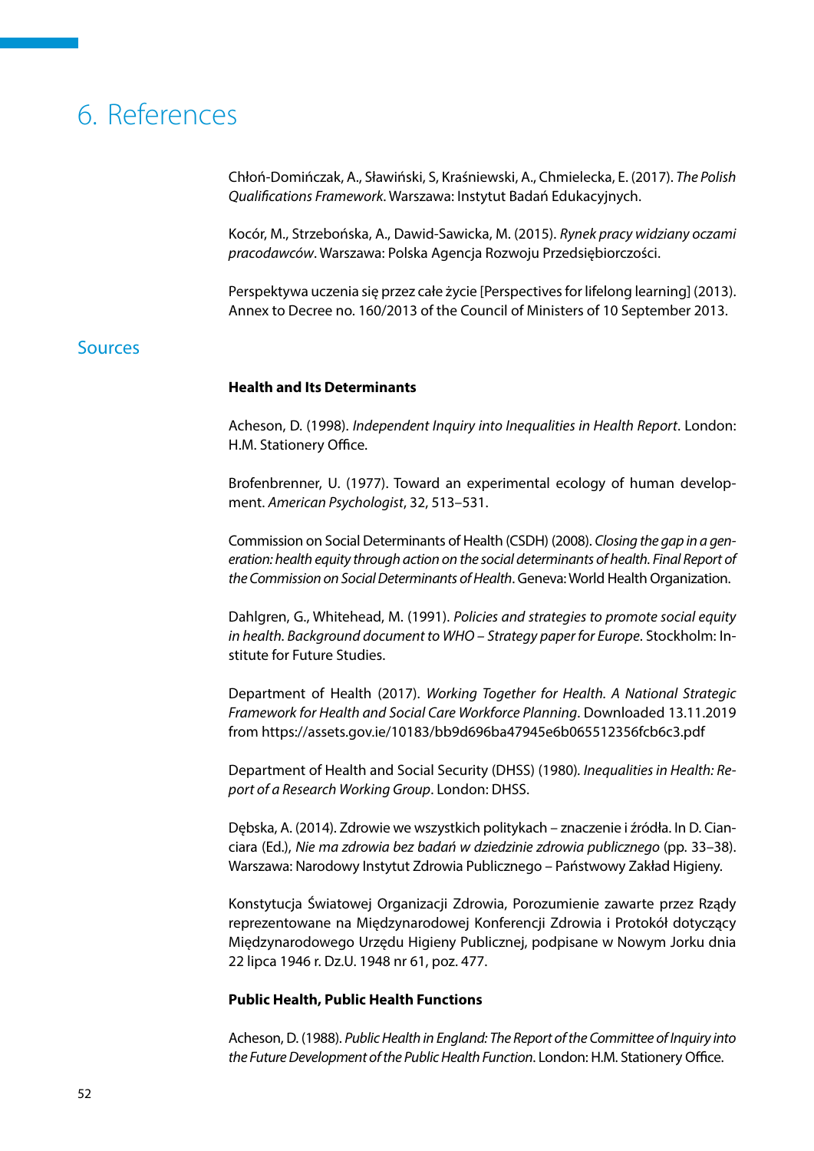# <span id="page-52-0"></span>6. References

Chłoń-Domińczak, A., Sławiński, S, Kraśniewski, A., Chmielecka, E. (2017). *The Polish Qualifications Framework*. Warszawa: Instytut Badań Edukacyjnych.

Kocór, M., Strzebońska, A., Dawid-Sawicka, M. (2015). *Rynek pracy widziany oczami pracodawców*. Warszawa: Polska Agencja Rozwoju Przedsiębiorczości.

Perspektywa uczenia się przez całe życie [Perspectives for lifelong learning] (2013). Annex to Decree no. 160/2013 of the Council of Ministers of 10 September 2013.

### **Sources**

#### **Health and Its Determinants**

Acheson, D. (1998). *Independent Inquiry into Inequalities in Health Report*. London: H.M. Stationery Office.

Brofenbrenner, U. (1977). Toward an experimental ecology of human development. *American Psychologist*, 32, 513–531.

Commission on Social Determinants of Health (CSDH) (2008). *Closing the gap in a generation: health equity through action on the social determinants of health. Final Report of the Commission on Social Determinants of Health*. Geneva: World Health Organization.

Dahlgren, G., Whitehead, M. (1991). *Policies and strategies to promote social equity in health. Background document to WHO – Strategy paper for Europe*. Stockholm: Institute for Future Studies.

Department of Health (2017). *Working Together for Health. A National Strategic Framework for Health and Social Care Workforce Planning*. Downloaded 13.11.2019 from https://assets.gov.ie/10183/bb9d696ba47945e6b065512356fcb6c3.pdf

Department of Health and Social Security (DHSS) (1980)*. Inequalities in Health: Report of a Research Working Group*. London: DHSS.

Dębska, A. (2014). Zdrowie we wszystkich politykach – znaczenie i źródła. In D. Cianciara (Ed.), *Nie ma zdrowia bez badań w dziedzinie zdrowia publicznego* (pp. 33–38). Warszawa: Narodowy Instytut Zdrowia Publicznego – Państwowy Zakład Higieny.

Konstytucja Światowej Organizacji Zdrowia, Porozumienie zawarte przez Rządy reprezentowane na Międzynarodowej Konferencji Zdrowia i Protokół dotyczący Międzynarodowego Urzędu Higieny Publicznej, podpisane w Nowym Jorku dnia 22 lipca 1946 r. Dz.U. 1948 nr 61, poz. 477.

#### **Public Health, Public Health Functions**

Acheson, D. (1988). *Public Health in England: The Report of the Committee of Inquiry into the Future Development of the Public Health Function*. London: H.M. Stationery Office.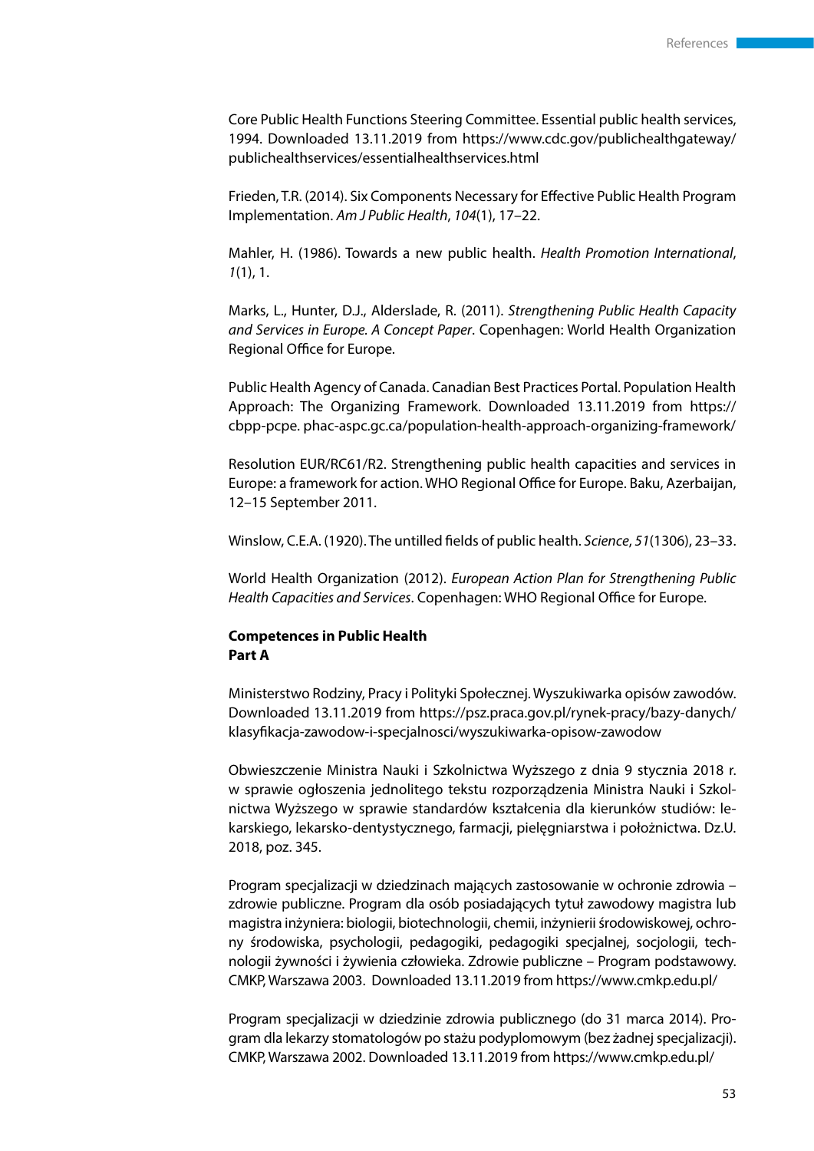Core Public Health Functions Steering Committee. Essential public health services, 1994. Downloaded 13.11.2019 from https://www.cdc.gov/publichealthgateway/ publichealthservices/essentialhealthservices.html

Frieden, T.R. (2014). Six Components Necessary for Effective Public Health Program Implementation. *Am J Public Health*, *104*(1), 17–22.

Mahler, H. (1986). Towards a new public health. *Health Promotion International*, *1*(1), 1.

Marks, L., Hunter, D.J., Alderslade, R. (2011). *Strengthening Public Health Capacity and Services in Europe. A Concept Paper*. Copenhagen: World Health Organization Regional Office for Europe.

Public Health Agency of Canada. Canadian Best Practices Portal. Population Health Approach: The Organizing Framework. Downloaded 13.11.2019 from https:// cbpp-pcpe. phac-aspc.gc.ca/population-health-approach-organizing-framework/

Resolution EUR/RC61/R2. Strengthening public health capacities and services in Europe: a framework for action. WHO Regional Office for Europe. Baku, Azerbaijan, 12–15 September 2011.

Winslow, C.E.A. (1920). The untilled fields of public health. *Science*, *51*(1306), 23–33.

World Health Organization (2012). *European Action Plan for Strengthening Public Health Capacities and Services*. Copenhagen: WHO Regional Office for Europe.

#### **Competences in Public Health Part A**

Ministerstwo Rodziny, Pracy i Polityki Społecznej. Wyszukiwarka opisów zawodów. Downloaded 13.11.2019 from https://psz.praca.gov.pl/rynek-pracy/bazy-danych/ klasyfikacja-zawodow-i-specjalnosci/wyszukiwarka-opisow-zawodow

Obwieszczenie Ministra Nauki i Szkolnictwa Wyższego z dnia 9 stycznia 2018 r. w sprawie ogłoszenia jednolitego tekstu rozporządzenia Ministra Nauki i Szkolnictwa Wyższego w sprawie standardów kształcenia dla kierunków studiów: lekarskiego, lekarsko-dentystycznego, farmacji, pielęgniarstwa i położnictwa. Dz.U. 2018, poz. 345.

Program specjalizacji w dziedzinach mających zastosowanie w ochronie zdrowia – zdrowie publiczne. Program dla osób posiadających tytuł zawodowy magistra lub magistra inżyniera: biologii, biotechnologii, chemii, inżynierii środowiskowej, ochrony środowiska, psychologii, pedagogiki, pedagogiki specjalnej, socjologii, technologii żywności i żywienia człowieka. Zdrowie publiczne – Program podstawowy. CMKP, Warszawa 2003. Downloaded 13.11.2019 from https://www.cmkp.edu.pl/

Program specjalizacji w dziedzinie zdrowia publicznego (do 31 marca 2014). Program dla lekarzy stomatologów po stażu podyplomowym (bez żadnej specjalizacji). CMKP, Warszawa 2002. Downloaded 13.11.2019 from https://www.cmkp.edu.pl/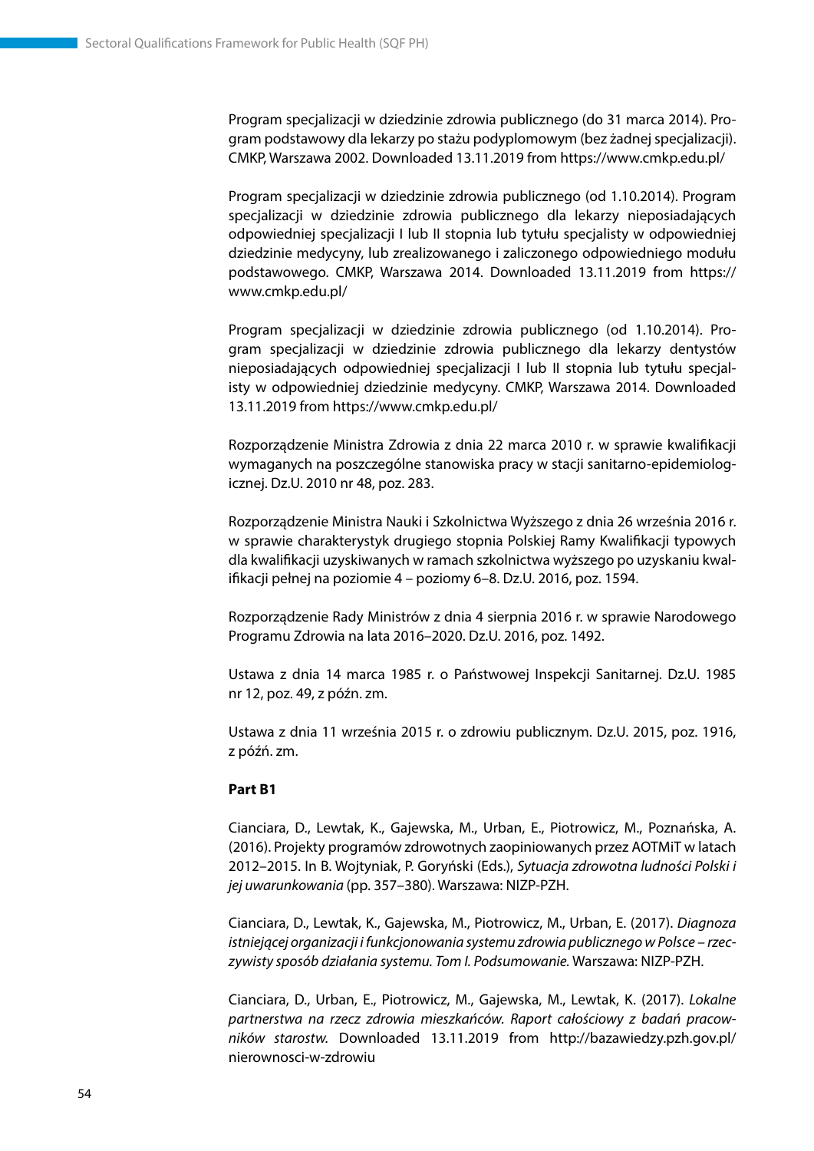Program specjalizacji w dziedzinie zdrowia publicznego (do 31 marca 2014). Program podstawowy dla lekarzy po stażu podyplomowym (bez żadnej specjalizacji). CMKP, Warszawa 2002. Downloaded 13.11.2019 from https://www.cmkp.edu.pl/

Program specjalizacji w dziedzinie zdrowia publicznego (od 1.10.2014). Program specjalizacji w dziedzinie zdrowia publicznego dla lekarzy nieposiadających odpowiedniej specjalizacji I lub II stopnia lub tytułu specjalisty w odpowiedniej dziedzinie medycyny, lub zrealizowanego i zaliczonego odpowiedniego modułu podstawowego. CMKP, Warszawa 2014. Downloaded 13.11.2019 from https:// www.cmkp.edu.pl/

Program specjalizacji w dziedzinie zdrowia publicznego (od 1.10.2014). Program specjalizacji w dziedzinie zdrowia publicznego dla lekarzy dentystów nieposiadających odpowiedniej specjalizacji I lub II stopnia lub tytułu specjalisty w odpowiedniej dziedzinie medycyny. CMKP, Warszawa 2014. Downloaded 13.11.2019 from https://www.cmkp.edu.pl/

Rozporządzenie Ministra Zdrowia z dnia 22 marca 2010 r. w sprawie kwalifikacji wymaganych na poszczególne stanowiska pracy w stacji sanitarno-epidemiologicznej. Dz.U. 2010 nr 48, poz. 283.

Rozporządzenie Ministra Nauki i Szkolnictwa Wyższego z dnia 26 września 2016 r. w sprawie charakterystyk drugiego stopnia Polskiej Ramy Kwalifikacji typowych dla kwalifikacji uzyskiwanych w ramach szkolnictwa wyższego po uzyskaniu kwalifikacji pełnej na poziomie 4 – poziomy 6–8. Dz.U. 2016, poz. 1594.

Rozporządzenie Rady Ministrów z dnia 4 sierpnia 2016 r. w sprawie Narodowego Programu Zdrowia na lata 2016–2020. Dz.U. 2016, poz. 1492.

Ustawa z dnia 14 marca 1985 r. o Państwowej Inspekcji Sanitarnej. Dz.U. 1985 nr 12, poz. 49, z późn. zm.

Ustawa z dnia 11 września 2015 r. o zdrowiu publicznym. Dz.U. 2015, poz. 1916, z późń. zm.

#### **Part B1**

Cianciara, D., Lewtak, K., Gajewska, M., Urban, E., Piotrowicz, M., Poznańska, A. (2016). Projekty programów zdrowotnych zaopiniowanych przez AOTMiT w latach 2012–2015. In B. Wojtyniak, P. Goryński (Eds.), *Sytuacja zdrowotna ludności Polski i jej uwarunkowania* (pp. 357–380). Warszawa: NIZP-PZH.

Cianciara, D., Lewtak, K., Gajewska, M., Piotrowicz, M., Urban, E. (2017). *Diagnoza istniejącej organizacji i funkcjonowania systemu zdrowia publicznego w Polsce – rzeczywisty sposób działania systemu. Tom I. Podsumowanie.* Warszawa: NIZP-PZH.

Cianciara, D., Urban, E., Piotrowicz, M., Gajewska, M., Lewtak, K. (2017). *Lokalne partnerstwa na rzecz zdrowia mieszkańców. Raport całościowy z badań pracowników starostw.* Downloaded 13.11.2019 from http://bazawiedzy.pzh.gov.pl/ nierownosci-w-zdrowiu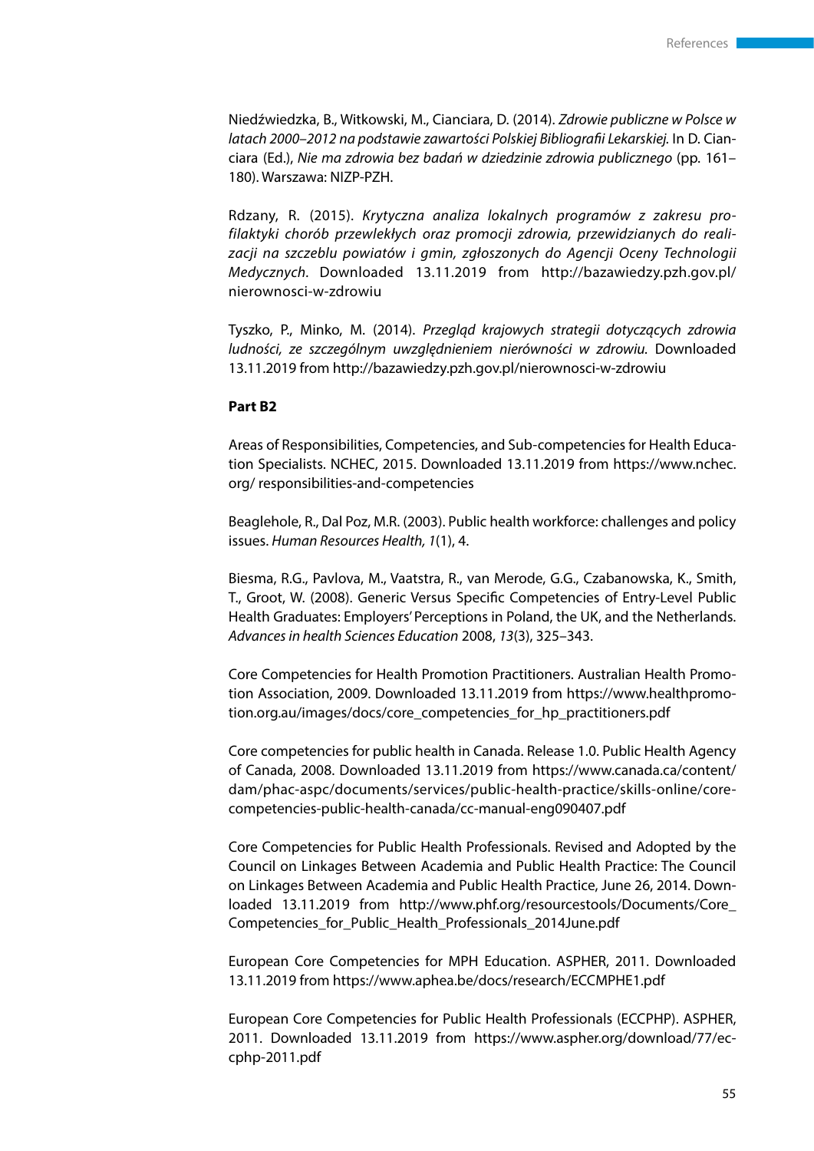Niedźwiedzka, B., Witkowski, M., Cianciara, D. (2014). *Zdrowie publiczne w Polsce w latach 2000–2012 na podstawie zawartości Polskiej Bibliografii Lekarskiej.* In D. Cianciara (Ed.), *Nie ma zdrowia bez badań w dziedzinie zdrowia publicznego* (pp. 161– 180). Warszawa: NIZP-PZH.

Rdzany, R. (2015). *Krytyczna analiza lokalnych programów z zakresu profilaktyki chorób przewlekłych oraz promocji zdrowia, przewidzianych do realizacji na szczeblu powiatów i gmin, zgłoszonych do Agencji Oceny Technologii Medycznych.* Downloaded 13.11.2019 from http://bazawiedzy.pzh.gov.pl/ nierownosci-w-zdrowiu

Tyszko, P., Minko, M. (2014). *Przegląd krajowych strategii dotyczących zdrowia ludności, ze szczególnym uwzględnieniem nierówności w zdrowiu.* Downloaded 13.11.2019 from http://bazawiedzy.pzh.gov.pl/nierownosci-w-zdrowiu

#### **Part B2**

Areas of Responsibilities, Competencies, and Sub-competencies for Health Education Specialists. NCHEC, 2015. Downloaded 13.11.2019 from https://www.nchec. org/ responsibilities-and-competencies

Beaglehole, R., Dal Poz, M.R. (2003). Public health workforce: challenges and policy issues. *Human Resources Health, 1*(1), 4.

Biesma, R.G., Pavlova, M., Vaatstra, R., van Merode, G.G., Czabanowska, K., Smith, T., Groot, W. (2008). Generic Versus Specific Competencies of Entry-Level Public Health Graduates: Employers' Perceptions in Poland, the UK, and the Netherlands. *Advances in health Sciences Education* 2008, *13*(3), 325–343.

Core Competencies for Health Promotion Practitioners. Australian Health Promotion Association, 2009. Downloaded 13.11.2019 from https://www.healthpromotion.org.au/images/docs/core\_competencies\_for\_hp\_practitioners.pdf

Core competencies for public health in Canada. Release 1.0. Public Health Agency of Canada, 2008. Downloaded 13.11.2019 from https://www.canada.ca/content/ dam/phac-aspc/documents/services/public-health-practice/skills-online/corecompetencies-public-health-canada/cc-manual-eng090407.pdf

Core Competencies for Public Health Professionals. Revised and Adopted by the Council on Linkages Between Academia and Public Health Practice: The Council on Linkages Between Academia and Public Health Practice, June 26, 2014. Downloaded 13.11.2019 from http://www.phf.org/resourcestools/Documents/Core\_ Competencies for Public Health Professionals 2014June.pdf

European Core Competencies for MPH Education. ASPHER, 2011. Downloaded 13.11.2019 from https://www.aphea.be/docs/research/ECCMPHE1.pdf

European Core Competencies for Public Health Professionals (ECCPHP). ASPHER, 2011. Downloaded 13.11.2019 from https://www.aspher.org/download/77/eccphp-2011.pdf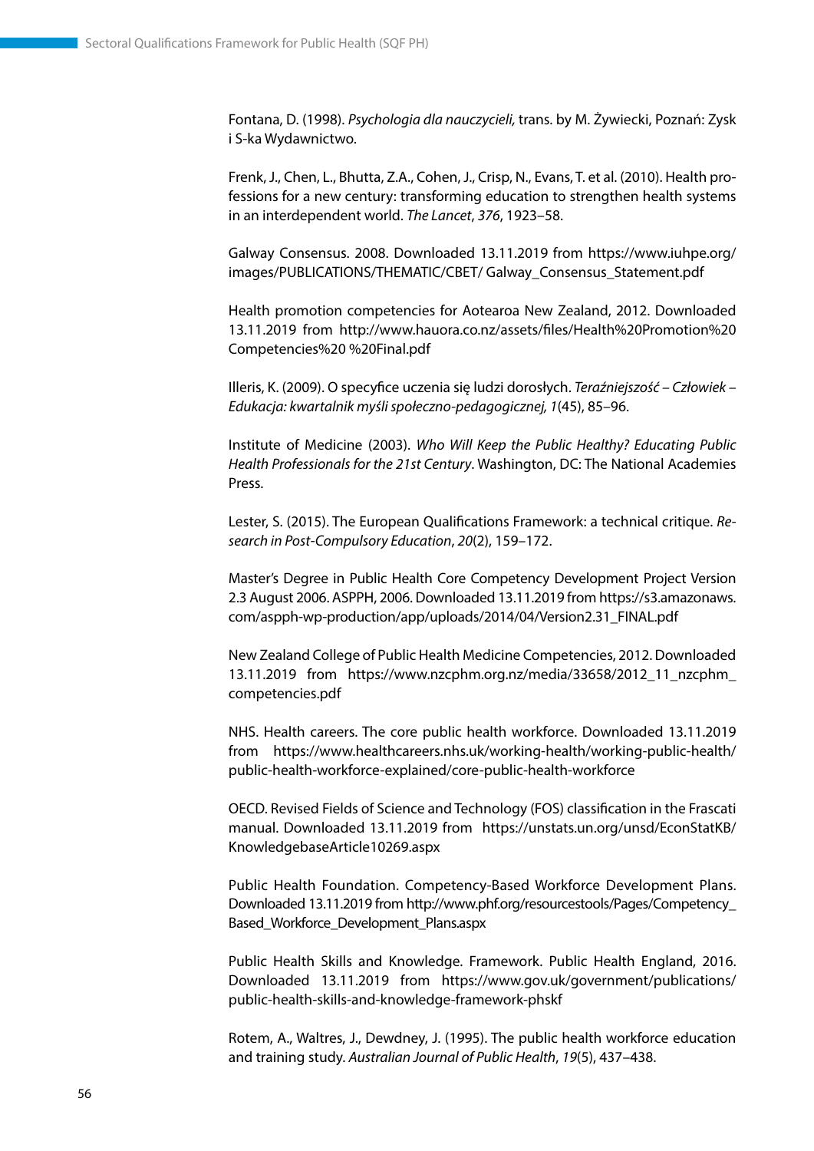Fontana, D. (1998). *Psychologia dla nauczycieli,* trans. by M. Żywiecki, Poznań: Zysk i S-ka Wydawnictwo.

Frenk, J., Chen, L., Bhutta, Z.A., Cohen, J., Crisp, N., Evans, T. et al. (2010). Health professions for a new century: transforming education to strengthen health systems in an interdependent world. *The Lancet*, *376*, 1923–58.

Galway Consensus. 2008. Downloaded 13.11.2019 from https://www.iuhpe.org/ images/PUBLICATIONS/THEMATIC/CBET/ Galway\_Consensus\_Statement.pdf

Health promotion competencies for Aotearoa New Zealand, 2012. Downloaded 13.11.2019 from http://www.hauora.co.nz/assets/files/Health%20Promotion%20 Competencies%20 %20Final.pdf

Illeris, K. (2009). O specyfice uczenia się ludzi dorosłych. *Teraźniejszość – Człowiek – Edukacja: kwartalnik myśli społeczno-pedagogicznej, 1*(45), 85–96.

Institute of Medicine (2003). *Who Will Keep the Public Healthy? Educating Public Health Professionals for the 21st Century*. Washington, DC: The National Academies Press.

Lester, S. (2015). The European Qualifications Framework: a technical critique. *Research in Post-Compulsory Education*, *20*(2), 159–172.

Master's Degree in Public Health Core Competency Development Project Version 2.3 August 2006. ASPPH, 2006. Downloaded 13.11.2019 from https://s3.amazonaws. com/aspph-wp-production/app/uploads/2014/04/Version2.31\_FINAL.pdf

New Zealand College of Public Health Medicine Competencies, 2012. Downloaded 13.11.2019 from https://www.nzcphm.org.nz/media/33658/2012\_11\_nzcphm\_ competencies.pdf

NHS. Health careers. The core public health workforce. Downloaded 13.11.2019 from https://www.healthcareers.nhs.uk/working-health/working-public-health/ public-health-workforce-explained/core-public-health-workforce

OECD. Revised Fields of Science and Technology (FOS) classification in the Frascati manual. Downloaded 13.11.2019 from https://unstats.un.org/unsd/EconStatKB/ KnowledgebaseArticle10269.aspx

Public Health Foundation. Competency-Based Workforce Development Plans. Downloaded 13.11.2019 from http://www.phf.org/resourcestools/Pages/Competency\_ Based\_Workforce\_Development\_Plans.aspx

Public Health Skills and Knowledge. Framework. Public Health England, 2016. Downloaded 13.11.2019 from https://www.gov.uk/government/publications/ public-health-skills-and-knowledge-framework-phskf

Rotem, A., Waltres, J., Dewdney, J. (1995). The public health workforce education and training study. *Australian Journal of Public Health*, *19*(5), 437–438.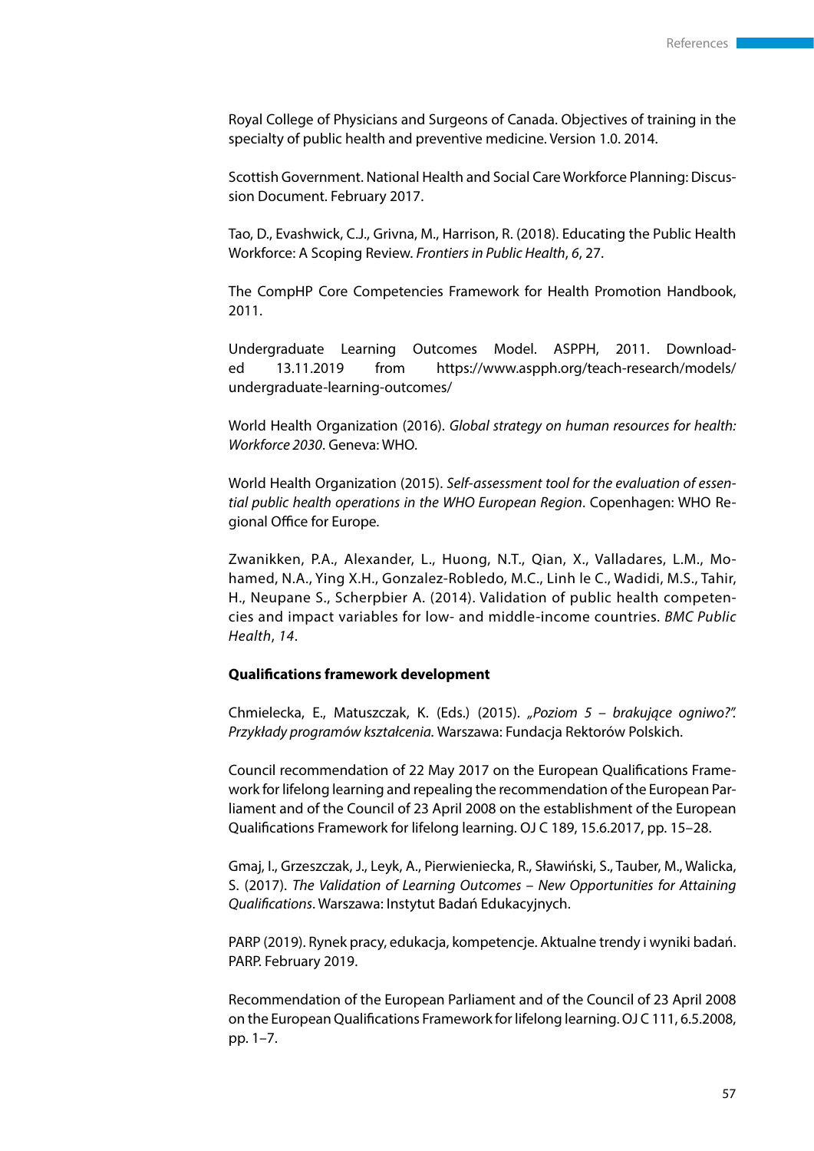Royal College of Physicians and Surgeons of Canada. Objectives of training in the specialty of public health and preventive medicine. Version 1.0. 2014.

Scottish Government. National Health and Social Care Workforce Planning: Discussion Document. February 2017.

Tao, D., Evashwick, C.J., Grivna, M., Harrison, R. (2018). Educating the Public Health Workforce: A Scoping Review. *Frontiers in Public Health*, *6*, 27.

The CompHP Core Competencies Framework for Health Promotion Handbook, 2011.

Undergraduate Learning Outcomes Model. ASPPH, 2011. Downloaded 13.11.2019 from https://www.aspph.org/teach-research/models/ undergraduate-learning-outcomes/

World Health Organization (2016). *Global strategy on human resources for health: Workforce 2030*. Geneva: WHO.

World Health Organization (2015). *Self-assessment tool for the evaluation of essential public health operations in the WHO European Region*. Copenhagen: WHO Regional Office for Europe.

Zwanikken, P.A., Alexander, L., Huong, N.T., Qian, X., Valladares, L.M., Mohamed, N.A., Ying X.H., Gonzalez-Robledo, M.C., Linh le C., Wadidi, M.S., Tahir, H., Neupane S., Scherpbier A. (2014). Validation of public health competencies and impact variables for low- and middle-income countries. *BMC Public Health*, *14*.

#### **Qualifications framework development**

Chmielecka, E., Matuszczak, K. (Eds.) (2015). *"Poziom 5 – brakujące ogniwo?". Przykłady programów kształcenia.* Warszawa: Fundacja Rektorów Polskich.

Council recommendation of 22 May 2017 on the European Qualifications Framework for lifelong learning and repealing the recommendation of the European Parliament and of the Council of 23 April 2008 on the establishment of the European Qualifications Framework for lifelong learning. OJ C 189, 15.6.2017, pp. 15–28.

Gmaj, I., Grzeszczak, J., Leyk, A., Pierwieniecka, R., Sławiński, S., Tauber, M., Walicka, S. (2017). *The Validation of Learning Outcomes – New Opportunities for Attaining Qualifications*. Warszawa: Instytut Badań Edukacyjnych.

PARP (2019). Rynek pracy, edukacja, kompetencje. Aktualne trendy i wyniki badań. PARP. February 2019.

Recommendation of the European Parliament and of the Council of 23 April 2008 on the European Qualifications Framework for lifelong learning. OJ C 111, 6.5.2008, pp. 1–7.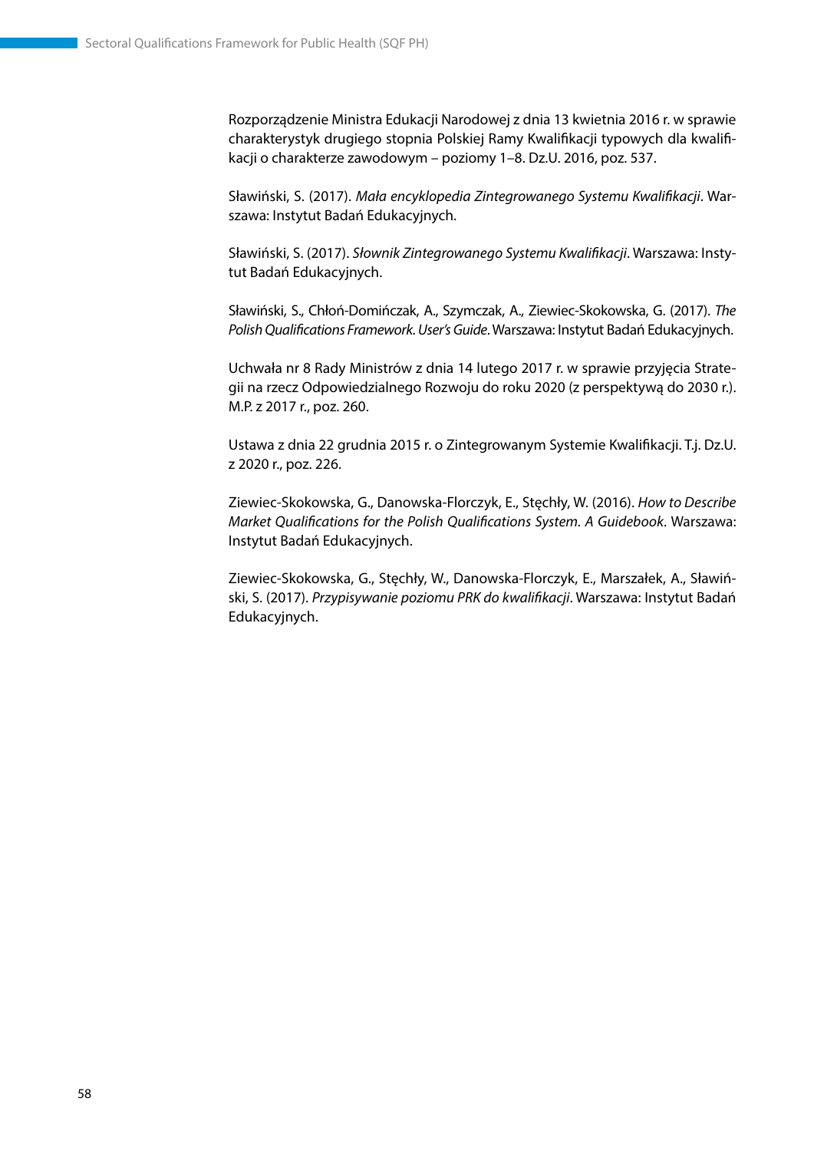Rozporządzenie Ministra Edukacji Narodowej z dnia 13 kwietnia 2016 r. w sprawie charakterystyk drugiego stopnia Polskiej Ramy Kwalifikacji typowych dla kwalifikacji o charakterze zawodowym – poziomy 1–8. Dz.U. 2016, poz. 537.

Sławiński, S. (2017). *Mała encyklopedia Zintegrowanego Systemu Kwalifikacji*. Warszawa: Instytut Badań Edukacyjnych.

Sławiński, S. (2017). *Słownik Zintegrowanego Systemu Kwalifikacji*. Warszawa: Instytut Badań Edukacyjnych.

Sławiński, S., Chłoń-Domińczak, A., Szymczak, A., Ziewiec-Skokowska, G. (2017). *The Polish Qualifications Framework. User's Guide*. Warszawa: Instytut Badań Edukacyjnych.

Uchwała nr 8 Rady Ministrów z dnia 14 lutego 2017 r. w sprawie przyjęcia Strategii na rzecz Odpowiedzialnego Rozwoju do roku 2020 (z perspektywą do 2030 r.). M.P. z 2017 r., poz. 260.

Ustawa z dnia 22 grudnia 2015 r. o Zintegrowanym Systemie Kwalifikacji. T.j. Dz.U. z 2020 r., poz. 226.

Ziewiec-Skokowska, G., Danowska-Florczyk, E., Stęchły, W. (2016). *How to Describe Market Qualifications for the Polish Qualifications System. A Guidebook*. Warszawa: Instytut Badań Edukacyjnych.

Ziewiec-Skokowska, G., Stęchły, W., Danowska-Florczyk, E., Marszałek, A., Sławiński, S. (2017). *Przypisywanie poziomu PRK do kwalifikacji*. Warszawa: Instytut Badań Edukacyjnych.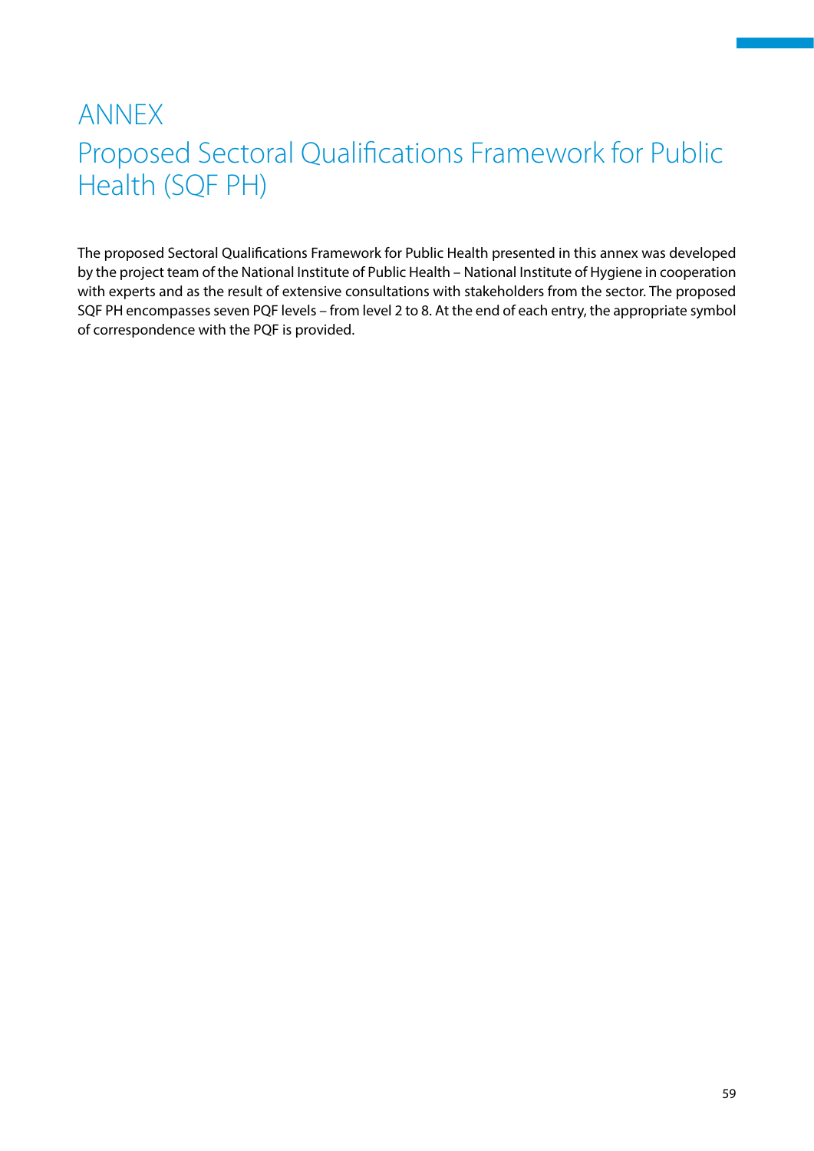# <span id="page-59-0"></span>ANNEX Proposed Sectoral Qualifications Framework for Public Health (SQF PH)

The proposed Sectoral Qualifications Framework for Public Health presented in this annex was developed by the project team of the National Institute of Public Health – National Institute of Hygiene in cooperation with experts and as the result of extensive consultations with stakeholders from the sector. The proposed SQF PH encompasses seven PQF levels – from level 2 to 8. At the end of each entry, the appropriate symbol of correspondence with the PQF is provided.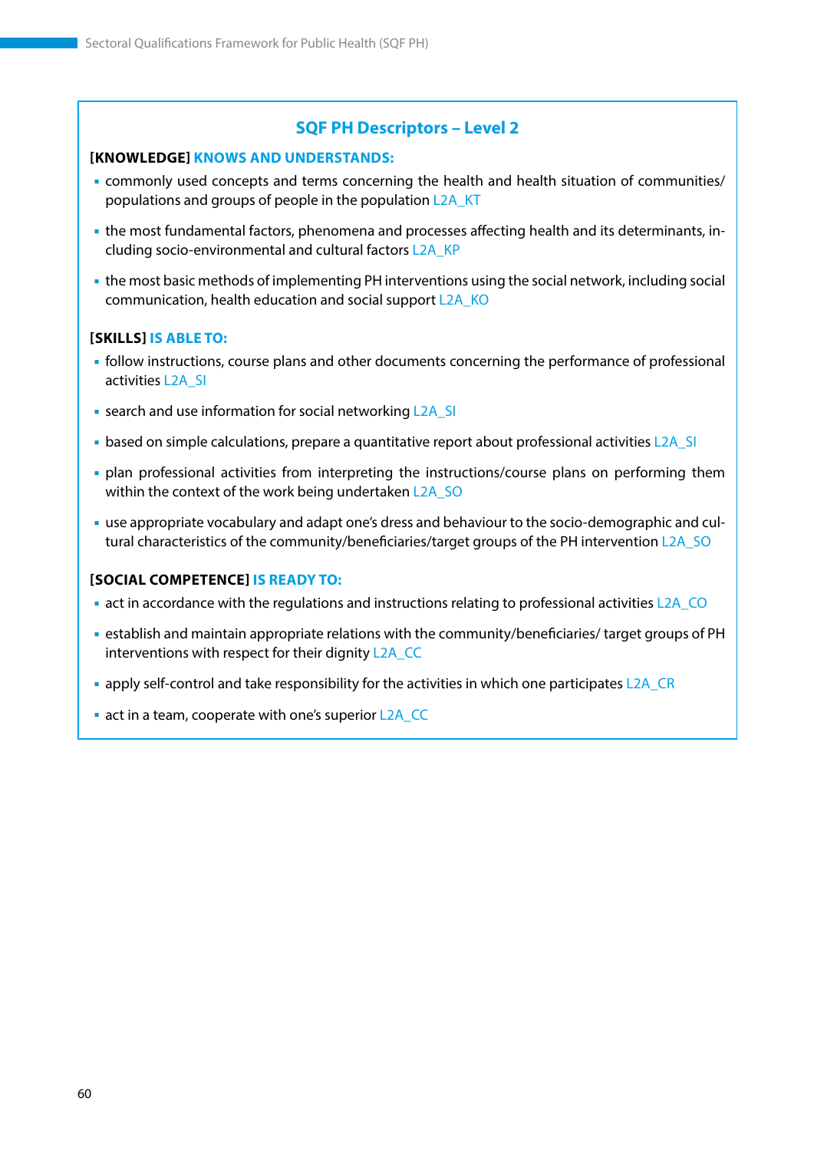#### **[KNOWLEDGE] KNOWS AND UNDERSTANDS:**

- commonly used concepts and terms concerning the health and health situation of communities/ populations and groups of people in the population L2A\_KT
- the most fundamental factors, phenomena and processes affecting health and its determinants, including socio-environmental and cultural factors L2A\_KP
- the most basic methods of implementing PH interventions using the social network, including social communication, health education and social support L2A\_KO

#### **[SKILLS] IS ABLE TO:**

- follow instructions, course plans and other documents concerning the performance of professional activities L2A\_SI
- **EXECTE 20 Information for social networking L2A\_SI**
- based on simple calculations, prepare a quantitative report about professional activities L2A\_SI
- plan professional activities from interpreting the instructions/course plans on performing them within the context of the work being undertaken L2A\_SO
- use appropriate vocabulary and adapt one's dress and behaviour to the socio-demographic and cultural characteristics of the community/beneficiaries/target groups of the PH intervention L2A\_SO

#### **[SOCIAL COMPETENCE] IS READY TO:**

- act in accordance with the regulations and instructions relating to professional activities L2A\_CO
- establish and maintain appropriate relations with the community/beneficiaries/ target groups of PH interventions with respect for their dignity L2A\_CC
- apply self-control and take responsibility for the activities in which one participates L2A\_CR
- act in a team, cooperate with one's superior L2A\_CC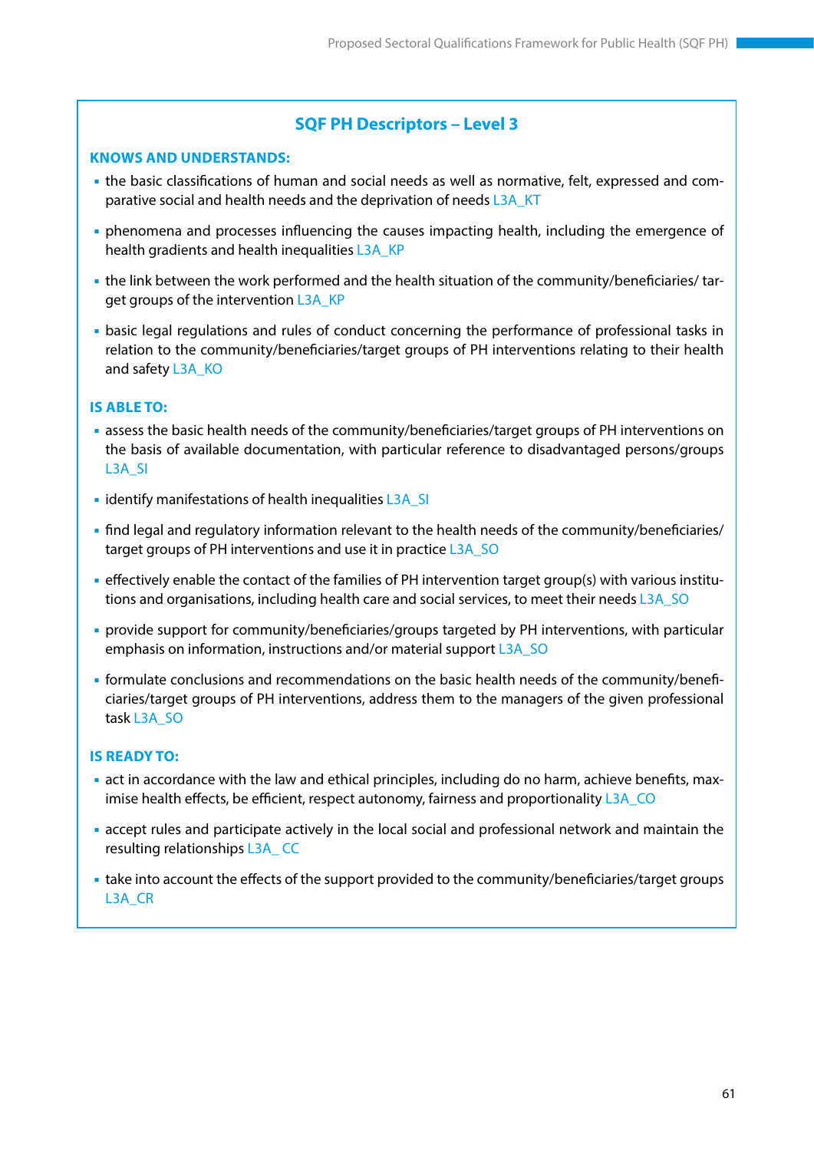#### **KNOWS AND UNDERSTANDS:**

- the basic classifications of human and social needs as well as normative, felt, expressed and comparative social and health needs and the deprivation of needs L3A\_KT
- phenomena and processes influencing the causes impacting health, including the emergence of health gradients and health inequalities L3A\_KP
- the link between the work performed and the health situation of the community/beneficiaries/ target groups of the intervention L3A\_KP
- basic legal regulations and rules of conduct concerning the performance of professional tasks in relation to the community/beneficiaries/target groups of PH interventions relating to their health and safety L3A\_KO

#### **IS ABLE TO:**

- assess the basic health needs of the community/beneficiaries/target groups of PH interventions on the basis of available documentation, with particular reference to disadvantaged persons/groups L3A\_SI
- $\blacksquare$  identify manifestations of health inequalities L3A\_SI
- find legal and regulatory information relevant to the health needs of the community/beneficiaries/ target groups of PH interventions and use it in practice L3A\_SO
- effectively enable the contact of the families of PH intervention target group(s) with various institutions and organisations, including health care and social services, to meet their needs L3A\_SO
- provide support for community/beneficiaries/groups targeted by PH interventions, with particular emphasis on information, instructions and/or material support L3A\_SO
- formulate conclusions and recommendations on the basic health needs of the community/beneficiaries/target groups of PH interventions, address them to the managers of the given professional task L3A\_SO

- act in accordance with the law and ethical principles, including do no harm, achieve benefits, maximise health effects, be efficient, respect autonomy, fairness and proportionality L3A\_CO
- accept rules and participate actively in the local social and professional network and maintain the resulting relationships L3A\_ CC
- take into account the effects of the support provided to the community/beneficiaries/target groups L3A\_CR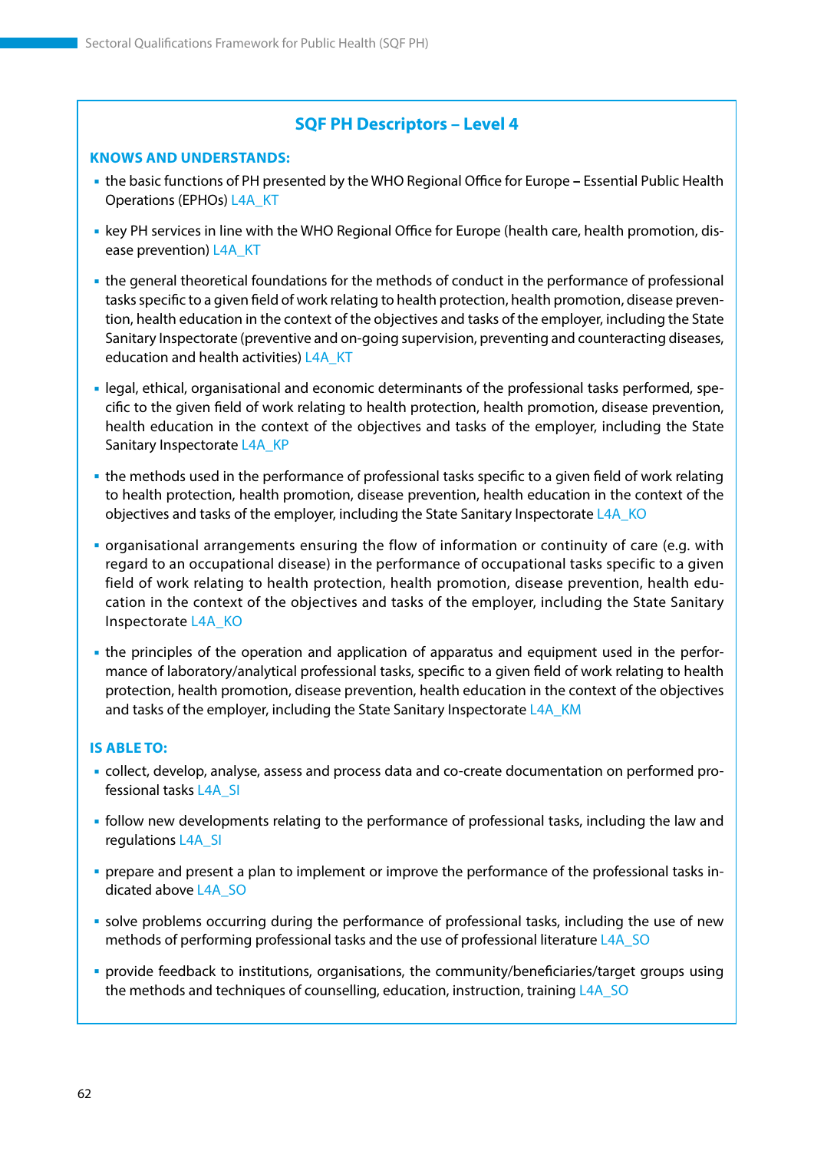#### **KNOWS AND UNDERSTANDS:**

- the basic functions of PH presented by the WHO Regional Office for Europe **–** Essential Public Health Operations (EPHOs) L4A\_KT
- key PH services in line with the WHO Regional Office for Europe (health care, health promotion, disease prevention) L4A\_KT
- the general theoretical foundations for the methods of conduct in the performance of professional tasks specific to a given field of work relating to health protection, health promotion, disease prevention, health education in the context of the objectives and tasks of the employer, including the State Sanitary Inspectorate (preventive and on-going supervision, preventing and counteracting diseases, education and health activities) L4A\_KT
- legal, ethical, organisational and economic determinants of the professional tasks performed, specific to the given field of work relating to health protection, health promotion, disease prevention, health education in the context of the objectives and tasks of the employer, including the State Sanitary Inspectorate L4A\_KP
- the methods used in the performance of professional tasks specific to a given field of work relating to health protection, health promotion, disease prevention, health education in the context of the objectives and tasks of the employer, including the State Sanitary Inspectorate L4A\_KO
- organisational arrangements ensuring the flow of information or continuity of care (e.g. with regard to an occupational disease) in the performance of occupational tasks specific to a given field of work relating to health protection, health promotion, disease prevention, health education in the context of the objectives and tasks of the employer, including the State Sanitary Inspectorate L4A\_KO
- the principles of the operation and application of apparatus and equipment used in the performance of laboratory/analytical professional tasks, specific to a given field of work relating to health protection, health promotion, disease prevention, health education in the context of the objectives and tasks of the employer, including the State Sanitary Inspectorate L4A\_KM

#### **IS ABLE TO:**

- collect, develop, analyse, assess and process data and co-create documentation on performed professional tasks L4A\_SI
- follow new developments relating to the performance of professional tasks, including the law and regulations L4A\_SI
- prepare and present a plan to implement or improve the performance of the professional tasks indicated above L4A\_SO
- solve problems occurring during the performance of professional tasks, including the use of new methods of performing professional tasks and the use of professional literature L4A\_SO
- provide feedback to institutions, organisations, the community/beneficiaries/target groups using the methods and techniques of counselling, education, instruction, training L4A\_SO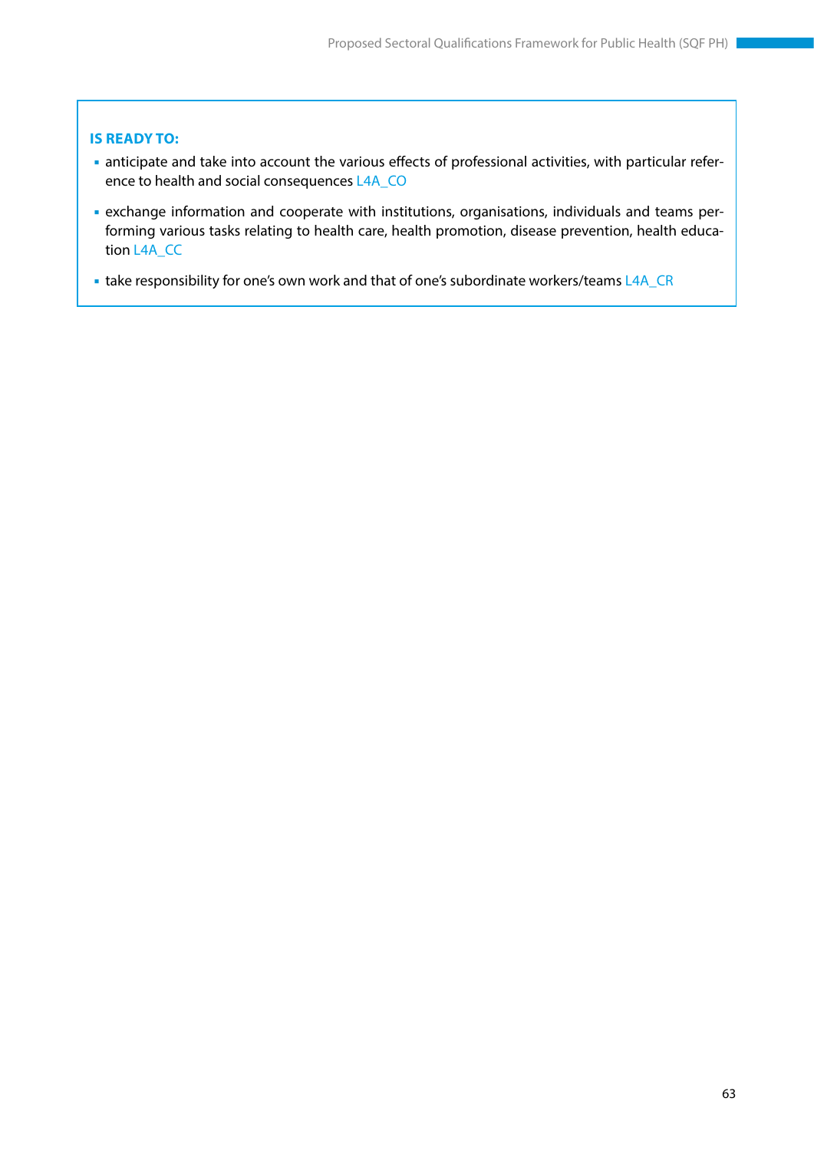- anticipate and take into account the various effects of professional activities, with particular reference to health and social consequences L4A\_CO
- exchange information and cooperate with institutions, organisations, individuals and teams performing various tasks relating to health care, health promotion, disease prevention, health education L4A\_CC
- take responsibility for one's own work and that of one's subordinate workers/teams L4A\_CR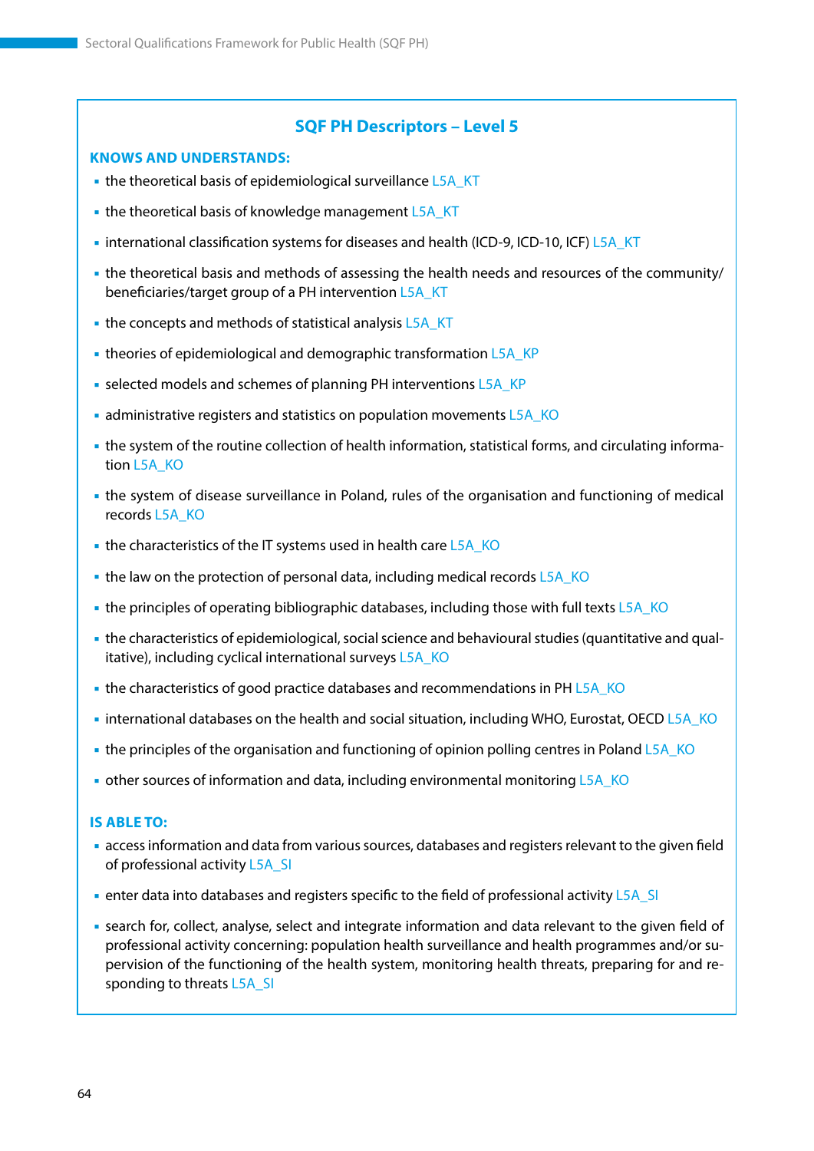#### **KNOWS AND UNDERSTANDS:**

- the theoretical basis of epidemiological surveillance L5A\_KT
- the theoretical basis of knowledge management L5A\_KT
- international classification systems for diseases and health (ICD-9, ICD-10, ICF) L5A\_KT
- the theoretical basis and methods of assessing the health needs and resources of the community/ beneficiaries/target group of a PH intervention L5A\_KT
- the concepts and methods of statistical analysis L5A KT
- theories of epidemiological and demographic transformation L5A\_KP
- selected models and schemes of planning PH interventions L5A\_KP
- administrative registers and statistics on population movements L5A\_KO
- the system of the routine collection of health information, statistical forms, and circulating information L5A\_KO
- the system of disease surveillance in Poland, rules of the organisation and functioning of medical records L5A\_KO
- the characteristics of the IT systems used in health care L5A\_KO
- the law on the protection of personal data, including medical records L5A\_KO
- the principles of operating bibliographic databases, including those with full texts L5A\_KO
- the characteristics of epidemiological, social science and behavioural studies (quantitative and qualitative), including cyclical international surveys L5A\_KO
- the characteristics of good practice databases and recommendations in PH L5A\_KO
- international databases on the health and social situation, including WHO, Eurostat, OECD L5A\_KO
- the principles of the organisation and functioning of opinion polling centres in Poland L5A\_KO
- other sources of information and data, including environmental monitoring L5A\_KO

#### **IS ABLE TO:**

- access information and data from various sources, databases and registers relevant to the given field of professional activity L5A\_SI
- enter data into databases and registers specific to the field of professional activity L5A\_SI
- search for, collect, analyse, select and integrate information and data relevant to the given field of professional activity concerning: population health surveillance and health programmes and/or supervision of the functioning of the health system, monitoring health threats, preparing for and responding to threats L5A\_SI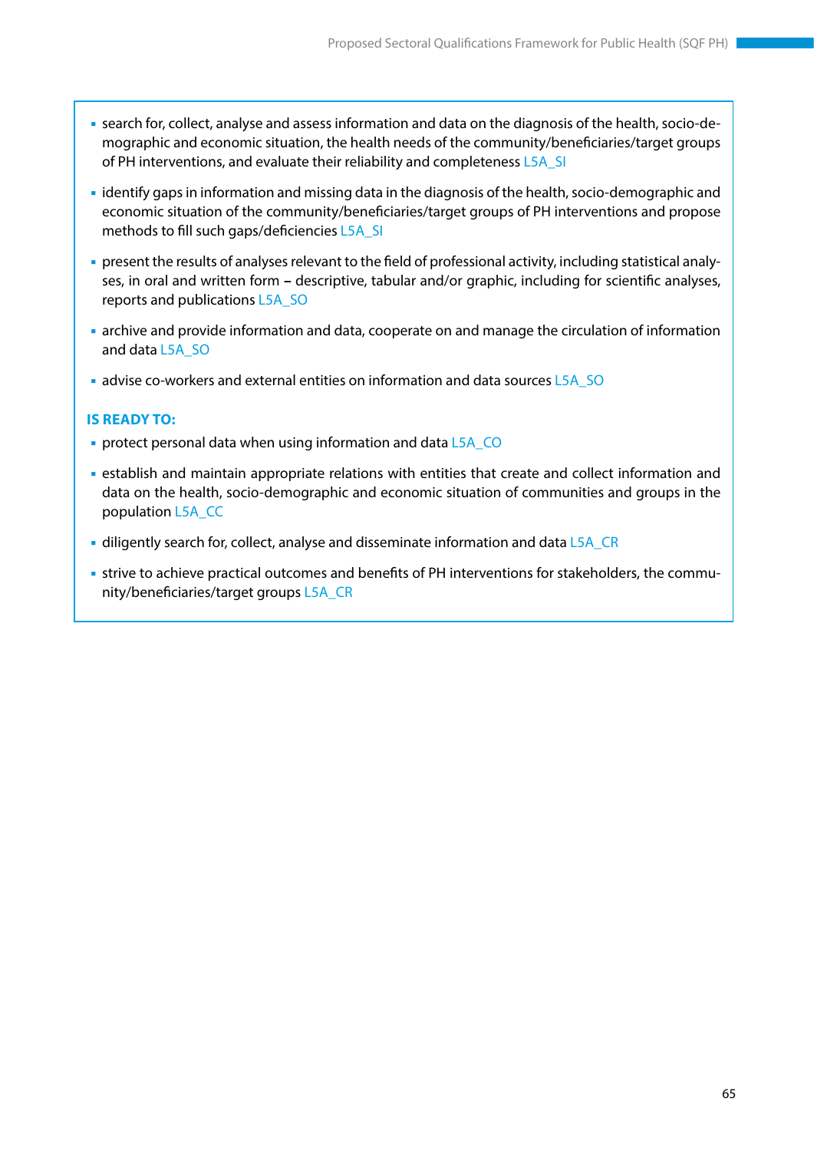- search for, collect, analyse and assess information and data on the diagnosis of the health, socio-demographic and economic situation, the health needs of the community/beneficiaries/target groups of PH interventions, and evaluate their reliability and completeness L5A\_SI
- identify gaps in information and missing data in the diagnosis of the health, socio-demographic and economic situation of the community/beneficiaries/target groups of PH interventions and propose methods to fill such gaps/deficiencies L5A\_SI
- present the results of analyses relevant to the field of professional activity, including statistical analyses, in oral and written form **–** descriptive, tabular and/or graphic, including for scientific analyses, reports and publications L5A\_SO
- archive and provide information and data, cooperate on and manage the circulation of information and data L5A\_SO
- advise co-workers and external entities on information and data sources L5A\_SO

- **protect personal data when using information and data L5A\_CO**
- establish and maintain appropriate relations with entities that create and collect information and data on the health, socio-demographic and economic situation of communities and groups in the population L5A\_CC
- diligently search for, collect, analyse and disseminate information and data  $L5A$  CR
- strive to achieve practical outcomes and benefits of PH interventions for stakeholders, the community/beneficiaries/target groups L5A\_CR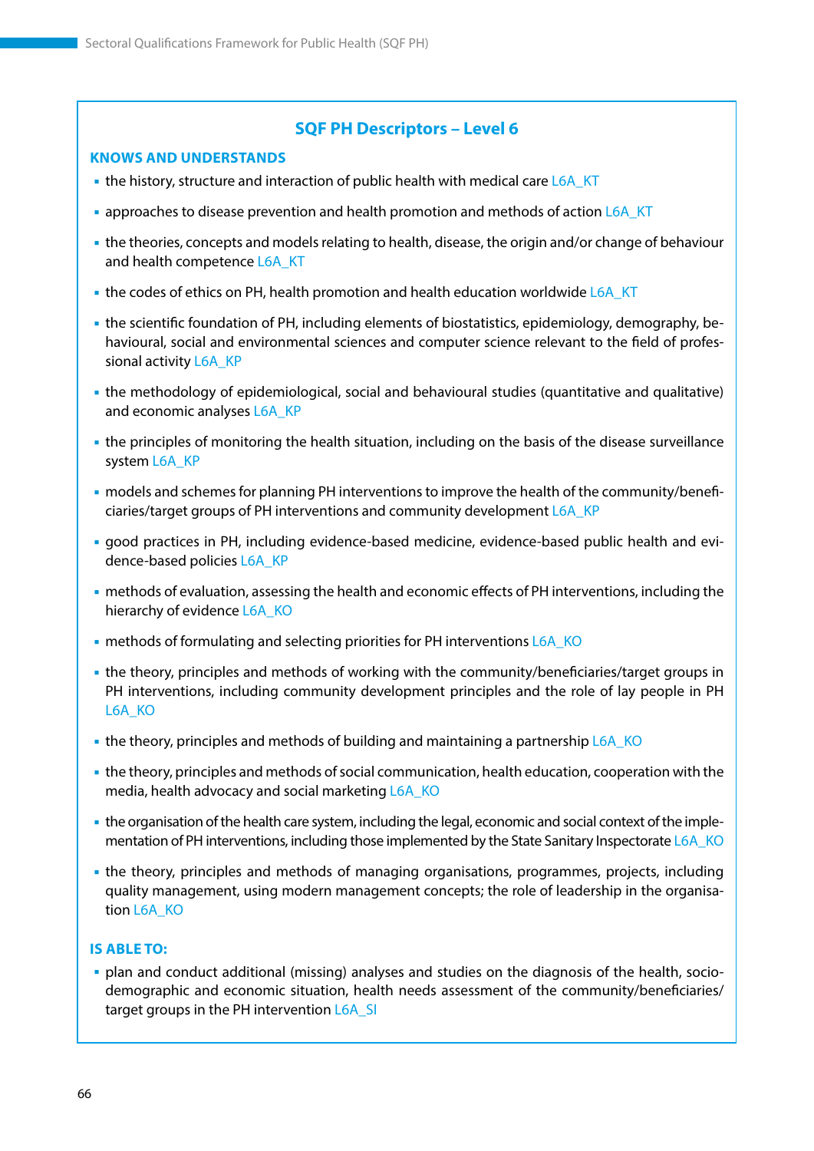#### **KNOWS AND UNDERSTANDS**

- the history, structure and interaction of public health with medical care L6A\_KT
- **approaches to disease prevention and health promotion and methods of action L6A KT**
- the theories, concepts and models relating to health, disease, the origin and/or change of behaviour and health competence L6A\_KT
- **the codes of ethics on PH, health promotion and health education worldwide L6A\_KT**
- the scientific foundation of PH, including elements of biostatistics, epidemiology, demography, behavioural, social and environmental sciences and computer science relevant to the field of professional activity L6A\_KP
- the methodology of epidemiological, social and behavioural studies (quantitative and qualitative) and economic analyses L6A\_KP
- the principles of monitoring the health situation, including on the basis of the disease surveillance system L6A\_KP
- models and schemes for planning PH interventions to improve the health of the community/beneficiaries/target groups of PH interventions and community development L6A\_KP
- good practices in PH, including evidence-based medicine, evidence-based public health and evidence-based policies L6A\_KP
- methods of evaluation, assessing the health and economic effects of PH interventions, including the hierarchy of evidence L6A\_KO
- methods of formulating and selecting priorities for PH interventions L6A\_KO
- the theory, principles and methods of working with the community/beneficiaries/target groups in PH interventions, including community development principles and the role of lay people in PH L6A\_KO
- the theory, principles and methods of building and maintaining a partnership L6A\_KO
- the theory, principles and methods of social communication, health education, cooperation with the media, health advocacy and social marketing L6A\_KO
- the organisation of the health care system, including the legal, economic and social context of the implementation of PH interventions, including those implemented by the State Sanitary Inspectorate L6A\_KO
- the theory, principles and methods of managing organisations, programmes, projects, including quality management, using modern management concepts; the role of leadership in the organisation L6A\_KO

#### **IS ABLE TO:**

 plan and conduct additional (missing) analyses and studies on the diagnosis of the health, sociodemographic and economic situation, health needs assessment of the community/beneficiaries/ target groups in the PH intervention L6A SI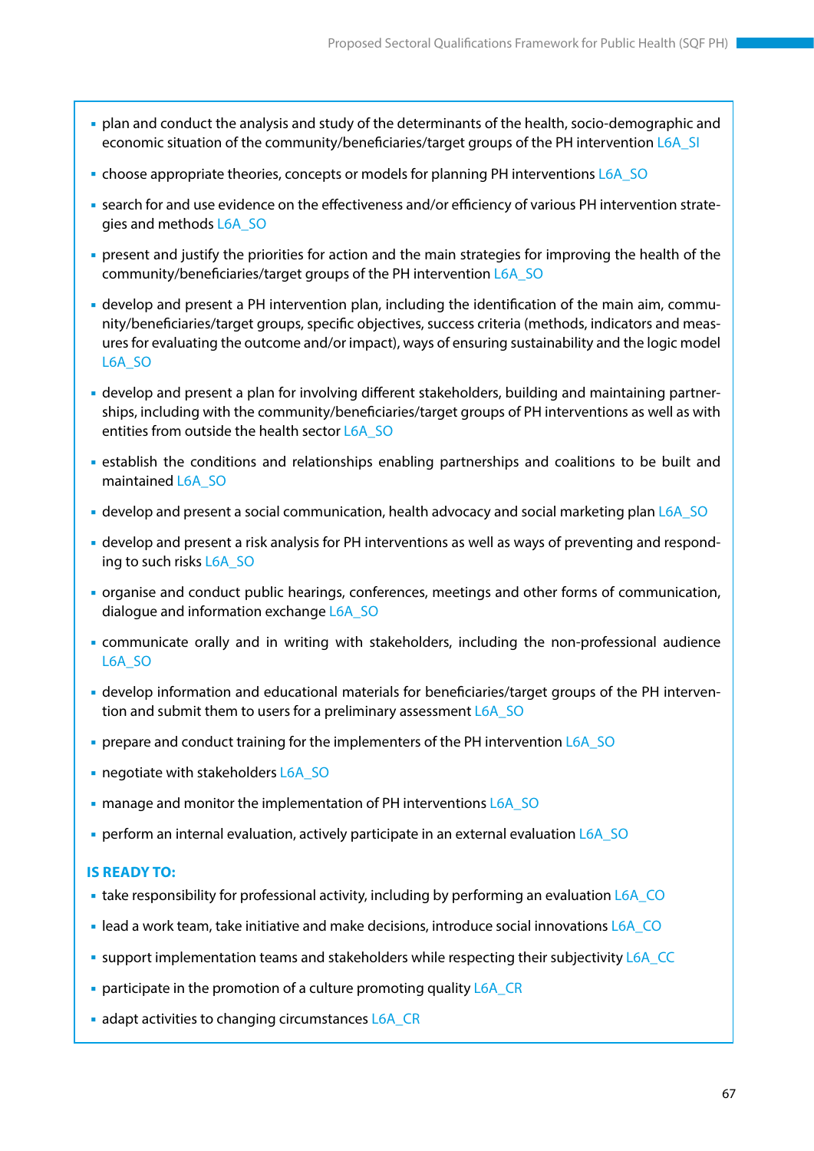- plan and conduct the analysis and study of the determinants of the health, socio-demographic and economic situation of the community/beneficiaries/target groups of the PH intervention L6A\_SI
- choose appropriate theories, concepts or models for planning PH interventions L6A\_SO
- search for and use evidence on the effectiveness and/or efficiency of various PH intervention strategies and methods L6A\_SO
- present and justify the priorities for action and the main strategies for improving the health of the community/beneficiaries/target groups of the PH intervention L6A\_SO
- develop and present a PH intervention plan, including the identification of the main aim, community/beneficiaries/target groups, specific objectives, success criteria (methods, indicators and measures for evaluating the outcome and/or impact), ways of ensuring sustainability and the logic model L6A\_SO
- develop and present a plan for involving different stakeholders, building and maintaining partnerships, including with the community/beneficiaries/target groups of PH interventions as well as with entities from outside the health sector L6A\_SO
- establish the conditions and relationships enabling partnerships and coalitions to be built and maintained L6A\_SO
- develop and present a social communication, health advocacy and social marketing plan L6A\_SO
- develop and present a risk analysis for PH interventions as well as ways of preventing and responding to such risks L6A\_SO
- organise and conduct public hearings, conferences, meetings and other forms of communication, dialogue and information exchange L6A\_SO
- communicate orally and in writing with stakeholders, including the non-professional audience L6A\_SO
- develop information and educational materials for beneficiaries/target groups of the PH intervention and submit them to users for a preliminary assessment L6A\_SO
- **prepare and conduct training for the implementers of the PH intervention L6A\_SO**
- negotiate with stakeholders L6A\_SO
- manage and monitor the implementation of PH interventions L6A\_SO
- perform an internal evaluation, actively participate in an external evaluation L6A\_SO

- take responsibility for professional activity, including by performing an evaluation L6A\_CO
- lead a work team, take initiative and make decisions, introduce social innovations L6A\_CO
- support implementation teams and stakeholders while respecting their subjectivity L6A\_CC
- **participate in the promotion of a culture promoting quality L6A\_CR**
- adapt activities to changing circumstances L6A\_CR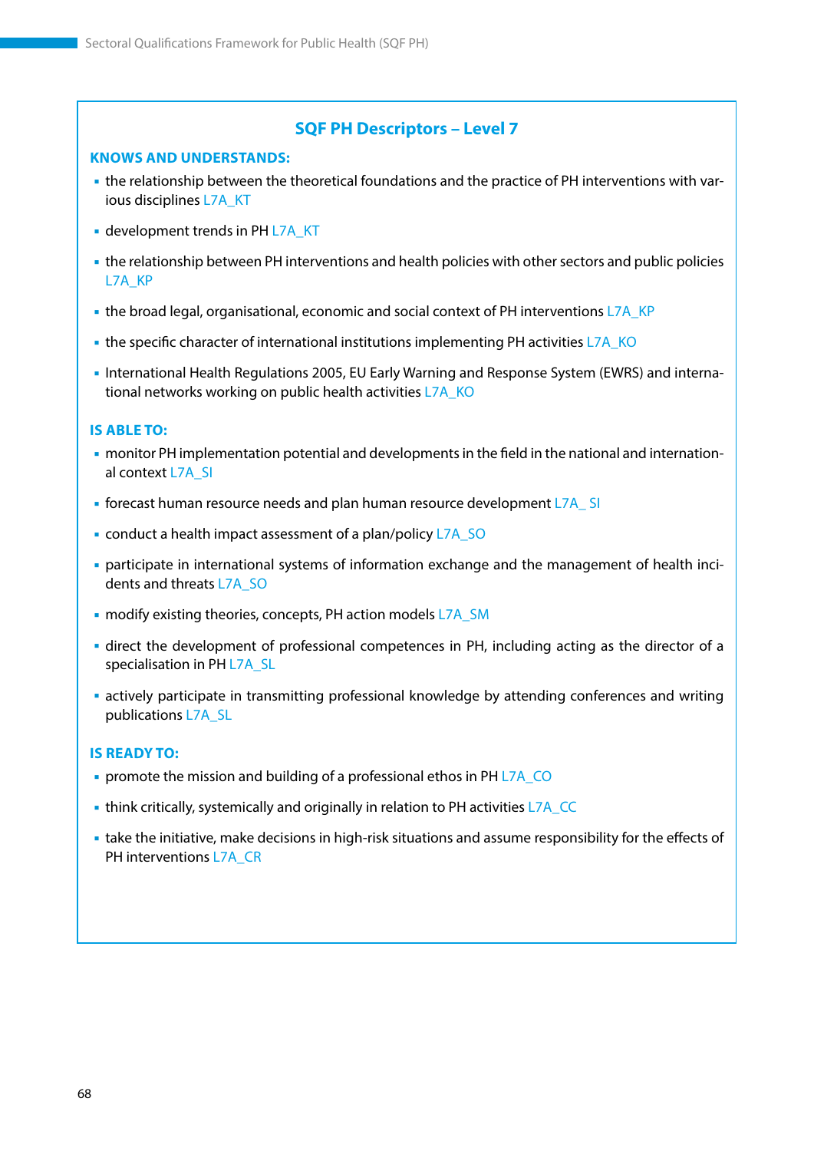#### **KNOWS AND UNDERSTANDS:**

- the relationship between the theoretical foundations and the practice of PH interventions with various disciplines L7A\_KT
- **development trends in PH L7A\_KT**
- the relationship between PH interventions and health policies with other sectors and public policies L7A KP
- the broad legal, organisational, economic and social context of PH interventions L7A\_KP
- the specific character of international institutions implementing PH activities L7A\_KO
- International Health Regulations 2005, EU Early Warning and Response System (EWRS) and international networks working on public health activities L7A\_KO

#### **IS ABLE TO:**

- monitor PH implementation potential and developments in the field in the national and international context L7A\_SI
- forecast human resource needs and plan human resource development L7A\_ SI
- conduct a health impact assessment of a plan/policy L7A\_SO
- participate in international systems of information exchange and the management of health incidents and threats L7A\_SO
- **n** modify existing theories, concepts, PH action models L7A\_SM
- direct the development of professional competences in PH, including acting as the director of a specialisation in PH L7A\_SL
- actively participate in transmitting professional knowledge by attending conferences and writing publications L7A\_SL

- **Promote the mission and building of a professional ethos in PH L7A\_CO**
- think critically, systemically and originally in relation to PH activities L7A\_CC
- take the initiative, make decisions in high-risk situations and assume responsibility for the effects of PH interventions L7A\_CR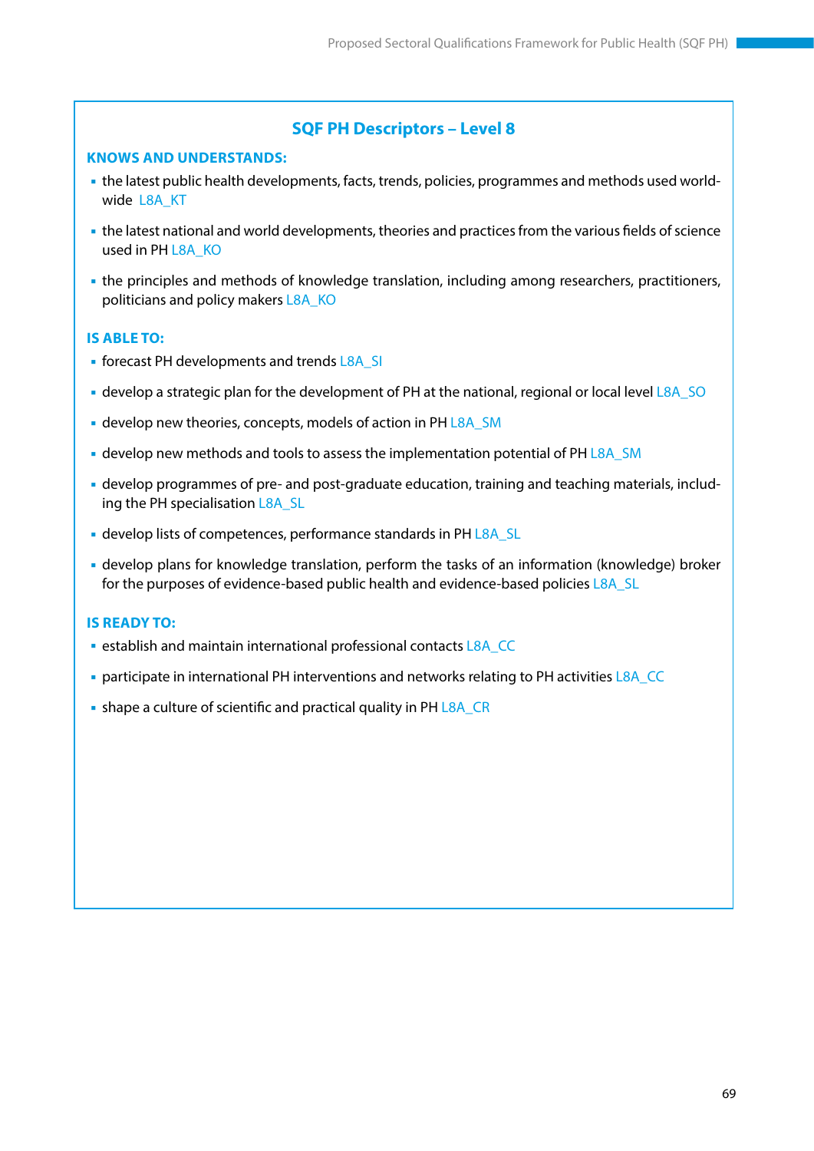#### **KNOWS AND UNDERSTANDS:**

- the latest public health developments, facts, trends, policies, programmes and methods used worldwide L8A KT
- the latest national and world developments, theories and practices from the various fields of science used in PH L8A\_KO
- the principles and methods of knowledge translation, including among researchers, practitioners, politicians and policy makers L8A\_KO

#### **IS ABLE TO:**

- **forecast PH developments and trends L8A SI**
- develop a strategic plan for the development of PH at the national, regional or local level L8A\_SO
- develop new theories, concepts, models of action in PH L8A\_SM
- **develop new methods and tools to assess the implementation potential of PH L8A** SM
- develop programmes of pre- and post-graduate education, training and teaching materials, including the PH specialisation L8A\_SL
- **develop lists of competences, performance standards in PH L8A\_SL**
- develop plans for knowledge translation, perform the tasks of an information (knowledge) broker for the purposes of evidence-based public health and evidence-based policies L8A\_SL

- **Example 13 and maintain international professional contacts L8A\_CC**
- participate in international PH interventions and networks relating to PH activities L8A\_CC
- shape a culture of scientific and practical quality in PH L8A\_CR